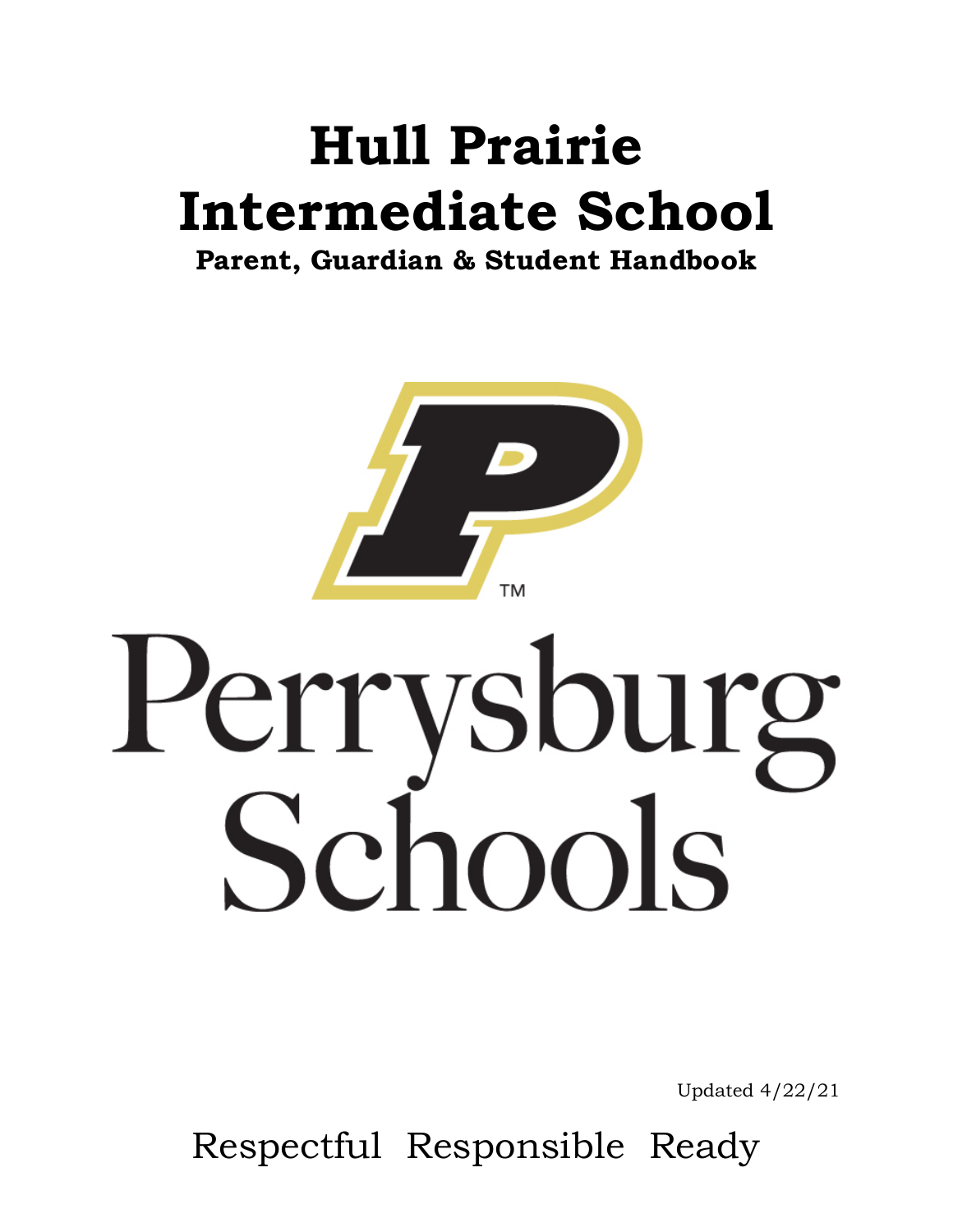# **Hull Prairie Intermediate School**

**Parent, Guardian & Student Handbook**



# Perrysburg<br>Schools

Updated 4/22/21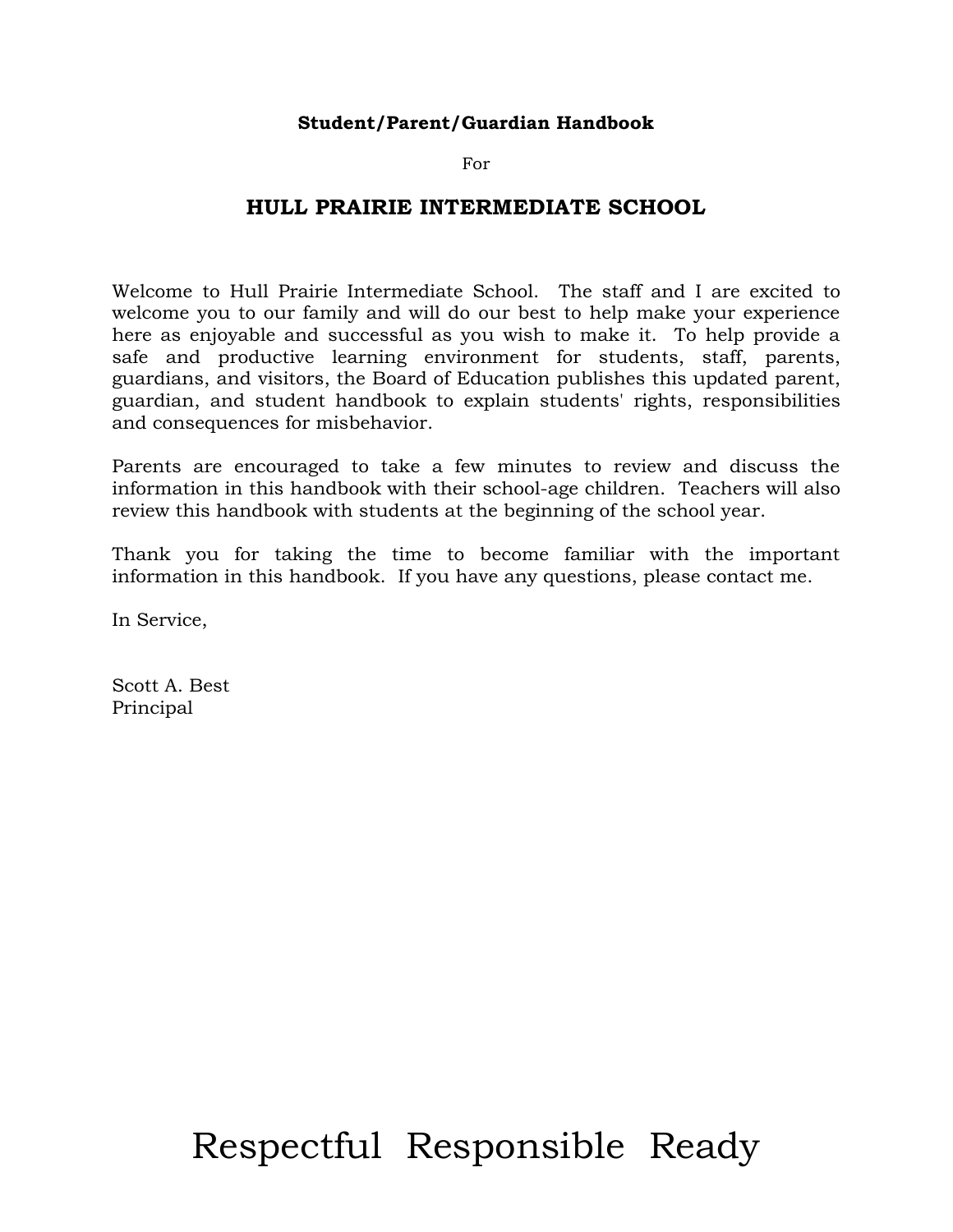### **Student/Parent/Guardian Handbook**

For

### **HULL PRAIRIE INTERMEDIATE SCHOOL**

Welcome to Hull Prairie Intermediate School. The staff and I are excited to welcome you to our family and will do our best to help make your experience here as enjoyable and successful as you wish to make it. To help provide a safe and productive learning environment for students, staff, parents, guardians, and visitors, the Board of Education publishes this updated parent, guardian, and student handbook to explain students' rights, responsibilities and consequences for misbehavior.

Parents are encouraged to take a few minutes to review and discuss the information in this handbook with their school-age children. Teachers will also review this handbook with students at the beginning of the school year.

Thank you for taking the time to become familiar with the important information in this handbook. If you have any questions, please contact me.

In Service,

Scott A. Best Principal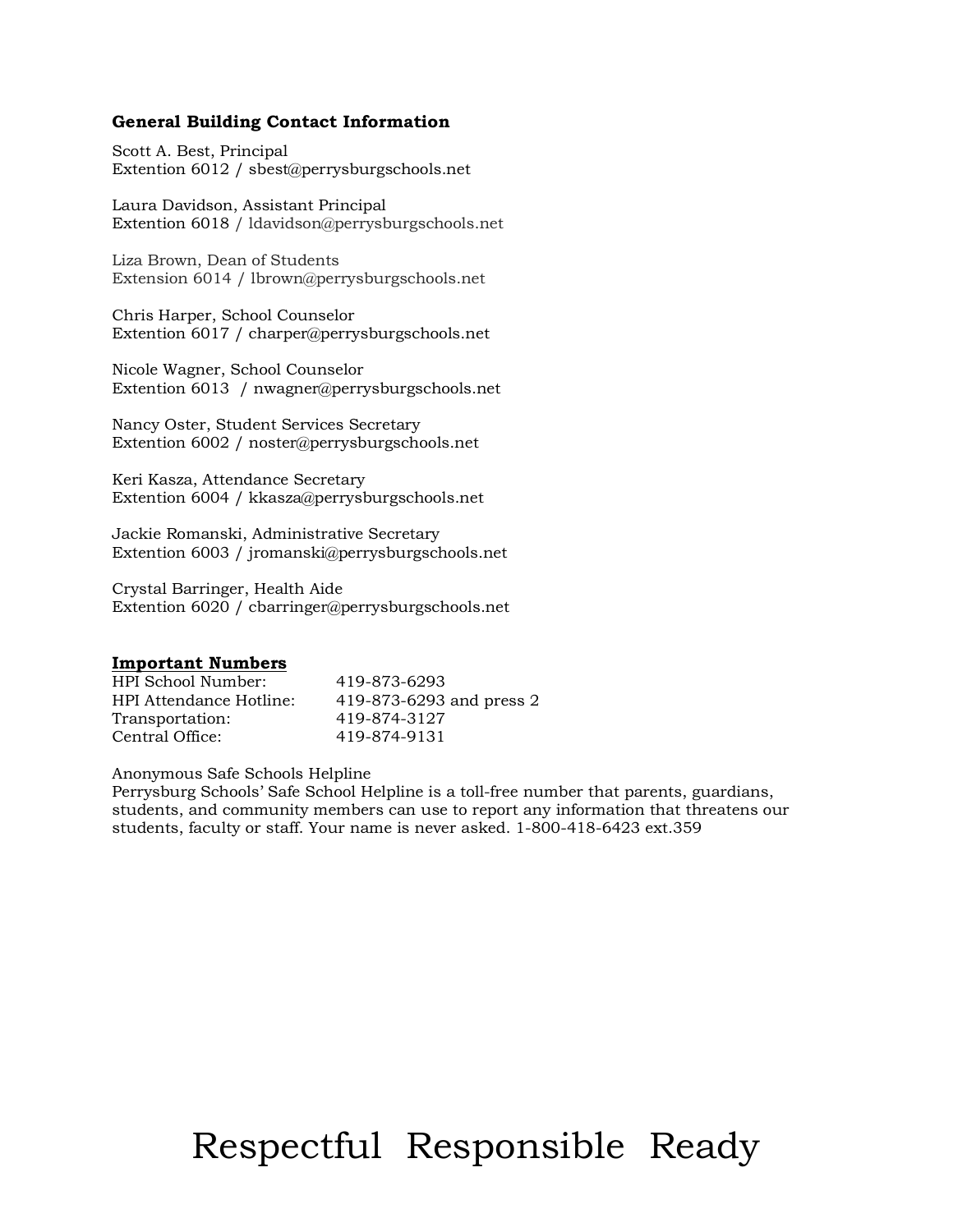### **General Building Contact Information**

Scott A. Best, Principal Extention 6012 / sbest@perrysburgschools.net

Laura Davidson, Assistant Principal Extention 6018 / ldavidson@perrysburgschools.net

Liza Brown, Dean of Students Extension 6014 / lbrown@perrysburgschools.net

Chris Harper, School Counselor Extention 6017 / charper@perrysburgschools.net

Nicole Wagner, School Counselor Extention 6013 / nwagner@perrysburgschools.net

Nancy Oster, Student Services Secretary Extention 6002 / noster@perrysburgschools.net

Keri Kasza, Attendance Secretary Extention 6004 / kkasza@perrysburgschools.net

Jackie Romanski, Administrative Secretary Extention 6003 / jromanski@perrysburgschools.net

Crystal Barringer, Health Aide Extention 6020 / cbarringer@perrysburgschools.net

### **Important Numbers**

| HPI School Number:      | 419-873-6293             |
|-------------------------|--------------------------|
| HPI Attendance Hotline: | 419-873-6293 and press 2 |
| Transportation:         | 419-874-3127             |
| Central Office:         | 419-874-9131             |

Anonymous Safe Schools Helpline

Perrysburg Schools' Safe School Helpline is a toll-free number that parents, guardians, students, and community members can use to report any information that threatens our students, faculty or staff. Your name is never asked. 1-800-418-6423 ext.359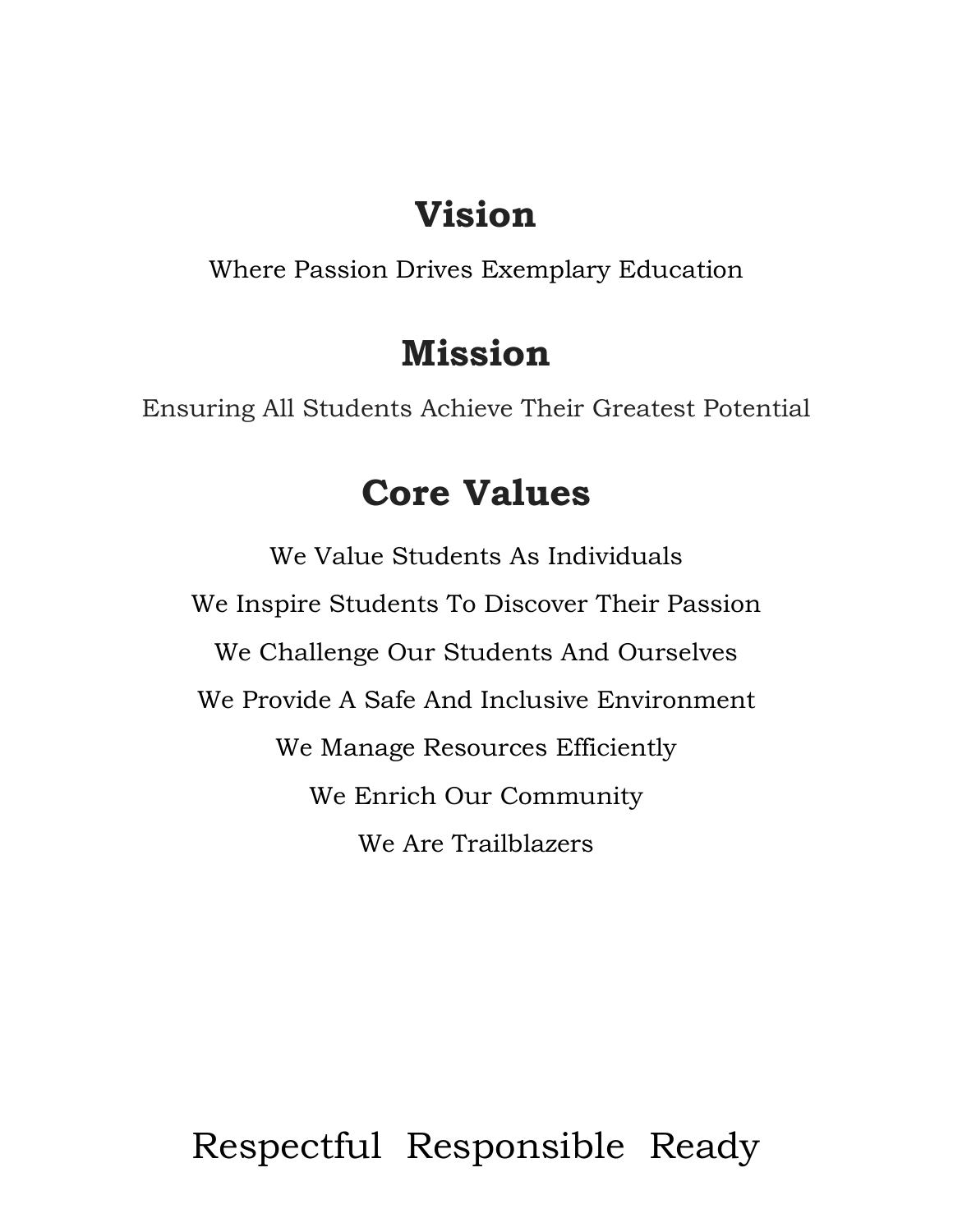# **Vision**

Where Passion Drives Exemplary Education

# **Mission**

Ensuring All Students Achieve Their Greatest Potential

# **Core Values**

We Value Students As Individuals We Inspire Students To Discover Their Passion We Challenge Our Students And Ourselves We Provide A Safe And Inclusive Environment We Manage Resources Efficiently We Enrich Our Community We Are Trailblazers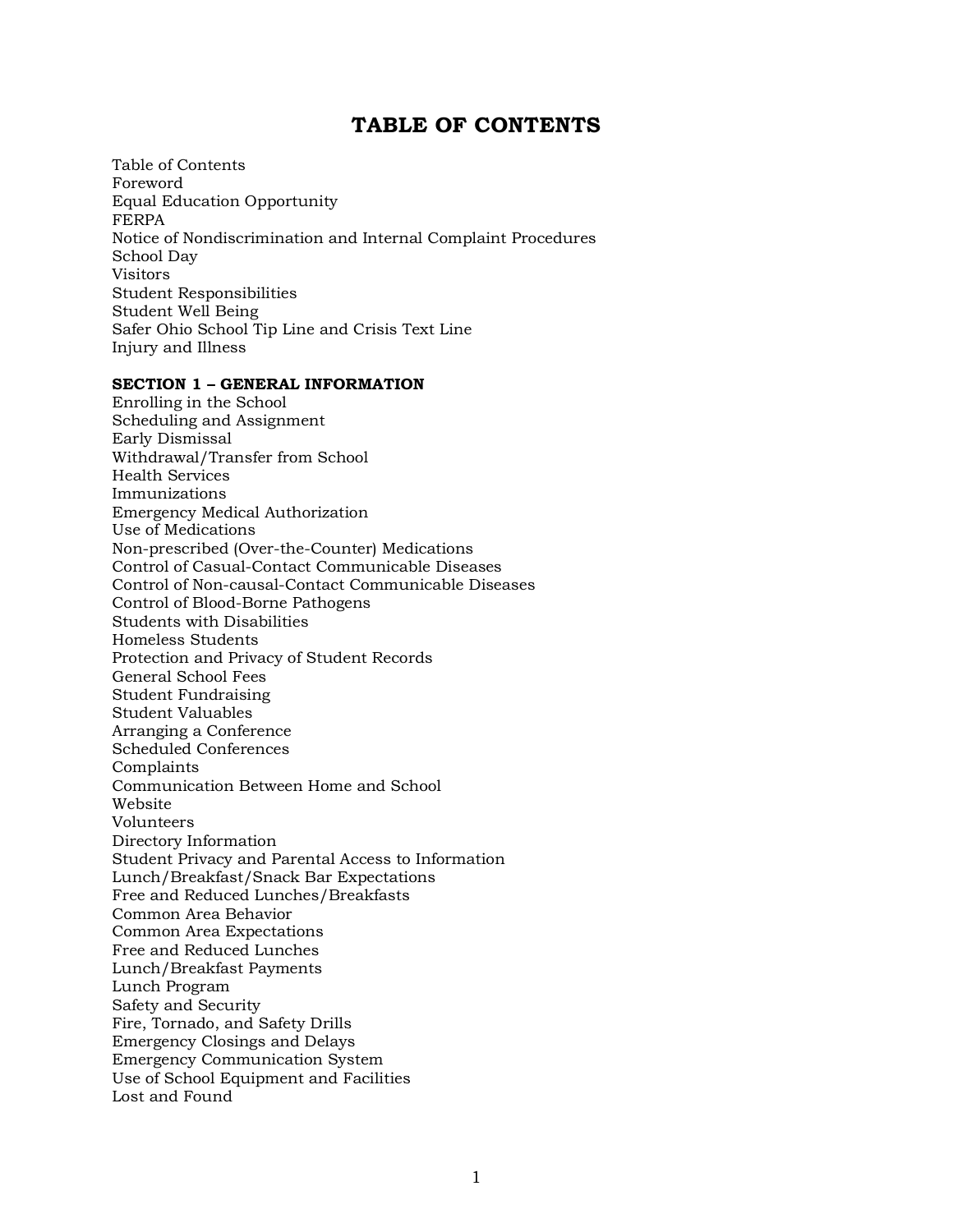### **TABLE OF CONTENTS**

Table of Contents Foreword Equal Education Opportunity FERPA Notice of Nondiscrimination and Internal Complaint Procedures School Day Visitors Student Responsibilities Student Well Being Safer Ohio School Tip Line and Crisis Text Line Injury and Illness

### **SECTION 1 – GENERAL INFORMATION**

Enrolling in the School Scheduling and Assignment Early Dismissal Withdrawal/Transfer from School Health Services Immunizations Emergency Medical Authorization Use of Medications Non-prescribed (Over-the-Counter) Medications Control of Casual-Contact Communicable Diseases Control of Non-causal-Contact Communicable Diseases Control of Blood-Borne Pathogens Students with Disabilities Homeless Students Protection and Privacy of Student Records General School Fees Student Fundraising Student Valuables Arranging a Conference Scheduled Conferences Complaints Communication Between Home and School Website Volunteers Directory Information Student Privacy and Parental Access to Information Lunch/Breakfast/Snack Bar Expectations Free and Reduced Lunches/Breakfasts Common Area Behavior Common Area Expectations Free and Reduced Lunches Lunch/Breakfast Payments Lunch Program Safety and Security Fire, Tornado, and Safety Drills Emergency Closings and Delays Emergency Communication System Use of School Equipment and Facilities Lost and Found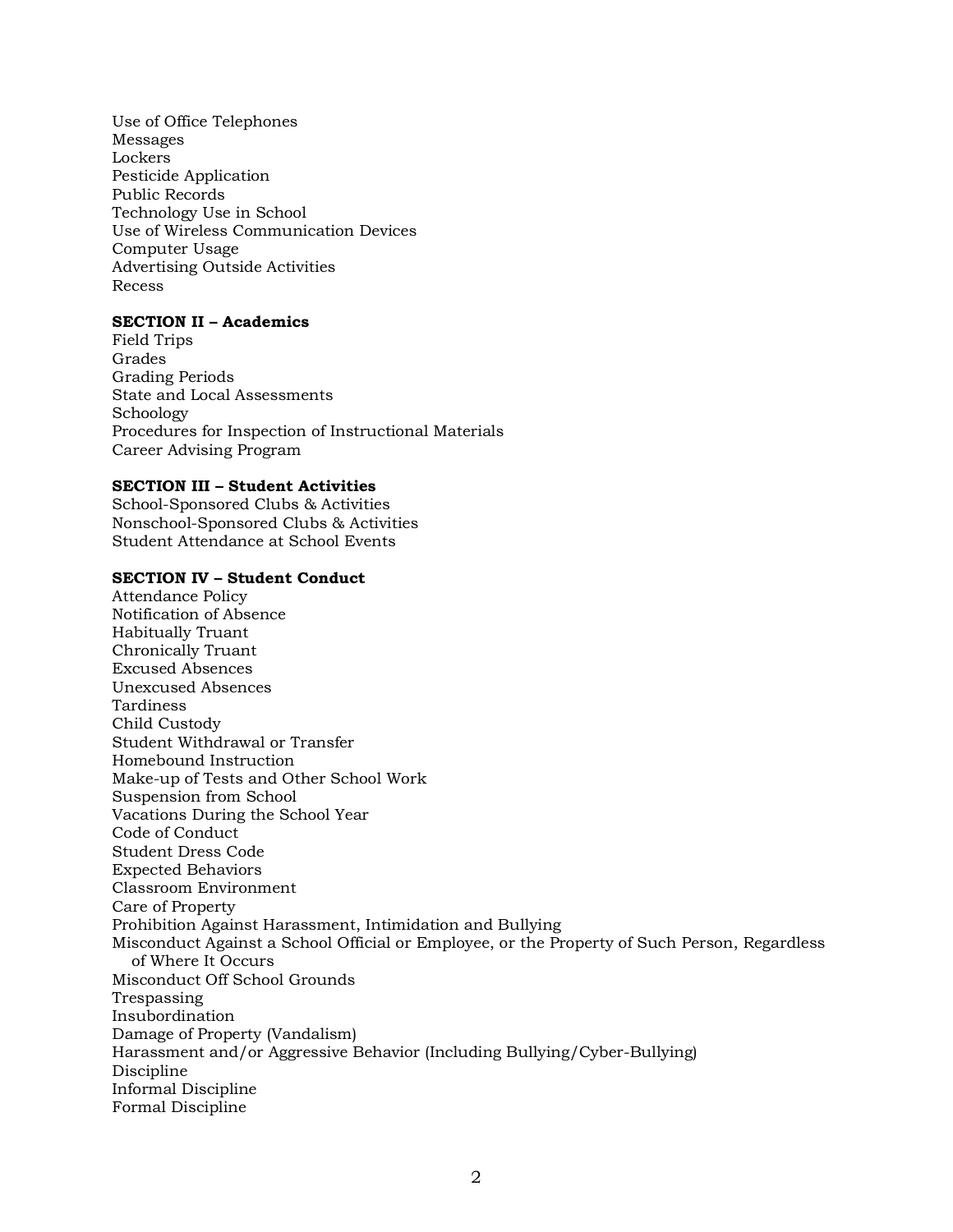Use of Office Telephones Messages Lockers Pesticide Application Public Records Technology Use in School Use of Wireless Communication Devices Computer Usage Advertising Outside Activities Recess

### **SECTION II – Academics**

Field Trips Grades Grading Periods State and Local Assessments Schoology Procedures for Inspection of Instructional Materials Career Advising Program

### **SECTION III – Student Activities**

School-Sponsored Clubs & Activities Nonschool-Sponsored Clubs & Activities Student Attendance at School Events

### **SECTION IV – Student Conduct**

Attendance Policy Notification of Absence Habitually Truant Chronically Truant Excused Absences Unexcused Absences Tardiness Child Custody Student Withdrawal or Transfer Homebound Instruction Make-up of Tests and Other School Work Suspension from School Vacations During the School Year Code of Conduct Student Dress Code Expected Behaviors Classroom Environment Care of Property Prohibition Against Harassment, Intimidation and Bullying Misconduct Against a School Official or Employee, or the Property of Such Person, Regardless of Where It Occurs Misconduct Off School Grounds Trespassing Insubordination Damage of Property (Vandalism) Harassment and/or Aggressive Behavior (Including Bullying/Cyber-Bullying) Discipline Informal Discipline Formal Discipline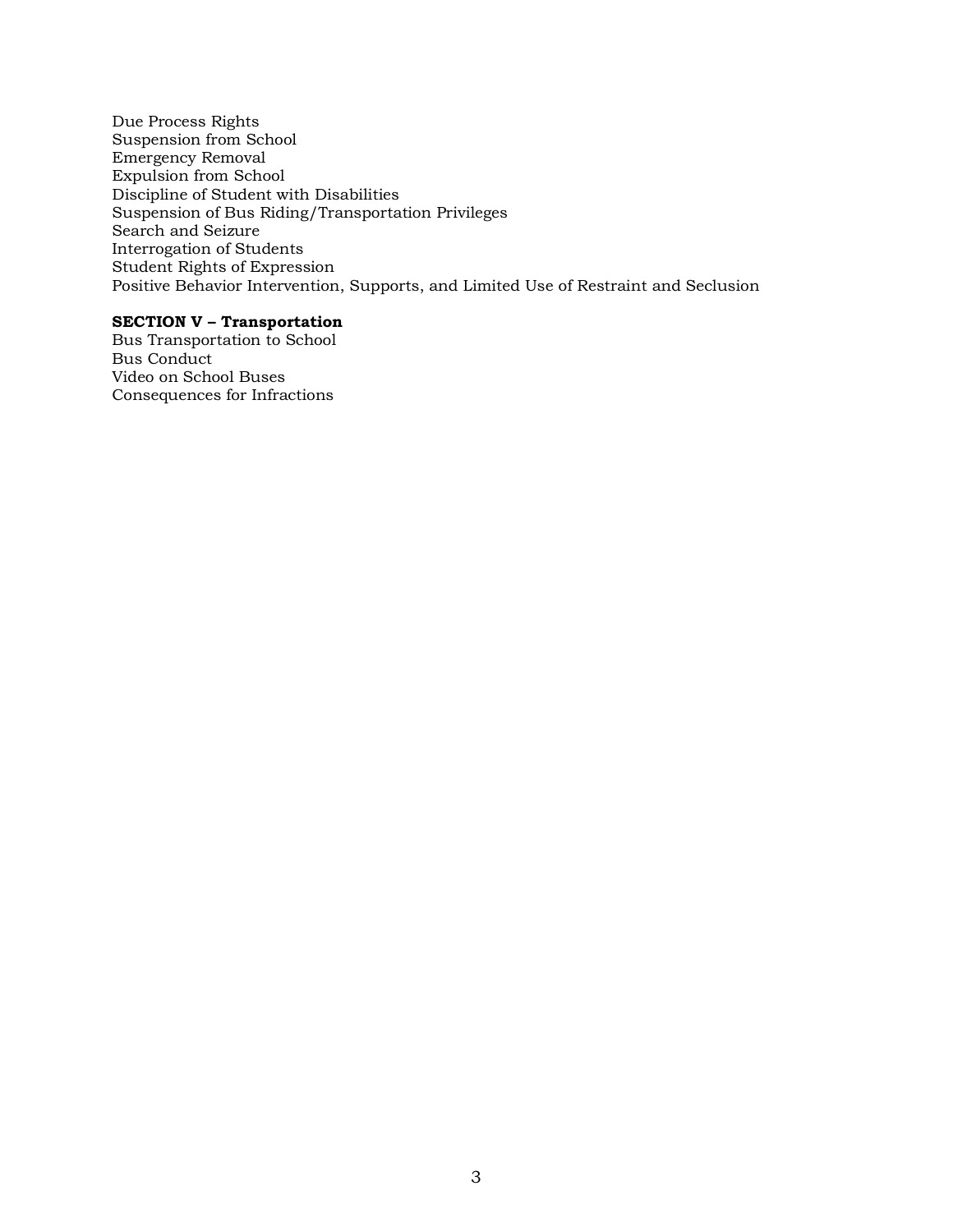Due Process Rights Suspension from School Emergency Removal Expulsion from School Discipline of Student with Disabilities Suspension of Bus Riding/Transportation Privileges Search and Seizure Interrogation of Students Student Rights of Expression Positive Behavior Intervention, Supports, and Limited Use of Restraint and Seclusion

### **SECTION V – Transportation**

Bus Transportation to School Bus Conduct Video on School Buses Consequences for Infractions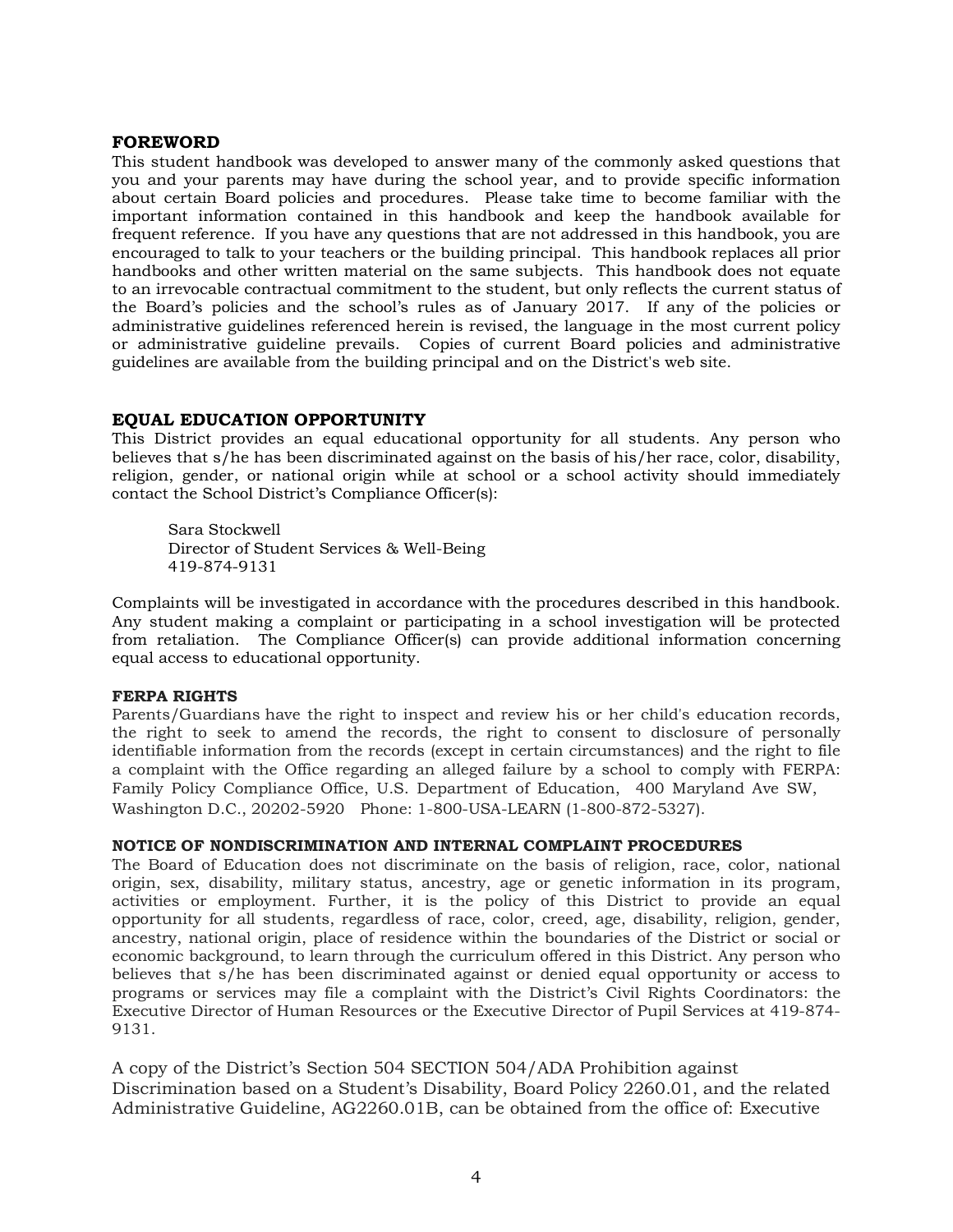### **FOREWORD**

This student handbook was developed to answer many of the commonly asked questions that you and your parents may have during the school year, and to provide specific information about certain Board policies and procedures. Please take time to become familiar with the important information contained in this handbook and keep the handbook available for frequent reference. If you have any questions that are not addressed in this handbook, you are encouraged to talk to your teachers or the building principal. This handbook replaces all prior handbooks and other written material on the same subjects. This handbook does not equate to an irrevocable contractual commitment to the student, but only reflects the current status of the Board's policies and the school's rules as of January 2017. If any of the policies or administrative guidelines referenced herein is revised, the language in the most current policy or administrative guideline prevails. Copies of current Board policies and administrative guidelines are available from the building principal and on the District's web site.

### **EQUAL EDUCATION OPPORTUNITY**

This District provides an equal educational opportunity for all students. Any person who believes that s/he has been discriminated against on the basis of his/her race, color, disability, religion, gender, or national origin while at school or a school activity should immediately contact the School District's Compliance Officer(s):

Sara Stockwell Director of Student Services & Well-Being 419-874-9131

Complaints will be investigated in accordance with the procedures described in this handbook. Any student making a complaint or participating in a school investigation will be protected from retaliation. The Compliance Officer(s) can provide additional information concerning equal access to educational opportunity.

### **FERPA RIGHTS**

Parents/Guardians have the right to inspect and review his or her child's education records, the right to seek to amend the records, the right to consent to disclosure of personally identifiable information from the records (except in certain circumstances) and the right to file a complaint with the Office regarding an alleged failure by a school to comply with FERPA: Family Policy Compliance Office, U.S. Department of Education, 400 Maryland Ave SW, Washington D.C., 20202-5920 Phone: 1-800-USA-LEARN (1-800-872-5327).

### **NOTICE OF NONDISCRIMINATION AND INTERNAL COMPLAINT PROCEDURES**

The Board of Education does not discriminate on the basis of religion, race, color, national origin, sex, disability, military status, ancestry, age or genetic information in its program, activities or employment. Further, it is the policy of this District to provide an equal opportunity for all students, regardless of race, color, creed, age, disability, religion, gender, ancestry, national origin, place of residence within the boundaries of the District or social or economic background, to learn through the curriculum offered in this District. Any person who believes that s/he has been discriminated against or denied equal opportunity or access to programs or services may file a complaint with the District's Civil Rights Coordinators: the Executive Director of Human Resources or the Executive Director of Pupil Services at 419-874- 9131.

A copy of the District's Section 504 SECTION 504/ADA Prohibition against Discrimination based on a Student's Disability, Board Policy 2260.01, and the related Administrative Guideline, AG2260.01B, can be obtained from the office of: Executive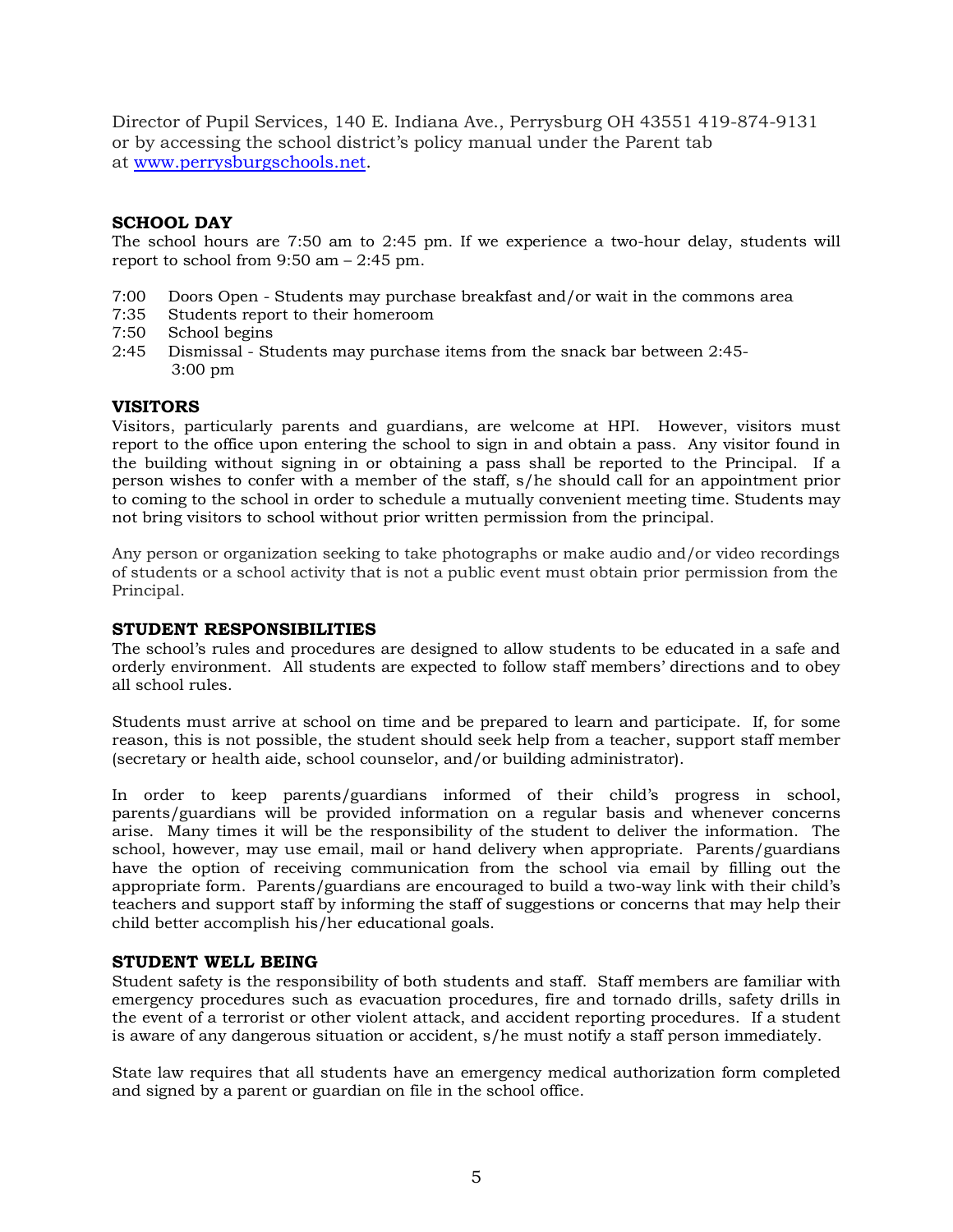Director of Pupil Services, 140 E. Indiana Ave., Perrysburg OH 43551 419-874-9131 or by accessing the school district's policy manual under the Parent tab at www.perrysburgschools.net.

### **SCHOOL DAY**

The school hours are 7:50 am to 2:45 pm. If we experience a two-hour delay, students will report to school from 9:50 am – 2:45 pm.

- 7:00 Doors Open Students may purchase breakfast and/or wait in the commons area
- 7:35 Students report to their homeroom
- 7:50 School begins
- 2:45 Dismissal Students may purchase items from the snack bar between 2:45- 3:00 pm

### **VISITORS**

Visitors, particularly parents and guardians, are welcome at HPI. However, visitors must report to the office upon entering the school to sign in and obtain a pass. Any visitor found in the building without signing in or obtaining a pass shall be reported to the Principal. If a person wishes to confer with a member of the staff, s/he should call for an appointment prior to coming to the school in order to schedule a mutually convenient meeting time. Students may not bring visitors to school without prior written permission from the principal.

Any person or organization seeking to take photographs or make audio and/or video recordings of students or a school activity that is not a public event must obtain prior permission from the Principal.

### **STUDENT RESPONSIBILITIES**

The school's rules and procedures are designed to allow students to be educated in a safe and orderly environment. All students are expected to follow staff members' directions and to obey all school rules.

Students must arrive at school on time and be prepared to learn and participate. If, for some reason, this is not possible, the student should seek help from a teacher, support staff member (secretary or health aide, school counselor, and/or building administrator).

In order to keep parents/guardians informed of their child's progress in school, parents/guardians will be provided information on a regular basis and whenever concerns arise. Many times it will be the responsibility of the student to deliver the information. The school, however, may use email, mail or hand delivery when appropriate. Parents/guardians have the option of receiving communication from the school via email by filling out the appropriate form. Parents/guardians are encouraged to build a two-way link with their child's teachers and support staff by informing the staff of suggestions or concerns that may help their child better accomplish his/her educational goals.

### **STUDENT WELL BEING**

Student safety is the responsibility of both students and staff. Staff members are familiar with emergency procedures such as evacuation procedures, fire and tornado drills, safety drills in the event of a terrorist or other violent attack, and accident reporting procedures. If a student is aware of any dangerous situation or accident, s/he must notify a staff person immediately.

State law requires that all students have an emergency medical authorization form completed and signed by a parent or guardian on file in the school office.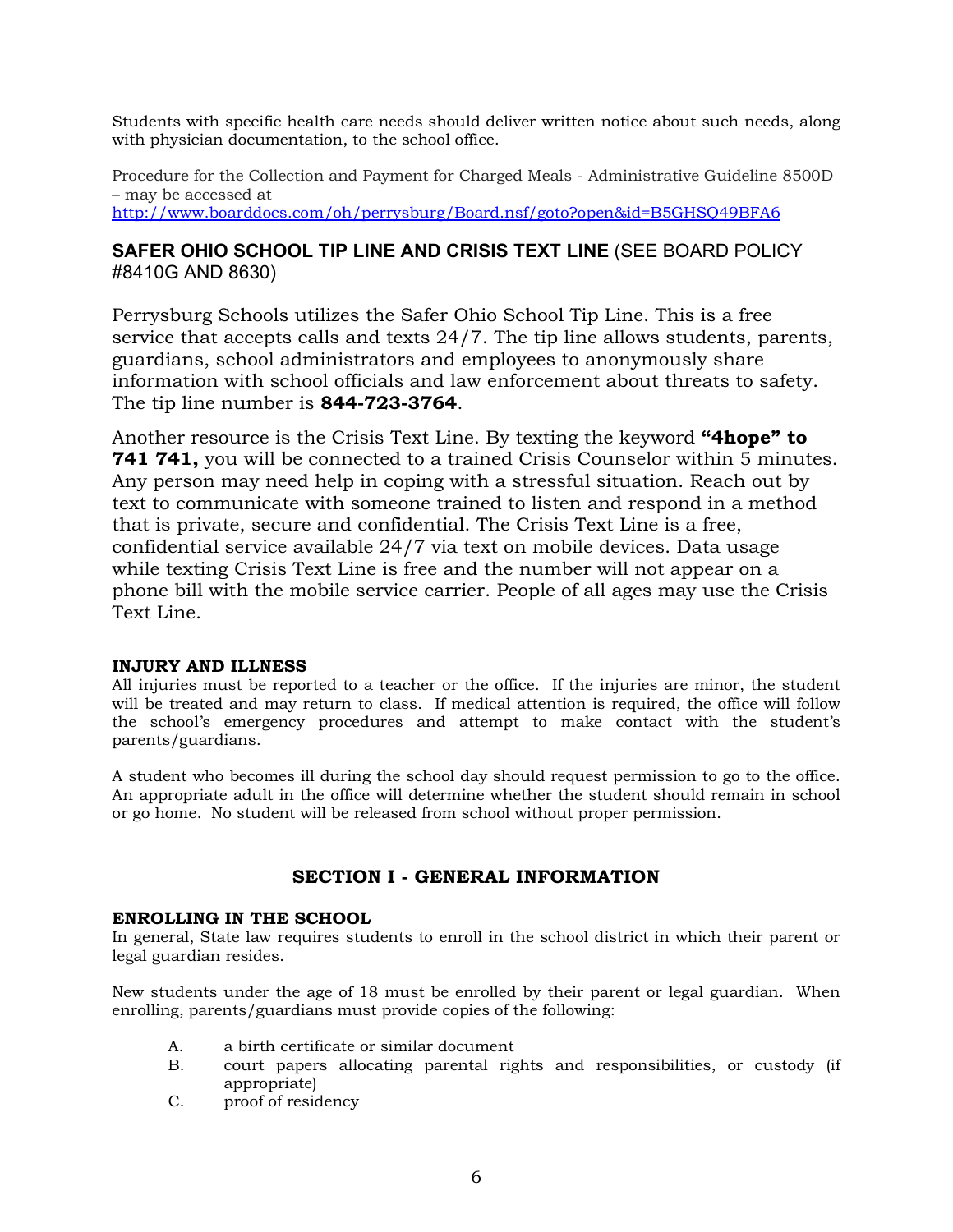Students with specific health care needs should deliver written notice about such needs, along with physician documentation, to the school office.

Procedure for the Collection and Payment for Charged Meals - Administrative Guideline 8500D – may be accessed at http://www.boarddocs.com/oh/perrysburg/Board.nsf/goto?open&id=B5GHSQ49BFA6

### **SAFER OHIO SCHOOL TIP LINE AND CRISIS TEXT LINE** (SEE BOARD POLICY #8410G AND 8630)

Perrysburg Schools utilizes the Safer Ohio School Tip Line. This is a free service that accepts calls and texts 24/7. The tip line allows students, parents, guardians, school administrators and employees to anonymously share information with school officials and law enforcement about threats to safety. The tip line number is **844-723-3764**.

Another resource is the Crisis Text Line. By texting the keyword **"4hope" to 741 741,** you will be connected to a trained Crisis Counselor within 5 minutes. Any person may need help in coping with a stressful situation. Reach out by text to communicate with someone trained to listen and respond in a method that is private, secure and confidential. The Crisis Text Line is a free, confidential service available 24/7 via text on mobile devices. Data usage while texting Crisis Text Line is free and the number will not appear on a phone bill with the mobile service carrier. People of all ages may use the Crisis Text Line.

### **INJURY AND ILLNESS**

All injuries must be reported to a teacher or the office. If the injuries are minor, the student will be treated and may return to class. If medical attention is required, the office will follow the school's emergency procedures and attempt to make contact with the student's parents/guardians.

A student who becomes ill during the school day should request permission to go to the office. An appropriate adult in the office will determine whether the student should remain in school or go home. No student will be released from school without proper permission.

### **SECTION I - GENERAL INFORMATION**

### **ENROLLING IN THE SCHOOL**

In general, State law requires students to enroll in the school district in which their parent or legal guardian resides.

New students under the age of 18 must be enrolled by their parent or legal guardian. When enrolling, parents/guardians must provide copies of the following:

- A. a birth certificate or similar document
- B. court papers allocating parental rights and responsibilities, or custody (if appropriate)
- C. proof of residency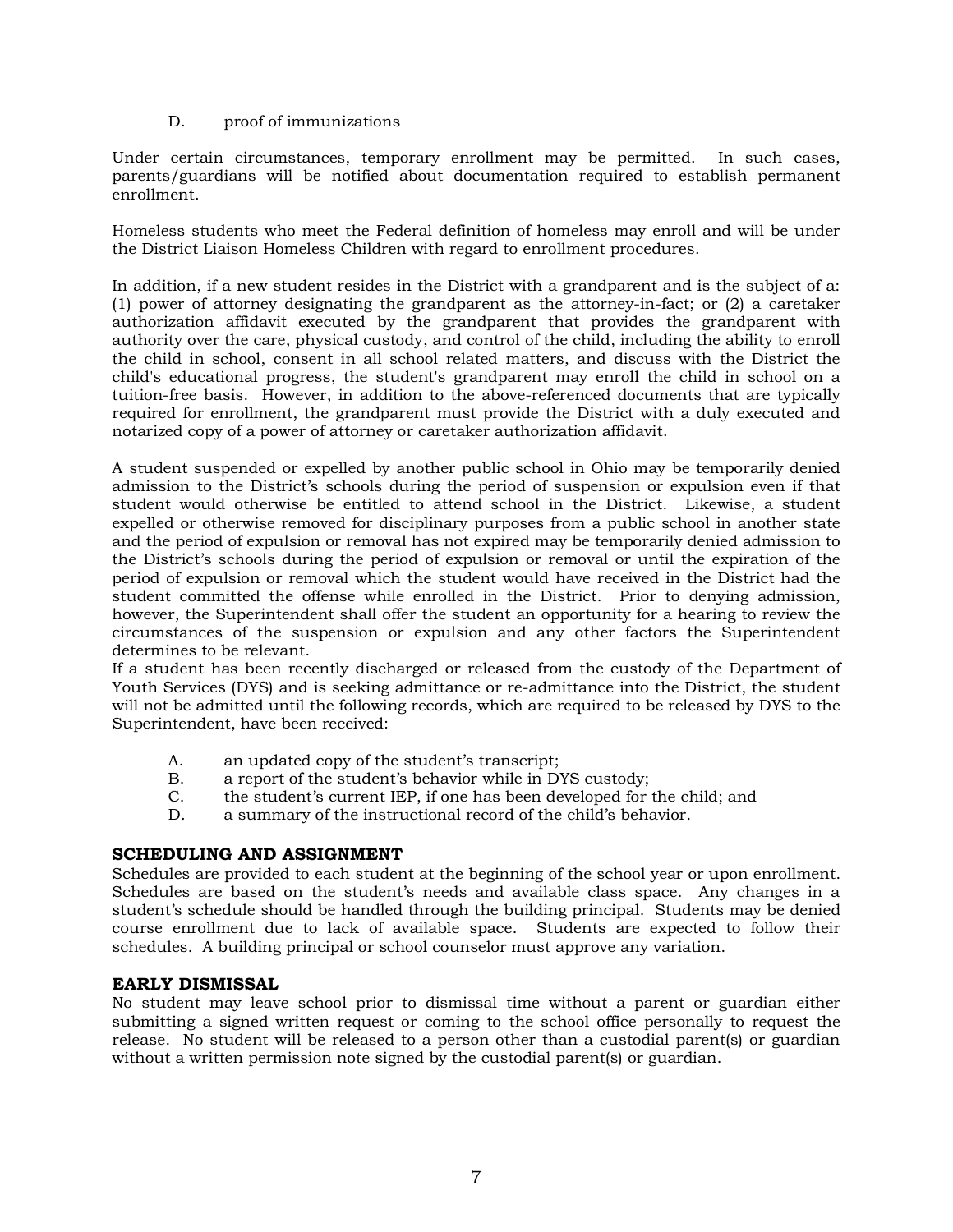### D. proof of immunizations

Under certain circumstances, temporary enrollment may be permitted. In such cases, parents/guardians will be notified about documentation required to establish permanent enrollment.

Homeless students who meet the Federal definition of homeless may enroll and will be under the District Liaison Homeless Children with regard to enrollment procedures.

In addition, if a new student resides in the District with a grandparent and is the subject of a: (1) power of attorney designating the grandparent as the attorney-in-fact; or (2) a caretaker authorization affidavit executed by the grandparent that provides the grandparent with authority over the care, physical custody, and control of the child, including the ability to enroll the child in school, consent in all school related matters, and discuss with the District the child's educational progress, the student's grandparent may enroll the child in school on a tuition-free basis. However, in addition to the above-referenced documents that are typically required for enrollment, the grandparent must provide the District with a duly executed and notarized copy of a power of attorney or caretaker authorization affidavit.

A student suspended or expelled by another public school in Ohio may be temporarily denied admission to the District's schools during the period of suspension or expulsion even if that student would otherwise be entitled to attend school in the District. Likewise, a student expelled or otherwise removed for disciplinary purposes from a public school in another state and the period of expulsion or removal has not expired may be temporarily denied admission to the District's schools during the period of expulsion or removal or until the expiration of the period of expulsion or removal which the student would have received in the District had the student committed the offense while enrolled in the District. Prior to denying admission, however, the Superintendent shall offer the student an opportunity for a hearing to review the circumstances of the suspension or expulsion and any other factors the Superintendent determines to be relevant.

If a student has been recently discharged or released from the custody of the Department of Youth Services (DYS) and is seeking admittance or re-admittance into the District, the student will not be admitted until the following records, which are required to be released by DYS to the Superintendent, have been received:

- A. an updated copy of the student's transcript;
- B. a report of the student's behavior while in DYS custody;
- C. the student's current IEP, if one has been developed for the child; and
- D. a summary of the instructional record of the child's behavior.

### **SCHEDULING AND ASSIGNMENT**

Schedules are provided to each student at the beginning of the school year or upon enrollment. Schedules are based on the student's needs and available class space. Any changes in a student's schedule should be handled through the building principal. Students may be denied course enrollment due to lack of available space. Students are expected to follow their schedules. A building principal or school counselor must approve any variation.

### **EARLY DISMISSAL**

No student may leave school prior to dismissal time without a parent or guardian either submitting a signed written request or coming to the school office personally to request the release. No student will be released to a person other than a custodial parent(s) or guardian without a written permission note signed by the custodial parent(s) or guardian.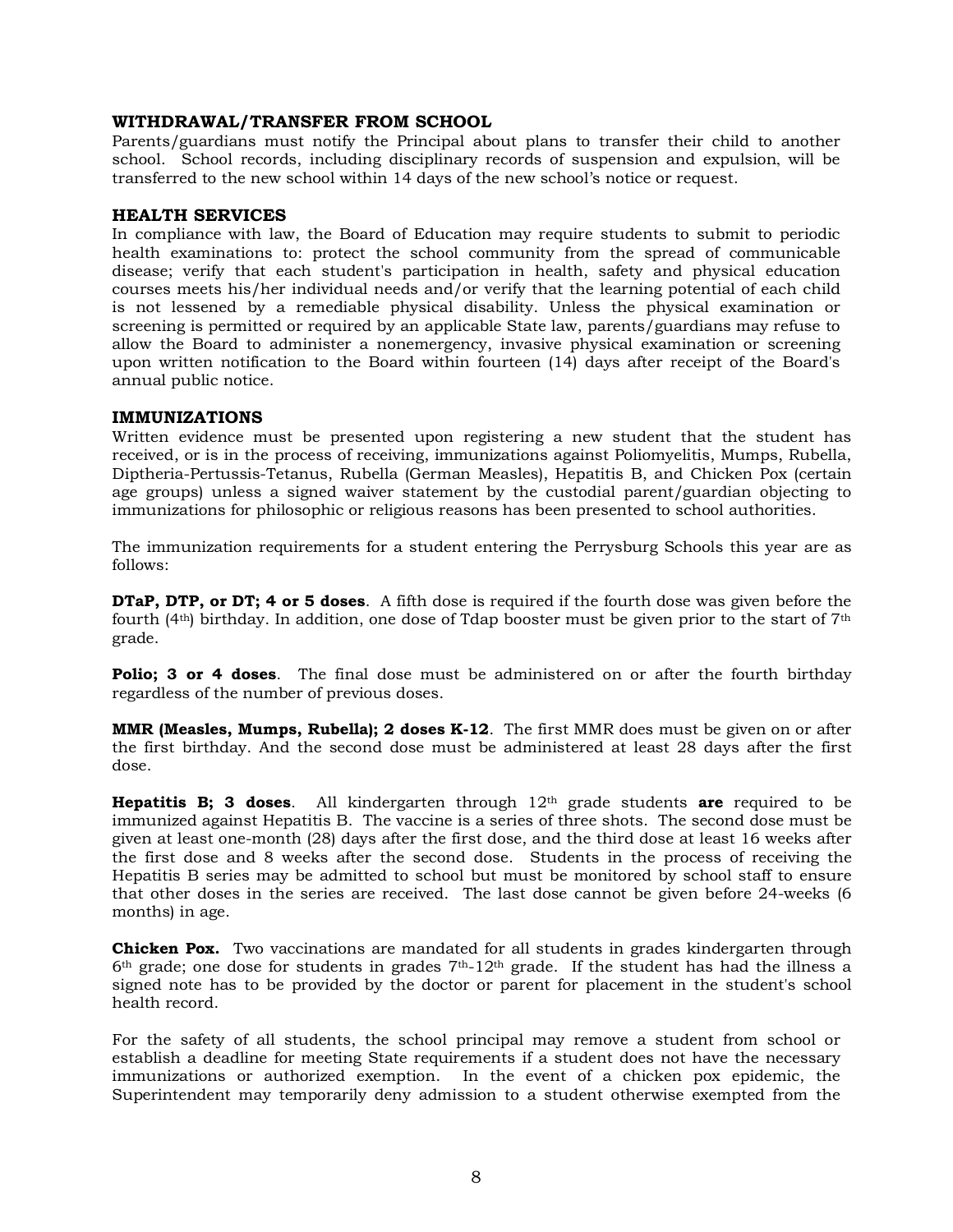### **WITHDRAWAL/TRANSFER FROM SCHOOL**

Parents/guardians must notify the Principal about plans to transfer their child to another school. School records, including disciplinary records of suspension and expulsion, will be transferred to the new school within 14 days of the new school's notice or request.

### **HEALTH SERVICES**

In compliance with law, the Board of Education may require students to submit to periodic health examinations to: protect the school community from the spread of communicable disease; verify that each student's participation in health, safety and physical education courses meets his/her individual needs and/or verify that the learning potential of each child is not lessened by a remediable physical disability. Unless the physical examination or screening is permitted or required by an applicable State law, parents/guardians may refuse to allow the Board to administer a nonemergency, invasive physical examination or screening upon written notification to the Board within fourteen (14) days after receipt of the Board's annual public notice.

### **IMMUNIZATIONS**

Written evidence must be presented upon registering a new student that the student has received, or is in the process of receiving, immunizations against Poliomyelitis, Mumps, Rubella, Diptheria-Pertussis-Tetanus, Rubella (German Measles), Hepatitis B, and Chicken Pox (certain age groups) unless a signed waiver statement by the custodial parent/guardian objecting to immunizations for philosophic or religious reasons has been presented to school authorities.

The immunization requirements for a student entering the Perrysburg Schools this year are as follows:

**DTaP, DTP, or DT; 4 or 5 doses**. A fifth dose is required if the fourth dose was given before the fourth (4th) birthday. In addition, one dose of Tdap booster must be given prior to the start of 7th grade.

**Polio; 3 or 4 doses**. The final dose must be administered on or after the fourth birthday regardless of the number of previous doses.

**MMR (Measles, Mumps, Rubella); 2 doses K-12**. The first MMR does must be given on or after the first birthday. And the second dose must be administered at least 28 days after the first dose.

**Hepatitis B; 3 doses**. All kindergarten through 12th grade students **are** required to be immunized against Hepatitis B. The vaccine is a series of three shots. The second dose must be given at least one-month (28) days after the first dose, and the third dose at least 16 weeks after the first dose and 8 weeks after the second dose. Students in the process of receiving the Hepatitis B series may be admitted to school but must be monitored by school staff to ensure that other doses in the series are received. The last dose cannot be given before 24-weeks (6 months) in age.

**Chicken Pox.** Two vaccinations are mandated for all students in grades kindergarten through 6th grade; one dose for students in grades 7th-12th grade. If the student has had the illness a signed note has to be provided by the doctor or parent for placement in the student's school health record.

For the safety of all students, the school principal may remove a student from school or establish a deadline for meeting State requirements if a student does not have the necessary immunizations or authorized exemption. In the event of a chicken pox epidemic, the Superintendent may temporarily deny admission to a student otherwise exempted from the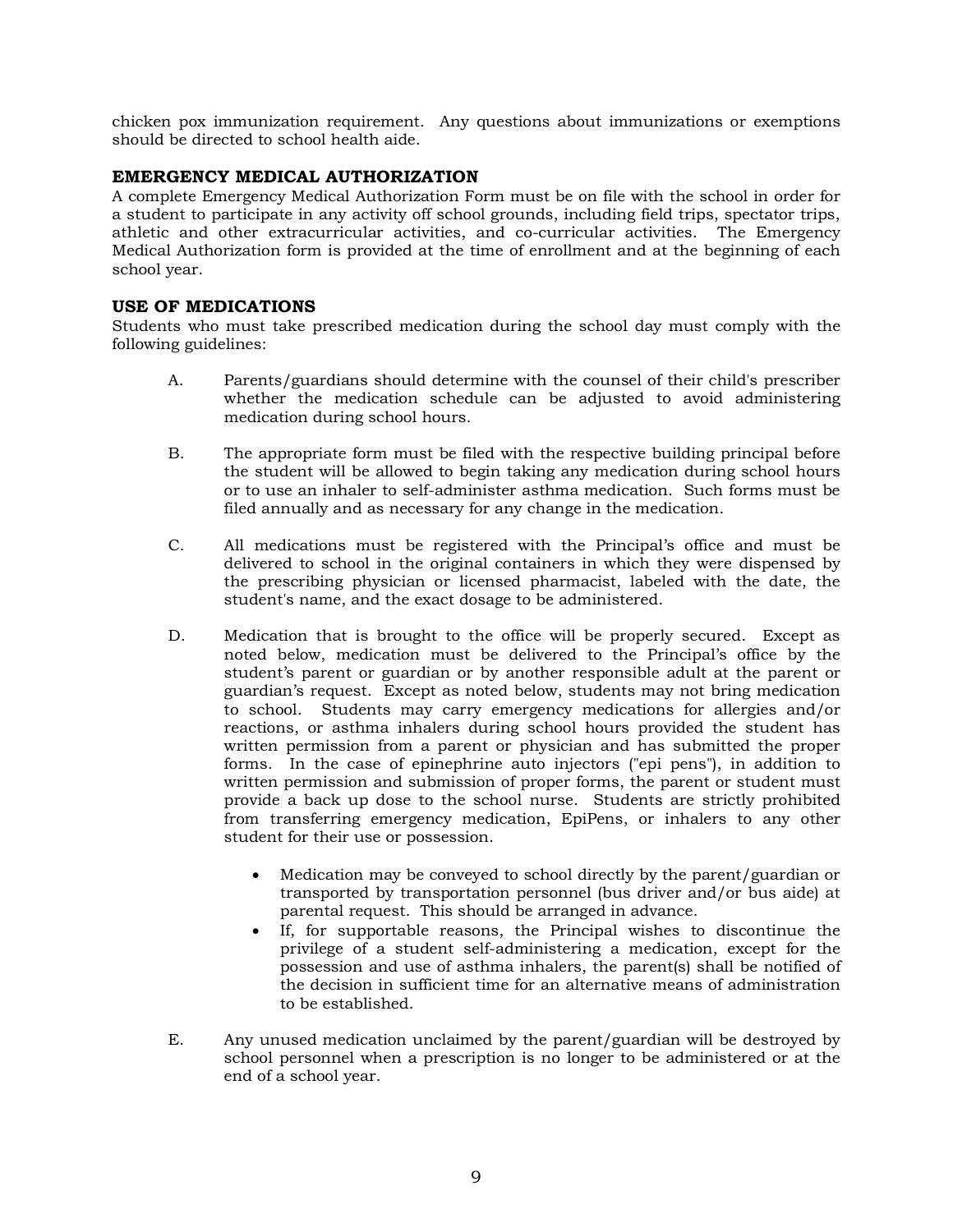chicken pox immunization requirement. Any questions about immunizations or exemptions should be directed to school health aide.

### **EMERGENCY MEDICAL AUTHORIZATION**

A complete Emergency Medical Authorization Form must be on file with the school in order for a student to participate in any activity off school grounds, including field trips, spectator trips, athletic and other extracurricular activities, and co-curricular activities. The Emergency Medical Authorization form is provided at the time of enrollment and at the beginning of each school year.

### **USE OF MEDICATIONS**

Students who must take prescribed medication during the school day must comply with the following guidelines:

- A. Parents/guardians should determine with the counsel of their child's prescriber whether the medication schedule can be adjusted to avoid administering medication during school hours.
- B. The appropriate form must be filed with the respective building principal before the student will be allowed to begin taking any medication during school hours or to use an inhaler to self-administer asthma medication. Such forms must be filed annually and as necessary for any change in the medication.
- C. All medications must be registered with the Principal's office and must be delivered to school in the original containers in which they were dispensed by the prescribing physician or licensed pharmacist, labeled with the date, the student's name, and the exact dosage to be administered.
- D. Medication that is brought to the office will be properly secured. Except as noted below, medication must be delivered to the Principal's office by the student's parent or guardian or by another responsible adult at the parent or guardian's request. Except as noted below, students may not bring medication to school. Students may carry emergency medications for allergies and/or reactions, or asthma inhalers during school hours provided the student has written permission from a parent or physician and has submitted the proper forms. In the case of epinephrine auto injectors ("epi pens"), in addition to written permission and submission of proper forms, the parent or student must provide a back up dose to the school nurse. Students are strictly prohibited from transferring emergency medication, EpiPens, or inhalers to any other student for their use or possession.
	- Medication may be conveyed to school directly by the parent/guardian or transported by transportation personnel (bus driver and/or bus aide) at parental request. This should be arranged in advance.
	- If, for supportable reasons, the Principal wishes to discontinue the privilege of a student self-administering a medication, except for the possession and use of asthma inhalers, the parent(s) shall be notified of the decision in sufficient time for an alternative means of administration to be established.
- E. Any unused medication unclaimed by the parent/guardian will be destroyed by school personnel when a prescription is no longer to be administered or at the end of a school year.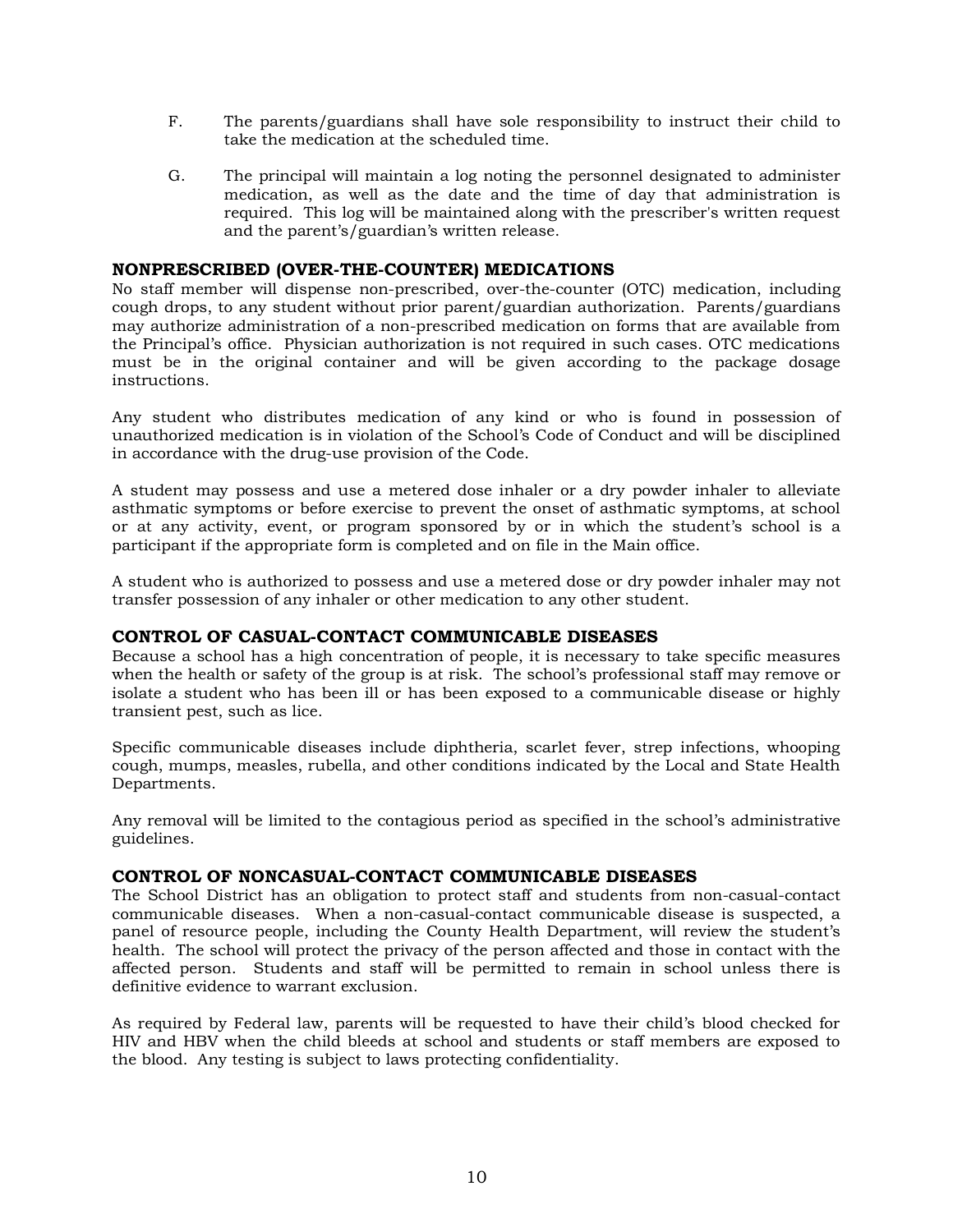- F. The parents/guardians shall have sole responsibility to instruct their child to take the medication at the scheduled time.
- G. The principal will maintain a log noting the personnel designated to administer medication, as well as the date and the time of day that administration is required. This log will be maintained along with the prescriber's written request and the parent's/guardian's written release.

### **NONPRESCRIBED (OVER-THE-COUNTER) MEDICATIONS**

No staff member will dispense non-prescribed, over-the-counter (OTC) medication, including cough drops, to any student without prior parent/guardian authorization. Parents/guardians may authorize administration of a non-prescribed medication on forms that are available from the Principal's office. Physician authorization is not required in such cases. OTC medications must be in the original container and will be given according to the package dosage instructions.

Any student who distributes medication of any kind or who is found in possession of unauthorized medication is in violation of the School's Code of Conduct and will be disciplined in accordance with the drug-use provision of the Code.

A student may possess and use a metered dose inhaler or a dry powder inhaler to alleviate asthmatic symptoms or before exercise to prevent the onset of asthmatic symptoms, at school or at any activity, event, or program sponsored by or in which the student's school is a participant if the appropriate form is completed and on file in the Main office.

A student who is authorized to possess and use a metered dose or dry powder inhaler may not transfer possession of any inhaler or other medication to any other student.

### **CONTROL OF CASUAL-CONTACT COMMUNICABLE DISEASES**

Because a school has a high concentration of people, it is necessary to take specific measures when the health or safety of the group is at risk. The school's professional staff may remove or isolate a student who has been ill or has been exposed to a communicable disease or highly transient pest, such as lice.

Specific communicable diseases include diphtheria, scarlet fever, strep infections, whooping cough, mumps, measles, rubella, and other conditions indicated by the Local and State Health Departments.

Any removal will be limited to the contagious period as specified in the school's administrative guidelines.

### **CONTROL OF NONCASUAL-CONTACT COMMUNICABLE DISEASES**

The School District has an obligation to protect staff and students from non-casual-contact communicable diseases. When a non-casual-contact communicable disease is suspected, a panel of resource people, including the County Health Department, will review the student's health. The school will protect the privacy of the person affected and those in contact with the affected person. Students and staff will be permitted to remain in school unless there is definitive evidence to warrant exclusion.

As required by Federal law, parents will be requested to have their child's blood checked for HIV and HBV when the child bleeds at school and students or staff members are exposed to the blood. Any testing is subject to laws protecting confidentiality.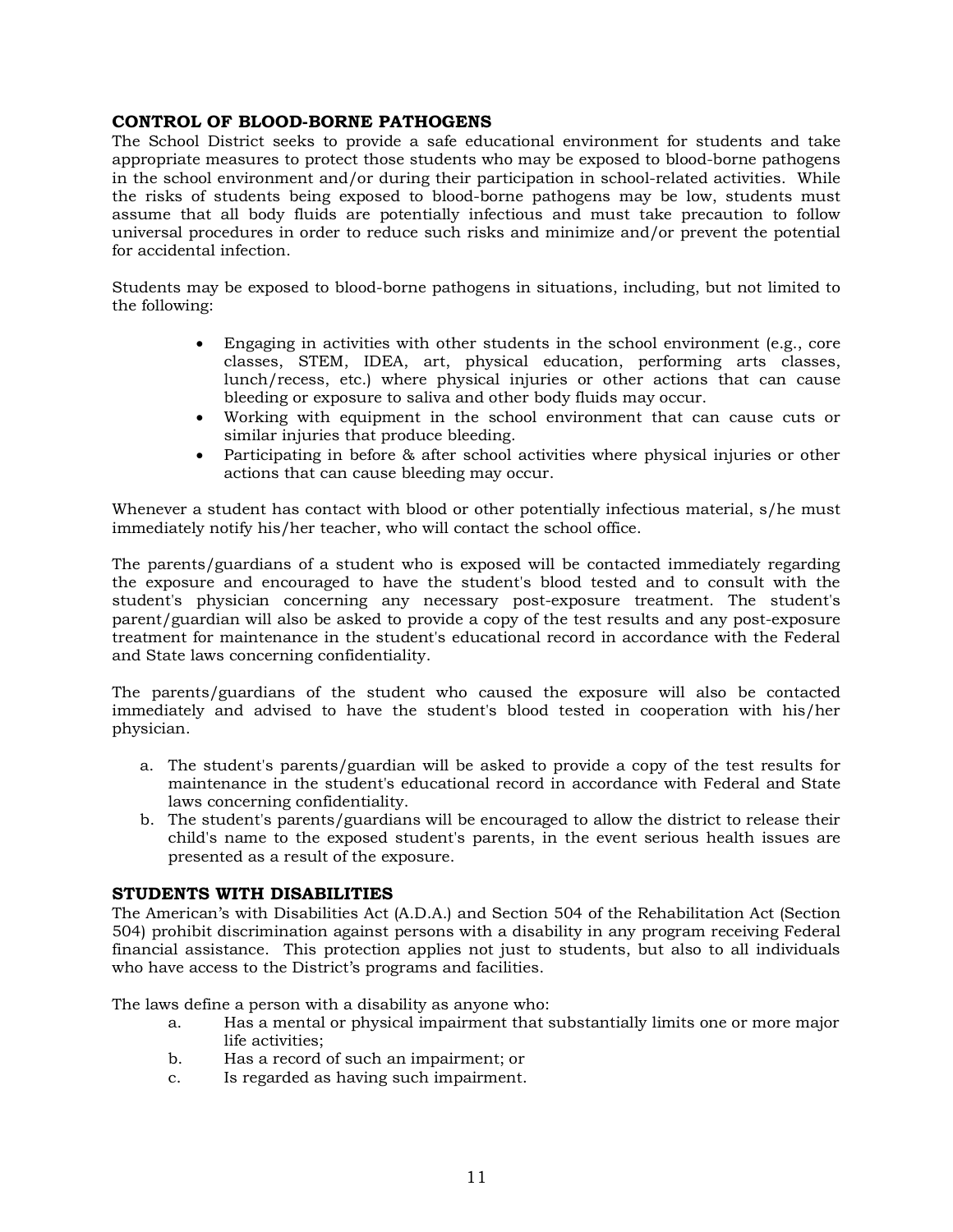### **CONTROL OF BLOOD-BORNE PATHOGENS**

The School District seeks to provide a safe educational environment for students and take appropriate measures to protect those students who may be exposed to blood-borne pathogens in the school environment and/or during their participation in school-related activities. While the risks of students being exposed to blood-borne pathogens may be low, students must assume that all body fluids are potentially infectious and must take precaution to follow universal procedures in order to reduce such risks and minimize and/or prevent the potential for accidental infection.

Students may be exposed to blood-borne pathogens in situations, including, but not limited to the following:

- Engaging in activities with other students in the school environment (e.g., core classes, STEM, IDEA, art, physical education, performing arts classes, lunch/recess, etc.) where physical injuries or other actions that can cause bleeding or exposure to saliva and other body fluids may occur.
- Working with equipment in the school environment that can cause cuts or similar injuries that produce bleeding.
- Participating in before & after school activities where physical injuries or other actions that can cause bleeding may occur.

Whenever a student has contact with blood or other potentially infectious material, s/he must immediately notify his/her teacher, who will contact the school office.

The parents/guardians of a student who is exposed will be contacted immediately regarding the exposure and encouraged to have the student's blood tested and to consult with the student's physician concerning any necessary post-exposure treatment. The student's parent/guardian will also be asked to provide a copy of the test results and any post-exposure treatment for maintenance in the student's educational record in accordance with the Federal and State laws concerning confidentiality.

The parents/guardians of the student who caused the exposure will also be contacted immediately and advised to have the student's blood tested in cooperation with his/her physician.

- a. The student's parents/guardian will be asked to provide a copy of the test results for maintenance in the student's educational record in accordance with Federal and State laws concerning confidentiality.
- b. The student's parents/guardians will be encouraged to allow the district to release their child's name to the exposed student's parents, in the event serious health issues are presented as a result of the exposure.

### **STUDENTS WITH DISABILITIES**

The American's with Disabilities Act (A.D.A.) and Section 504 of the Rehabilitation Act (Section 504) prohibit discrimination against persons with a disability in any program receiving Federal financial assistance. This protection applies not just to students, but also to all individuals who have access to the District's programs and facilities.

The laws define a person with a disability as anyone who:

- a. Has a mental or physical impairment that substantially limits one or more major life activities;
- b. Has a record of such an impairment; or
- c. Is regarded as having such impairment.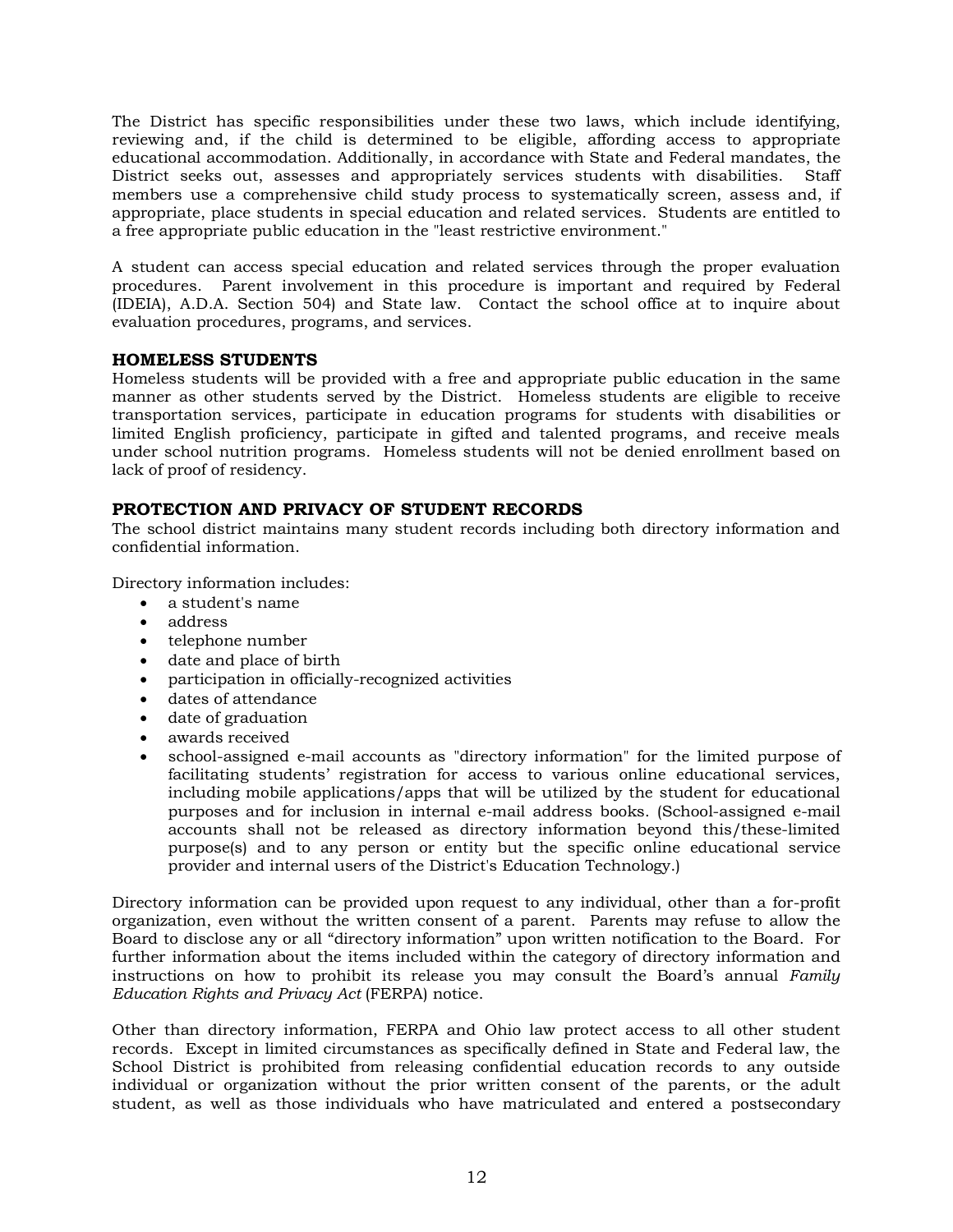The District has specific responsibilities under these two laws, which include identifying, reviewing and, if the child is determined to be eligible, affording access to appropriate educational accommodation. Additionally, in accordance with State and Federal mandates, the District seeks out, assesses and appropriately services students with disabilities. Staff members use a comprehensive child study process to systematically screen, assess and, if appropriate, place students in special education and related services. Students are entitled to a free appropriate public education in the "least restrictive environment."

A student can access special education and related services through the proper evaluation procedures. Parent involvement in this procedure is important and required by Federal (IDEIA), A.D.A. Section 504) and State law. Contact the school office at to inquire about evaluation procedures, programs, and services.

### **HOMELESS STUDENTS**

Homeless students will be provided with a free and appropriate public education in the same manner as other students served by the District. Homeless students are eligible to receive transportation services, participate in education programs for students with disabilities or limited English proficiency, participate in gifted and talented programs, and receive meals under school nutrition programs. Homeless students will not be denied enrollment based on lack of proof of residency.

### **PROTECTION AND PRIVACY OF STUDENT RECORDS**

The school district maintains many student records including both directory information and confidential information.

Directory information includes:

- a student's name
- address
- telephone number
- date and place of birth
- participation in officially-recognized activities
- dates of attendance
- date of graduation
- awards received
- school-assigned e-mail accounts as "directory information" for the limited purpose of facilitating students' registration for access to various online educational services, including mobile applications/apps that will be utilized by the student for educational purposes and for inclusion in internal e-mail address books. (School-assigned e-mail accounts shall not be released as directory information beyond this/these-limited purpose(s) and to any person or entity but the specific online educational service provider and internal users of the District's Education Technology.)

Directory information can be provided upon request to any individual, other than a for-profit organization, even without the written consent of a parent. Parents may refuse to allow the Board to disclose any or all "directory information" upon written notification to the Board. For further information about the items included within the category of directory information and instructions on how to prohibit its release you may consult the Board's annual *Family Education Rights and Privacy Act* (FERPA) notice.

Other than directory information, FERPA and Ohio law protect access to all other student records. Except in limited circumstances as specifically defined in State and Federal law, the School District is prohibited from releasing confidential education records to any outside individual or organization without the prior written consent of the parents, or the adult student, as well as those individuals who have matriculated and entered a postsecondary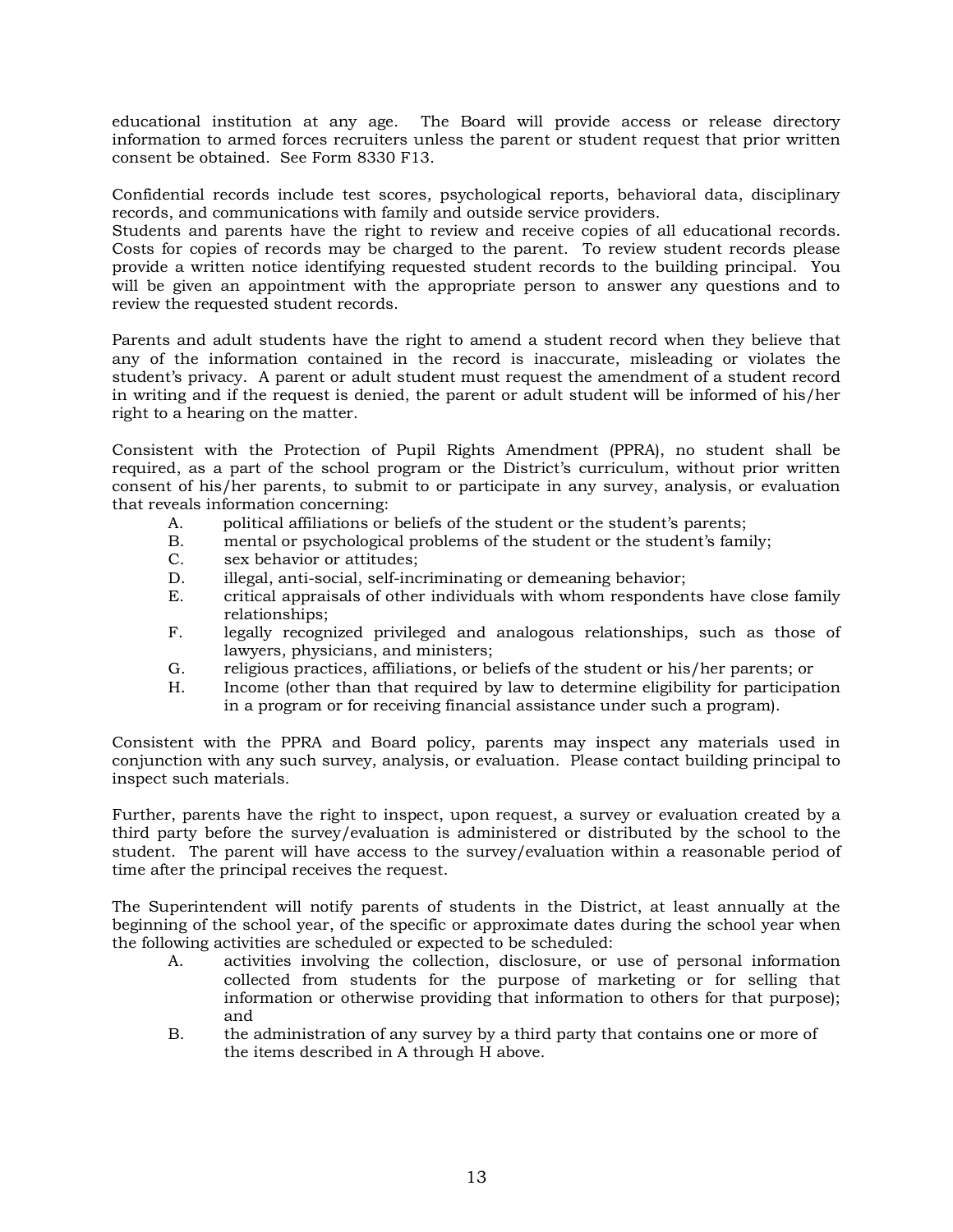educational institution at any age. The Board will provide access or release directory information to armed forces recruiters unless the parent or student request that prior written consent be obtained. See Form 8330 F13.

Confidential records include test scores, psychological reports, behavioral data, disciplinary records, and communications with family and outside service providers.

Students and parents have the right to review and receive copies of all educational records. Costs for copies of records may be charged to the parent. To review student records please provide a written notice identifying requested student records to the building principal. You will be given an appointment with the appropriate person to answer any questions and to review the requested student records.

Parents and adult students have the right to amend a student record when they believe that any of the information contained in the record is inaccurate, misleading or violates the student's privacy. A parent or adult student must request the amendment of a student record in writing and if the request is denied, the parent or adult student will be informed of his/her right to a hearing on the matter.

Consistent with the Protection of Pupil Rights Amendment (PPRA), no student shall be required, as a part of the school program or the District's curriculum, without prior written consent of his/her parents, to submit to or participate in any survey, analysis, or evaluation that reveals information concerning:

- A. political affiliations or beliefs of the student or the student's parents;
- B. mental or psychological problems of the student or the student's family;
- C. sex behavior or attitudes;
- D. illegal, anti-social, self-incriminating or demeaning behavior;
- E. critical appraisals of other individuals with whom respondents have close family relationships;
- F. legally recognized privileged and analogous relationships, such as those of lawyers, physicians, and ministers;
- G. religious practices, affiliations, or beliefs of the student or his/her parents; or
- H. Income (other than that required by law to determine eligibility for participation in a program or for receiving financial assistance under such a program).

Consistent with the PPRA and Board policy, parents may inspect any materials used in conjunction with any such survey, analysis, or evaluation. Please contact building principal to inspect such materials.

Further, parents have the right to inspect, upon request, a survey or evaluation created by a third party before the survey/evaluation is administered or distributed by the school to the student. The parent will have access to the survey/evaluation within a reasonable period of time after the principal receives the request.

The Superintendent will notify parents of students in the District, at least annually at the beginning of the school year, of the specific or approximate dates during the school year when the following activities are scheduled or expected to be scheduled:

- A. activities involving the collection, disclosure, or use of personal information collected from students for the purpose of marketing or for selling that information or otherwise providing that information to others for that purpose); and
- B. the administration of any survey by a third party that contains one or more of the items described in A through H above.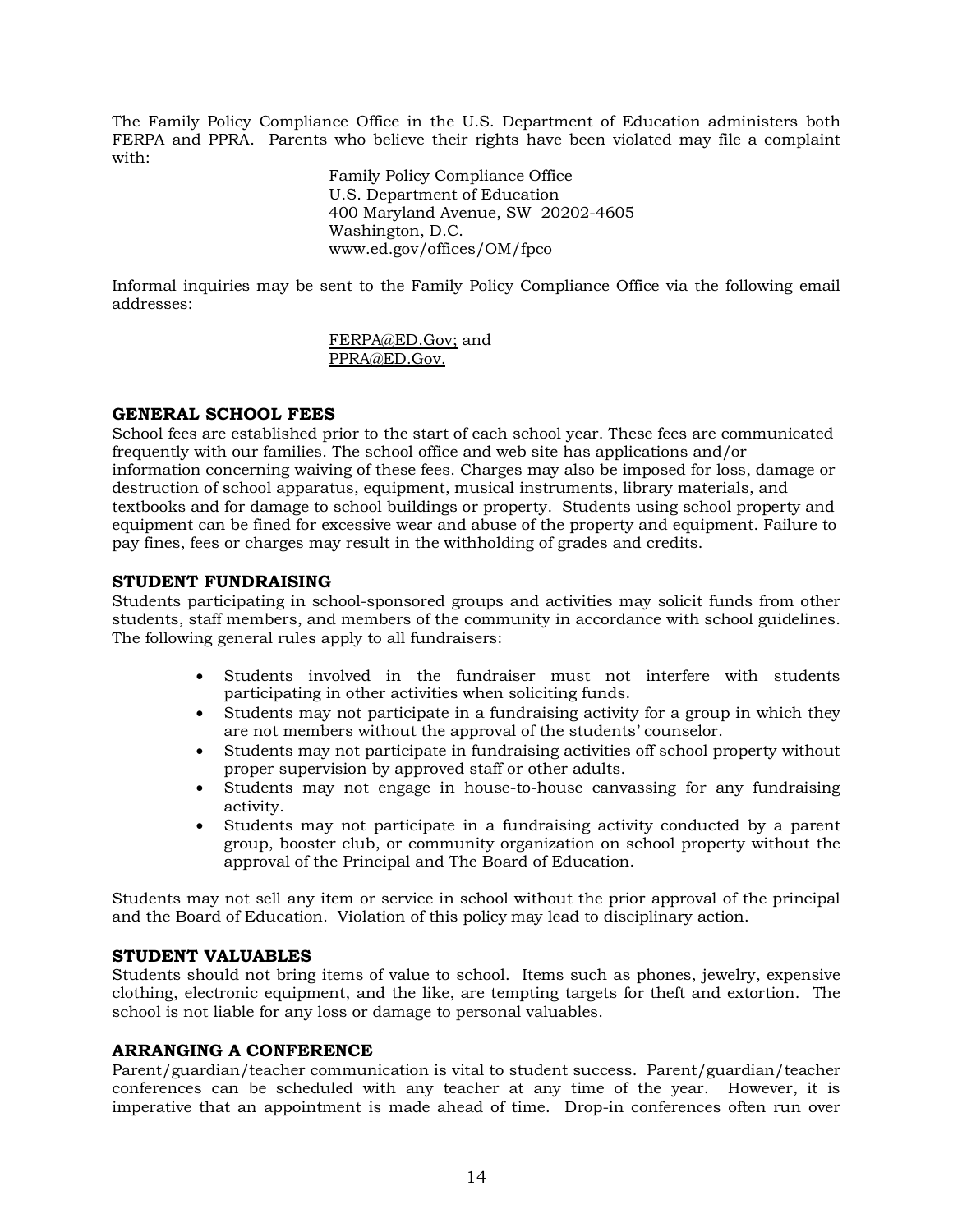The Family Policy Compliance Office in the U.S. Department of Education administers both FERPA and PPRA. Parents who believe their rights have been violated may file a complaint with:

> Family Policy Compliance Office U.S. Department of Education 400 Maryland Avenue, SW 20202-4605 Washington, D.C. www.ed.gov/offices/OM/fpco

Informal inquiries may be sent to the Family Policy Compliance Office via the following email addresses:

> FERPA@ED.Gov; and PPRA@ED.Gov.

### **GENERAL SCHOOL FEES**

School fees are established prior to the start of each school year. These fees are communicated frequently with our families. The school office and web site has applications and/or information concerning waiving of these fees. Charges may also be imposed for loss, damage or destruction of school apparatus, equipment, musical instruments, library materials, and textbooks and for damage to school buildings or property. Students using school property and equipment can be fined for excessive wear and abuse of the property and equipment. Failure to pay fines, fees or charges may result in the withholding of grades and credits.

### **STUDENT FUNDRAISING**

Students participating in school-sponsored groups and activities may solicit funds from other students, staff members, and members of the community in accordance with school guidelines. The following general rules apply to all fundraisers:

- Students involved in the fundraiser must not interfere with students participating in other activities when soliciting funds.
- Students may not participate in a fundraising activity for a group in which they are not members without the approval of the students' counselor.
- Students may not participate in fundraising activities off school property without proper supervision by approved staff or other adults.
- Students may not engage in house-to-house canvassing for any fundraising activity.
- Students may not participate in a fundraising activity conducted by a parent group, booster club, or community organization on school property without the approval of the Principal and The Board of Education.

Students may not sell any item or service in school without the prior approval of the principal and the Board of Education. Violation of this policy may lead to disciplinary action.

### **STUDENT VALUABLES**

Students should not bring items of value to school. Items such as phones, jewelry, expensive clothing, electronic equipment, and the like, are tempting targets for theft and extortion. The school is not liable for any loss or damage to personal valuables.

### **ARRANGING A CONFERENCE**

Parent/guardian/teacher communication is vital to student success. Parent/guardian/teacher conferences can be scheduled with any teacher at any time of the year. However, it is imperative that an appointment is made ahead of time. Drop-in conferences often run over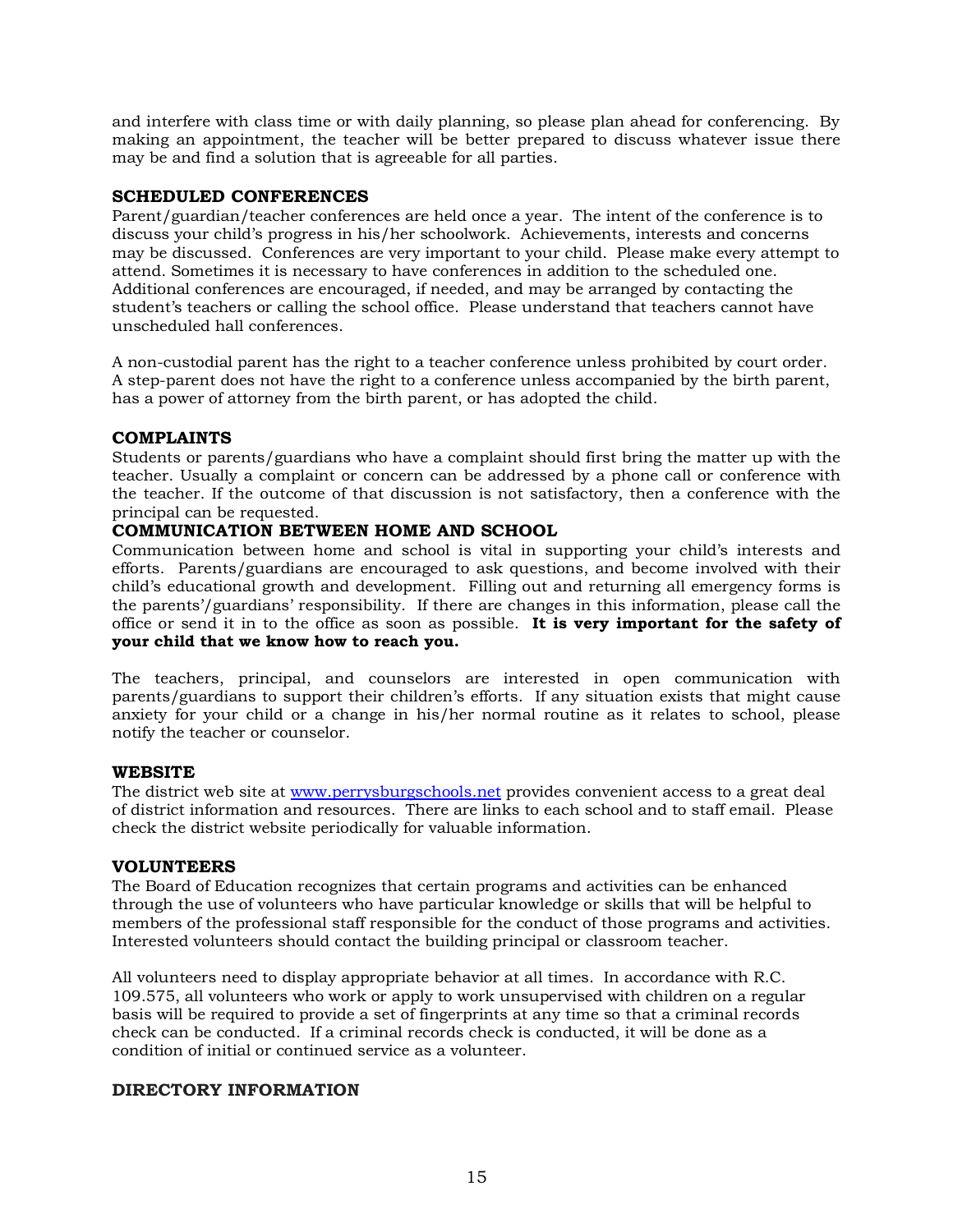and interfere with class time or with daily planning, so please plan ahead for conferencing. By making an appointment, the teacher will be better prepared to discuss whatever issue there may be and find a solution that is agreeable for all parties.

### **SCHEDULED CONFERENCES**

Parent/guardian/teacher conferences are held once a year. The intent of the conference is to discuss your child's progress in his/her schoolwork. Achievements, interests and concerns may be discussed. Conferences are very important to your child. Please make every attempt to attend. Sometimes it is necessary to have conferences in addition to the scheduled one. Additional conferences are encouraged, if needed, and may be arranged by contacting the student's teachers or calling the school office. Please understand that teachers cannot have unscheduled hall conferences.

A non-custodial parent has the right to a teacher conference unless prohibited by court order. A step-parent does not have the right to a conference unless accompanied by the birth parent, has a power of attorney from the birth parent, or has adopted the child.

### **COMPLAINTS**

Students or parents/guardians who have a complaint should first bring the matter up with the teacher. Usually a complaint or concern can be addressed by a phone call or conference with the teacher. If the outcome of that discussion is not satisfactory, then a conference with the principal can be requested.

### **COMMUNICATION BETWEEN HOME AND SCHOOL**

Communication between home and school is vital in supporting your child's interests and efforts. Parents/guardians are encouraged to ask questions, and become involved with their child's educational growth and development. Filling out and returning all emergency forms is the parents'/guardians' responsibility. If there are changes in this information, please call the office or send it in to the office as soon as possible. **It is very important for the safety of your child that we know how to reach you.** 

The teachers, principal, and counselors are interested in open communication with parents/guardians to support their children's efforts. If any situation exists that might cause anxiety for your child or a change in his/her normal routine as it relates to school, please notify the teacher or counselor.

### **WEBSITE**

The district web site at www.perrysburgschools.net provides convenient access to a great deal of district information and resources. There are links to each school and to staff email. Please check the district website periodically for valuable information.

### **VOLUNTEERS**

The Board of Education recognizes that certain programs and activities can be enhanced through the use of volunteers who have particular knowledge or skills that will be helpful to members of the professional staff responsible for the conduct of those programs and activities. Interested volunteers should contact the building principal or classroom teacher.

All volunteers need to display appropriate behavior at all times. In accordance with R.C. 109.575, all volunteers who work or apply to work unsupervised with children on a regular basis will be required to provide a set of fingerprints at any time so that a criminal records check can be conducted. If a criminal records check is conducted, it will be done as a condition of initial or continued service as a volunteer.

### **DIRECTORY INFORMATION**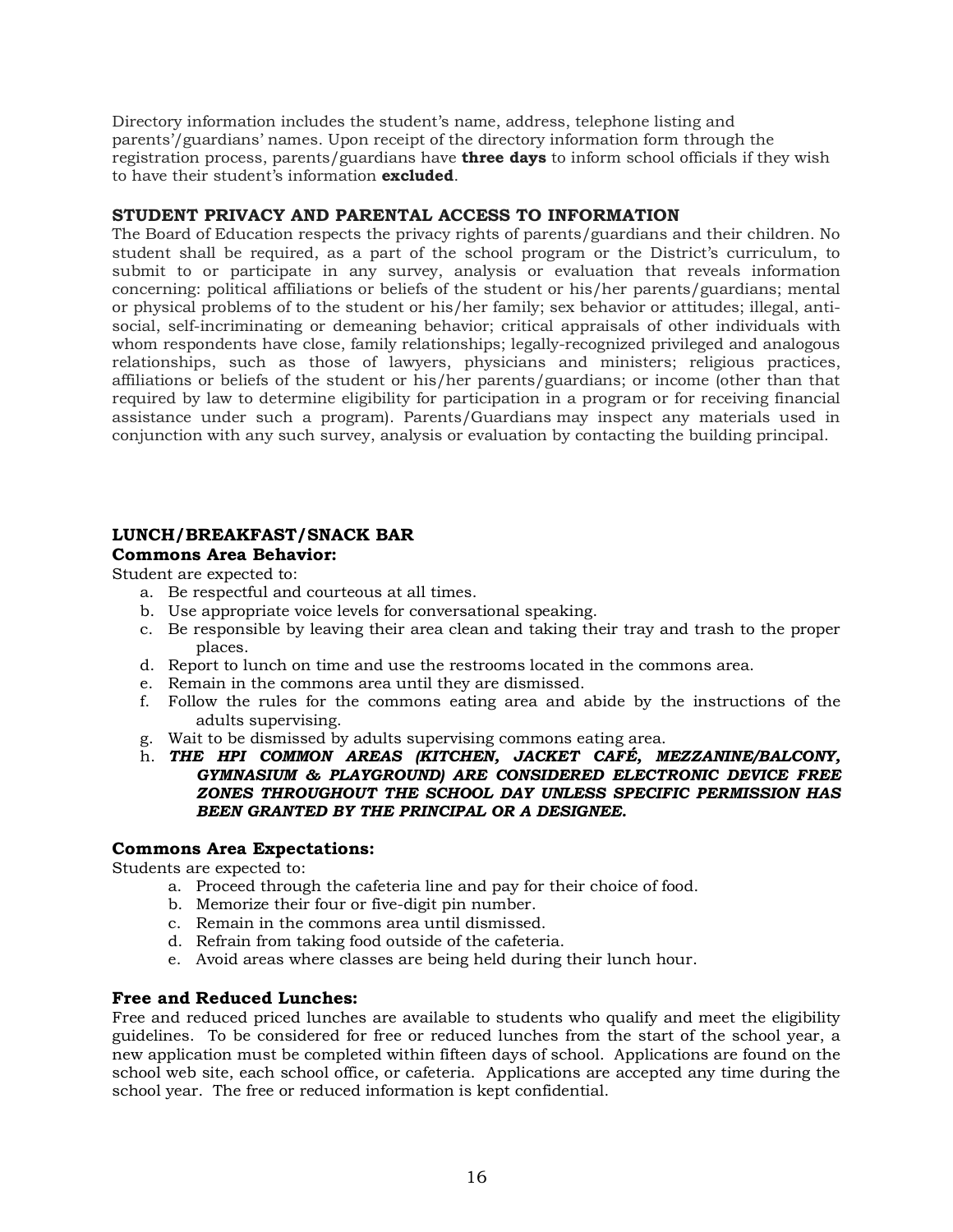Directory information includes the student's name, address, telephone listing and parents'/guardians' names. Upon receipt of the directory information form through the registration process, parents/guardians have **three days** to inform school officials if they wish to have their student's information **excluded**.

### **STUDENT PRIVACY AND PARENTAL ACCESS TO INFORMATION**

The Board of Education respects the privacy rights of parents/guardians and their children. No student shall be required, as a part of the school program or the District's curriculum, to submit to or participate in any survey, analysis or evaluation that reveals information concerning: political affiliations or beliefs of the student or his/her parents/guardians; mental or physical problems of to the student or his/her family; sex behavior or attitudes; illegal, antisocial, self-incriminating or demeaning behavior; critical appraisals of other individuals with whom respondents have close, family relationships; legally-recognized privileged and analogous relationships, such as those of lawyers, physicians and ministers; religious practices, affiliations or beliefs of the student or his/her parents/guardians; or income (other than that required by law to determine eligibility for participation in a program or for receiving financial assistance under such a program). Parents/Guardians may inspect any materials used in conjunction with any such survey, analysis or evaluation by contacting the building principal.

### **LUNCH/BREAKFAST/SNACK BAR**

### **Commons Area Behavior:**

Student are expected to:

- a. Be respectful and courteous at all times.
- b. Use appropriate voice levels for conversational speaking.
- c. Be responsible by leaving their area clean and taking their tray and trash to the proper places.
- d. Report to lunch on time and use the restrooms located in the commons area.
- e. Remain in the commons area until they are dismissed.
- f. Follow the rules for the commons eating area and abide by the instructions of the adults supervising.
- g. Wait to be dismissed by adults supervising commons eating area.
- h. *THE HPI COMMON AREAS (KITCHEN, JACKET CAFÉ, MEZZANINE/BALCONY, GYMNASIUM & PLAYGROUND) ARE CONSIDERED ELECTRONIC DEVICE FREE ZONES THROUGHOUT THE SCHOOL DAY UNLESS SPECIFIC PERMISSION HAS BEEN GRANTED BY THE PRINCIPAL OR A DESIGNEE.*

### **Commons Area Expectations:**

Students are expected to:

- a. Proceed through the cafeteria line and pay for their choice of food.
- b. Memorize their four or five-digit pin number.
- c. Remain in the commons area until dismissed.
- d. Refrain from taking food outside of the cafeteria.
- e. Avoid areas where classes are being held during their lunch hour.

### **Free and Reduced Lunches:**

Free and reduced priced lunches are available to students who qualify and meet the eligibility guidelines. To be considered for free or reduced lunches from the start of the school year, a new application must be completed within fifteen days of school. Applications are found on the school web site, each school office, or cafeteria. Applications are accepted any time during the school year. The free or reduced information is kept confidential.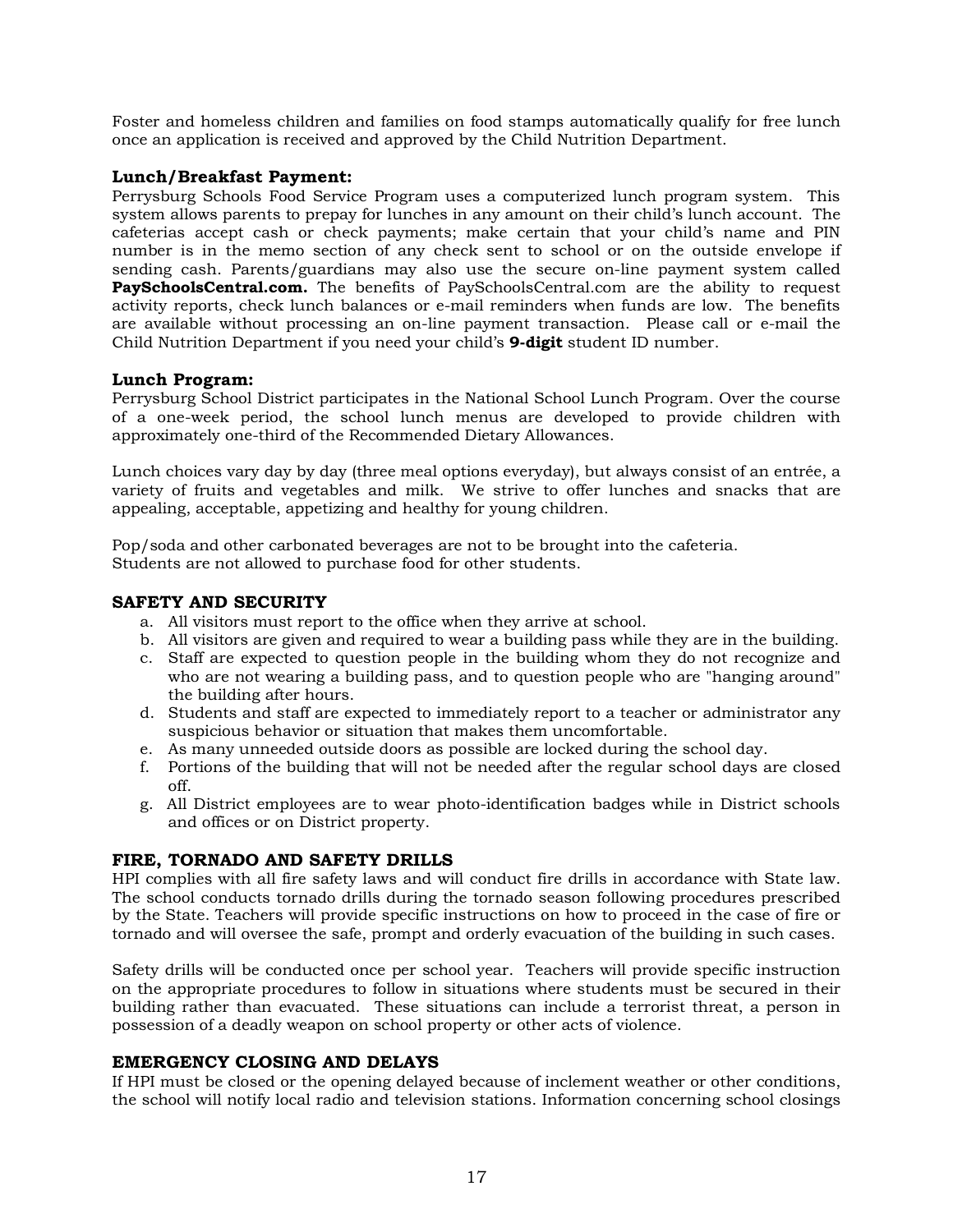Foster and homeless children and families on food stamps automatically qualify for free lunch once an application is received and approved by the Child Nutrition Department.

### **Lunch/Breakfast Payment:**

Perrysburg Schools Food Service Program uses a computerized lunch program system. This system allows parents to prepay for lunches in any amount on their child's lunch account. The cafeterias accept cash or check payments; make certain that your child's name and PIN number is in the memo section of any check sent to school or on the outside envelope if sending cash. Parents/guardians may also use the secure on-line payment system called **PaySchoolsCentral.com.** The benefits of PaySchoolsCentral.com are the ability to request activity reports, check lunch balances or e-mail reminders when funds are low. The benefits are available without processing an on-line payment transaction. Please call or e-mail the Child Nutrition Department if you need your child's **9-digit** student ID number.

### **Lunch Program:**

Perrysburg School District participates in the National School Lunch Program. Over the course of a one-week period, the school lunch menus are developed to provide children with approximately one-third of the Recommended Dietary Allowances.

Lunch choices vary day by day (three meal options everyday), but always consist of an entrée, a variety of fruits and vegetables and milk. We strive to offer lunches and snacks that are appealing, acceptable, appetizing and healthy for young children.

Pop/soda and other carbonated beverages are not to be brought into the cafeteria. Students are not allowed to purchase food for other students.

### **SAFETY AND SECURITY**

- a. All visitors must report to the office when they arrive at school.
- b. All visitors are given and required to wear a building pass while they are in the building.
- c. Staff are expected to question people in the building whom they do not recognize and who are not wearing a building pass, and to question people who are "hanging around" the building after hours.
- d. Students and staff are expected to immediately report to a teacher or administrator any suspicious behavior or situation that makes them uncomfortable.
- e. As many unneeded outside doors as possible are locked during the school day.
- f. Portions of the building that will not be needed after the regular school days are closed off.
- g. All District employees are to wear photo-identification badges while in District schools and offices or on District property.

### **FIRE, TORNADO AND SAFETY DRILLS**

HPI complies with all fire safety laws and will conduct fire drills in accordance with State law. The school conducts tornado drills during the tornado season following procedures prescribed by the State. Teachers will provide specific instructions on how to proceed in the case of fire or tornado and will oversee the safe, prompt and orderly evacuation of the building in such cases.

Safety drills will be conducted once per school year. Teachers will provide specific instruction on the appropriate procedures to follow in situations where students must be secured in their building rather than evacuated. These situations can include a terrorist threat, a person in possession of a deadly weapon on school property or other acts of violence.

### **EMERGENCY CLOSING AND DELAYS**

If HPI must be closed or the opening delayed because of inclement weather or other conditions, the school will notify local radio and television stations. Information concerning school closings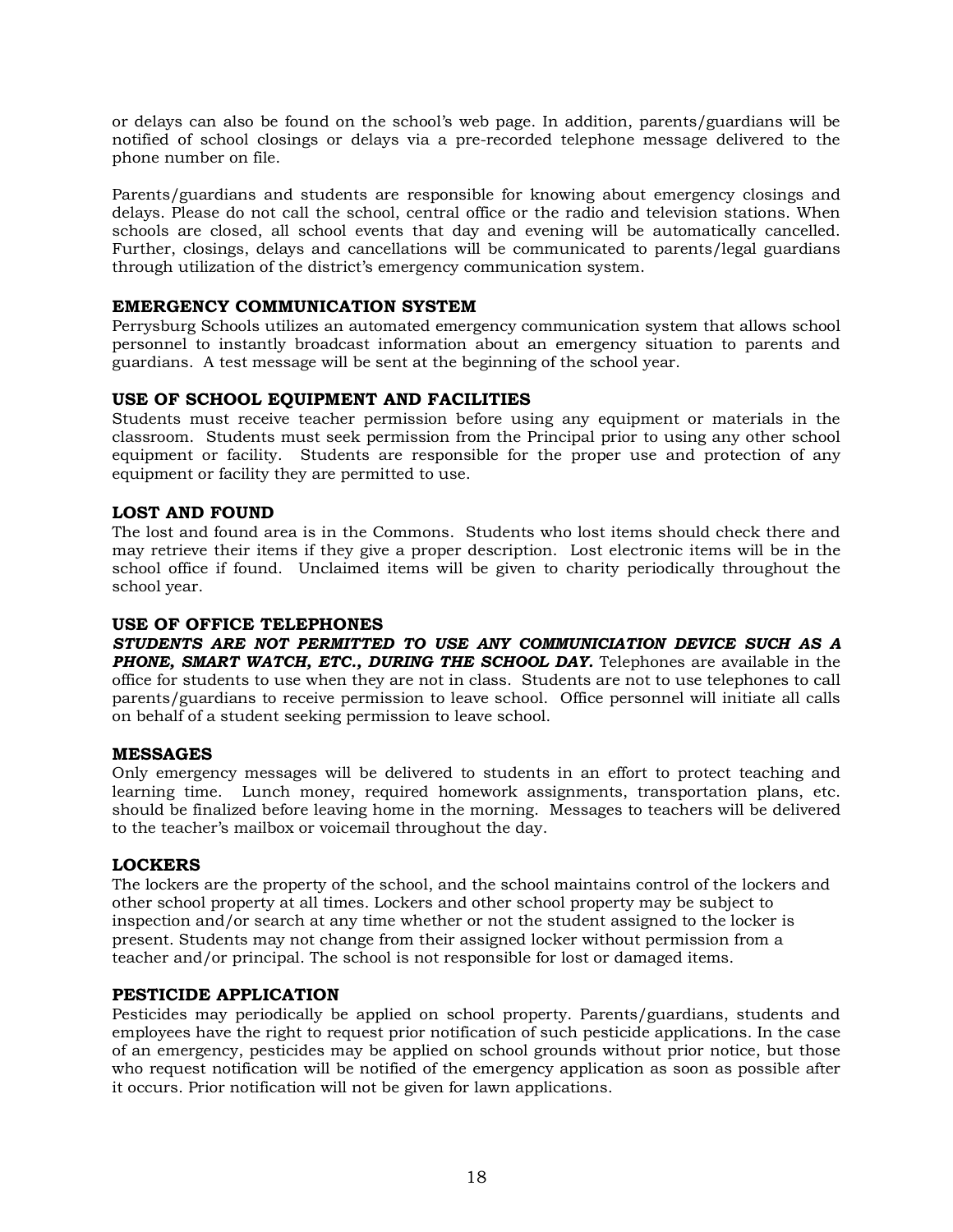or delays can also be found on the school's web page. In addition, parents/guardians will be notified of school closings or delays via a pre-recorded telephone message delivered to the phone number on file.

Parents/guardians and students are responsible for knowing about emergency closings and delays. Please do not call the school, central office or the radio and television stations. When schools are closed, all school events that day and evening will be automatically cancelled. Further, closings, delays and cancellations will be communicated to parents/legal guardians through utilization of the district's emergency communication system.

### **EMERGENCY COMMUNICATION SYSTEM**

Perrysburg Schools utilizes an automated emergency communication system that allows school personnel to instantly broadcast information about an emergency situation to parents and guardians. A test message will be sent at the beginning of the school year.

### **USE OF SCHOOL EQUIPMENT AND FACILITIES**

Students must receive teacher permission before using any equipment or materials in the classroom. Students must seek permission from the Principal prior to using any other school equipment or facility. Students are responsible for the proper use and protection of any equipment or facility they are permitted to use.

### **LOST AND FOUND**

The lost and found area is in the Commons. Students who lost items should check there and may retrieve their items if they give a proper description. Lost electronic items will be in the school office if found. Unclaimed items will be given to charity periodically throughout the school year.

### **USE OF OFFICE TELEPHONES**

*STUDENTS ARE NOT PERMITTED TO USE ANY COMMUNICIATION DEVICE SUCH AS A PHONE, SMART WATCH, ETC., DURING THE SCHOOL DAY.* Telephones are available in the office for students to use when they are not in class. Students are not to use telephones to call parents/guardians to receive permission to leave school. Office personnel will initiate all calls on behalf of a student seeking permission to leave school.

### **MESSAGES**

Only emergency messages will be delivered to students in an effort to protect teaching and learning time. Lunch money, required homework assignments, transportation plans, etc. should be finalized before leaving home in the morning. Messages to teachers will be delivered to the teacher's mailbox or voicemail throughout the day.

### **LOCKERS**

The lockers are the property of the school, and the school maintains control of the lockers and other school property at all times. Lockers and other school property may be subject to inspection and/or search at any time whether or not the student assigned to the locker is present. Students may not change from their assigned locker without permission from a teacher and/or principal. The school is not responsible for lost or damaged items.

### **PESTICIDE APPLICATION**

Pesticides may periodically be applied on school property. Parents/guardians, students and employees have the right to request prior notification of such pesticide applications. In the case of an emergency, pesticides may be applied on school grounds without prior notice, but those who request notification will be notified of the emergency application as soon as possible after it occurs. Prior notification will not be given for lawn applications.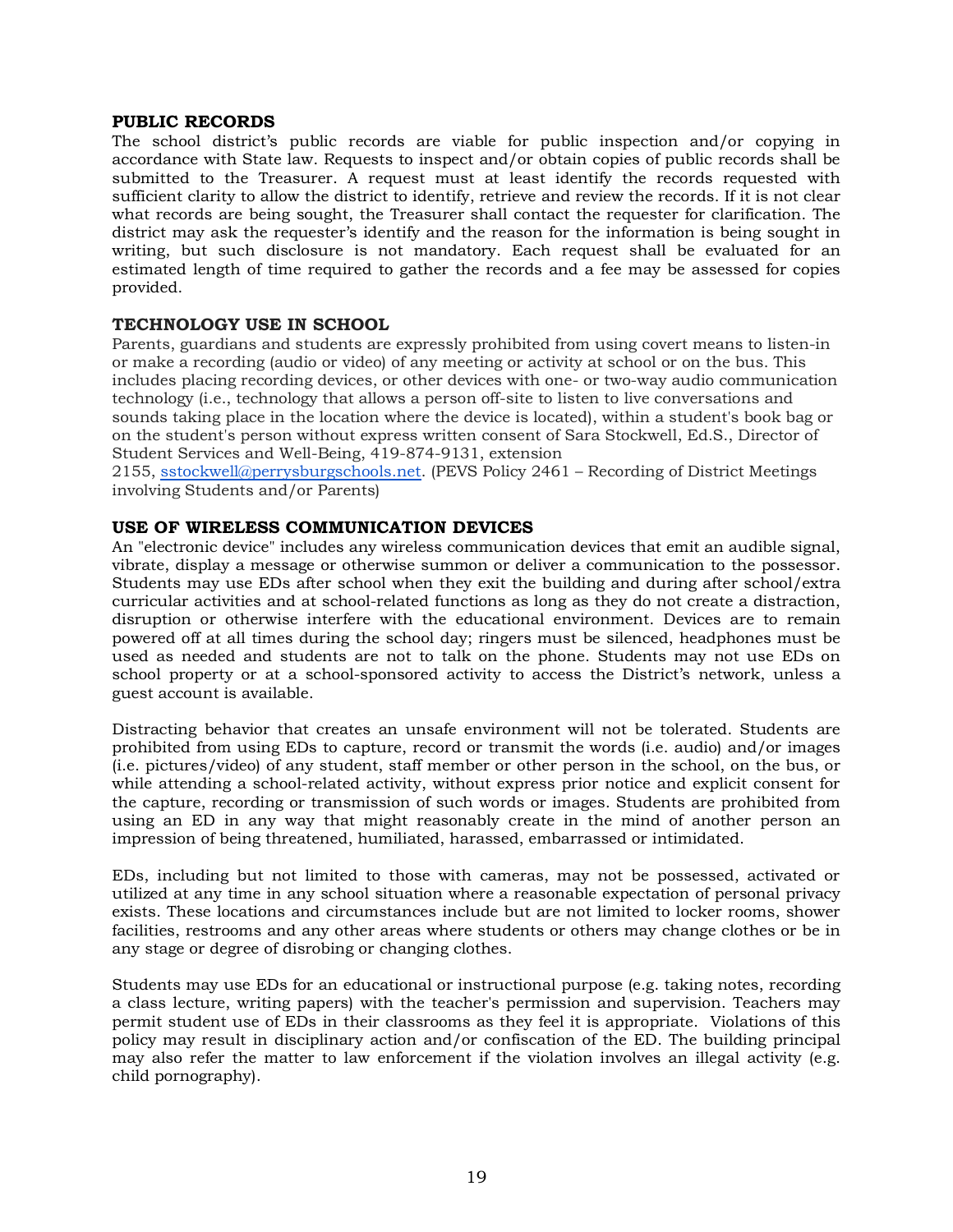### **PUBLIC RECORDS**

The school district's public records are viable for public inspection and/or copying in accordance with State law. Requests to inspect and/or obtain copies of public records shall be submitted to the Treasurer. A request must at least identify the records requested with sufficient clarity to allow the district to identify, retrieve and review the records. If it is not clear what records are being sought, the Treasurer shall contact the requester for clarification. The district may ask the requester's identify and the reason for the information is being sought in writing, but such disclosure is not mandatory. Each request shall be evaluated for an estimated length of time required to gather the records and a fee may be assessed for copies provided.

### **TECHNOLOGY USE IN SCHOOL**

Parents, guardians and students are expressly prohibited from using covert means to listen-in or make a recording (audio or video) of any meeting or activity at school or on the bus. This includes placing recording devices, or other devices with one- or two-way audio communication technology (i.e., technology that allows a person off-site to listen to live conversations and sounds taking place in the location where the device is located), within a student's book bag or on the student's person without express written consent of Sara Stockwell, Ed.S., Director of Student Services and Well-Being, 419-874-9131, extension

2155, sstockwell@perrysburgschools.net. (PEVS Policy 2461 – Recording of District Meetings involving Students and/or Parents)

### **USE OF WIRELESS COMMUNICATION DEVICES**

An "electronic device" includes any wireless communication devices that emit an audible signal, vibrate, display a message or otherwise summon or deliver a communication to the possessor. Students may use EDs after school when they exit the building and during after school/extra curricular activities and at school-related functions as long as they do not create a distraction, disruption or otherwise interfere with the educational environment. Devices are to remain powered off at all times during the school day; ringers must be silenced, headphones must be used as needed and students are not to talk on the phone. Students may not use EDs on school property or at a school-sponsored activity to access the District's network, unless a guest account is available.

Distracting behavior that creates an unsafe environment will not be tolerated. Students are prohibited from using EDs to capture, record or transmit the words (i.e. audio) and/or images (i.e. pictures/video) of any student, staff member or other person in the school, on the bus, or while attending a school-related activity, without express prior notice and explicit consent for the capture, recording or transmission of such words or images. Students are prohibited from using an ED in any way that might reasonably create in the mind of another person an impression of being threatened, humiliated, harassed, embarrassed or intimidated.

EDs, including but not limited to those with cameras, may not be possessed, activated or utilized at any time in any school situation where a reasonable expectation of personal privacy exists. These locations and circumstances include but are not limited to locker rooms, shower facilities, restrooms and any other areas where students or others may change clothes or be in any stage or degree of disrobing or changing clothes.

Students may use EDs for an educational or instructional purpose (e.g. taking notes, recording a class lecture, writing papers) with the teacher's permission and supervision. Teachers may permit student use of EDs in their classrooms as they feel it is appropriate. Violations of this policy may result in disciplinary action and/or confiscation of the ED. The building principal may also refer the matter to law enforcement if the violation involves an illegal activity (e.g. child pornography).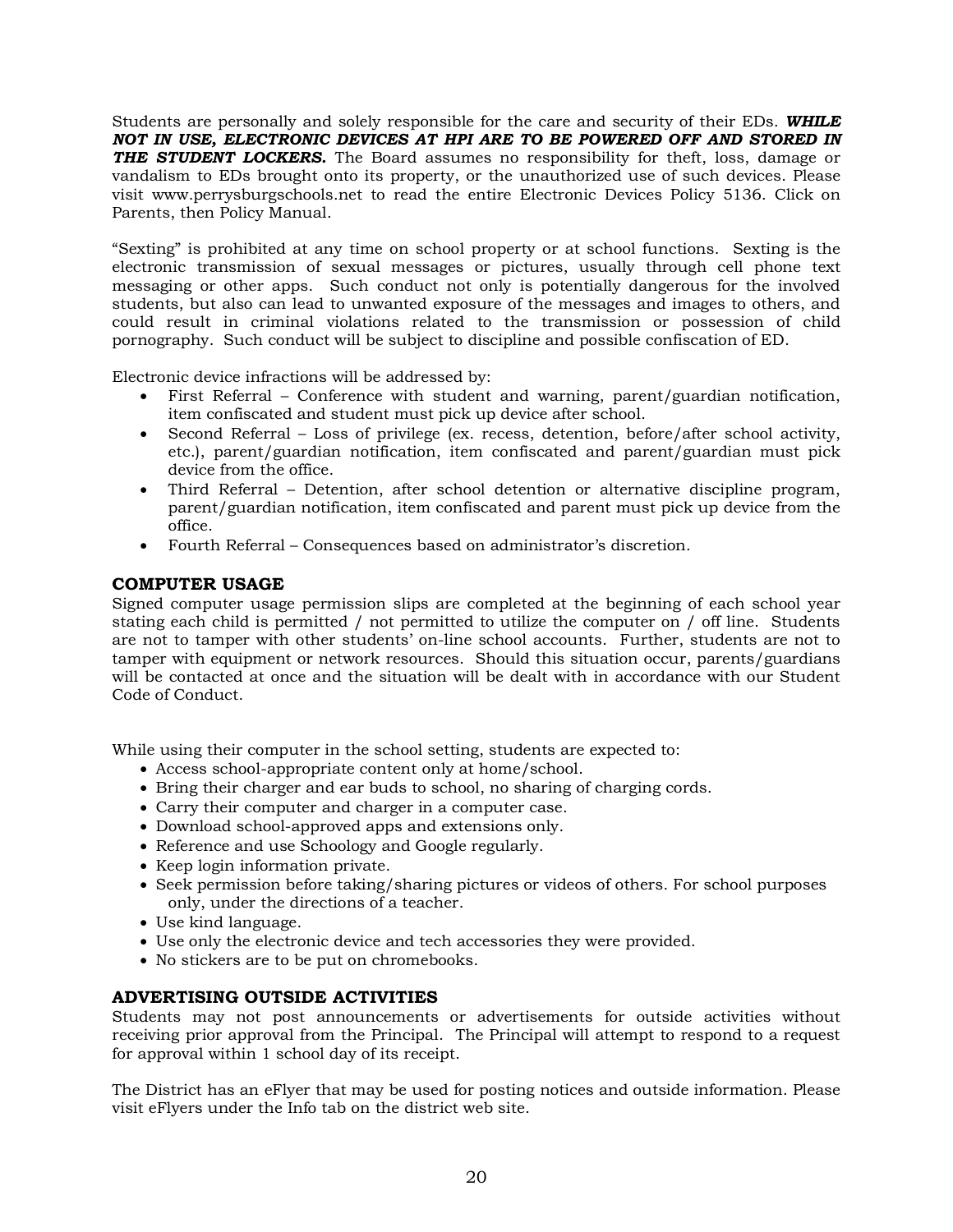Students are personally and solely responsible for the care and security of their EDs. *WHILE NOT IN USE, ELECTRONIC DEVICES AT HPI ARE TO BE POWERED OFF AND STORED IN*  **THE STUDENT LOCKERS.** The Board assumes no responsibility for theft, loss, damage or vandalism to EDs brought onto its property, or the unauthorized use of such devices. Please visit www.perrysburgschools.net to read the entire Electronic Devices Policy 5136. Click on Parents, then Policy Manual.

"Sexting" is prohibited at any time on school property or at school functions. Sexting is the electronic transmission of sexual messages or pictures, usually through cell phone text messaging or other apps. Such conduct not only is potentially dangerous for the involved students, but also can lead to unwanted exposure of the messages and images to others, and could result in criminal violations related to the transmission or possession of child pornography. Such conduct will be subject to discipline and possible confiscation of ED.

Electronic device infractions will be addressed by:

- First Referral Conference with student and warning, parent/guardian notification, item confiscated and student must pick up device after school.
- Second Referral Loss of privilege (ex. recess, detention, before/after school activity, etc.), parent/guardian notification, item confiscated and parent/guardian must pick device from the office.
- Third Referral Detention, after school detention or alternative discipline program, parent/guardian notification, item confiscated and parent must pick up device from the office.
- Fourth Referral Consequences based on administrator's discretion.

### **COMPUTER USAGE**

Signed computer usage permission slips are completed at the beginning of each school year stating each child is permitted / not permitted to utilize the computer on / off line. Students are not to tamper with other students' on-line school accounts. Further, students are not to tamper with equipment or network resources. Should this situation occur, parents/guardians will be contacted at once and the situation will be dealt with in accordance with our Student Code of Conduct.

While using their computer in the school setting, students are expected to:

- Access school-appropriate content only at home/school.
- Bring their charger and ear buds to school, no sharing of charging cords.
- Carry their computer and charger in a computer case.
- Download school-approved apps and extensions only.
- Reference and use Schoology and Google regularly.
- Keep login information private.
- Seek permission before taking/sharing pictures or videos of others. For school purposes only, under the directions of a teacher.
- Use kind language.
- Use only the electronic device and tech accessories they were provided.
- No stickers are to be put on chromebooks.

### **ADVERTISING OUTSIDE ACTIVITIES**

Students may not post announcements or advertisements for outside activities without receiving prior approval from the Principal. The Principal will attempt to respond to a request for approval within 1 school day of its receipt.

The District has an eFlyer that may be used for posting notices and outside information. Please visit eFlyers under the Info tab on the district web site.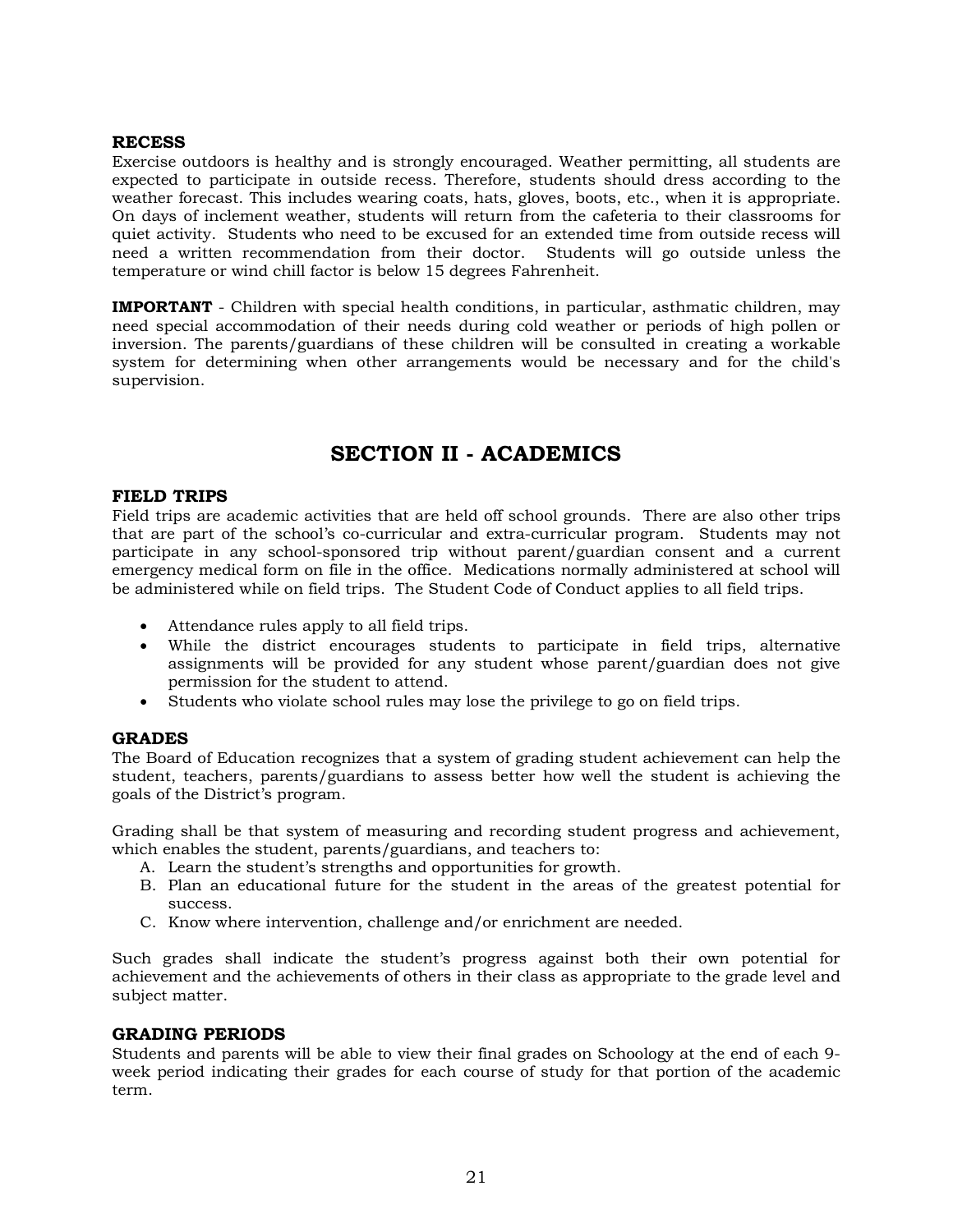### **RECESS**

Exercise outdoors is healthy and is strongly encouraged. Weather permitting, all students are expected to participate in outside recess. Therefore, students should dress according to the weather forecast. This includes wearing coats, hats, gloves, boots, etc., when it is appropriate. On days of inclement weather, students will return from the cafeteria to their classrooms for quiet activity. Students who need to be excused for an extended time from outside recess will need a written recommendation from their doctor. Students will go outside unless the temperature or wind chill factor is below 15 degrees Fahrenheit.

**IMPORTANT** - Children with special health conditions, in particular, asthmatic children, may need special accommodation of their needs during cold weather or periods of high pollen or inversion. The parents/guardians of these children will be consulted in creating a workable system for determining when other arrangements would be necessary and for the child's supervision.

### **SECTION II - ACADEMICS**

### **FIELD TRIPS**

Field trips are academic activities that are held off school grounds. There are also other trips that are part of the school's co-curricular and extra-curricular program. Students may not participate in any school-sponsored trip without parent/guardian consent and a current emergency medical form on file in the office. Medications normally administered at school will be administered while on field trips. The Student Code of Conduct applies to all field trips.

- Attendance rules apply to all field trips.
- While the district encourages students to participate in field trips, alternative assignments will be provided for any student whose parent/guardian does not give permission for the student to attend.
- Students who violate school rules may lose the privilege to go on field trips.

### **GRADES**

The Board of Education recognizes that a system of grading student achievement can help the student, teachers, parents/guardians to assess better how well the student is achieving the goals of the District's program.

Grading shall be that system of measuring and recording student progress and achievement, which enables the student, parents/guardians, and teachers to:

- A. Learn the student's strengths and opportunities for growth.
- B. Plan an educational future for the student in the areas of the greatest potential for success.
- C. Know where intervention, challenge and/or enrichment are needed.

Such grades shall indicate the student's progress against both their own potential for achievement and the achievements of others in their class as appropriate to the grade level and subject matter.

### **GRADING PERIODS**

Students and parents will be able to view their final grades on Schoology at the end of each 9 week period indicating their grades for each course of study for that portion of the academic term.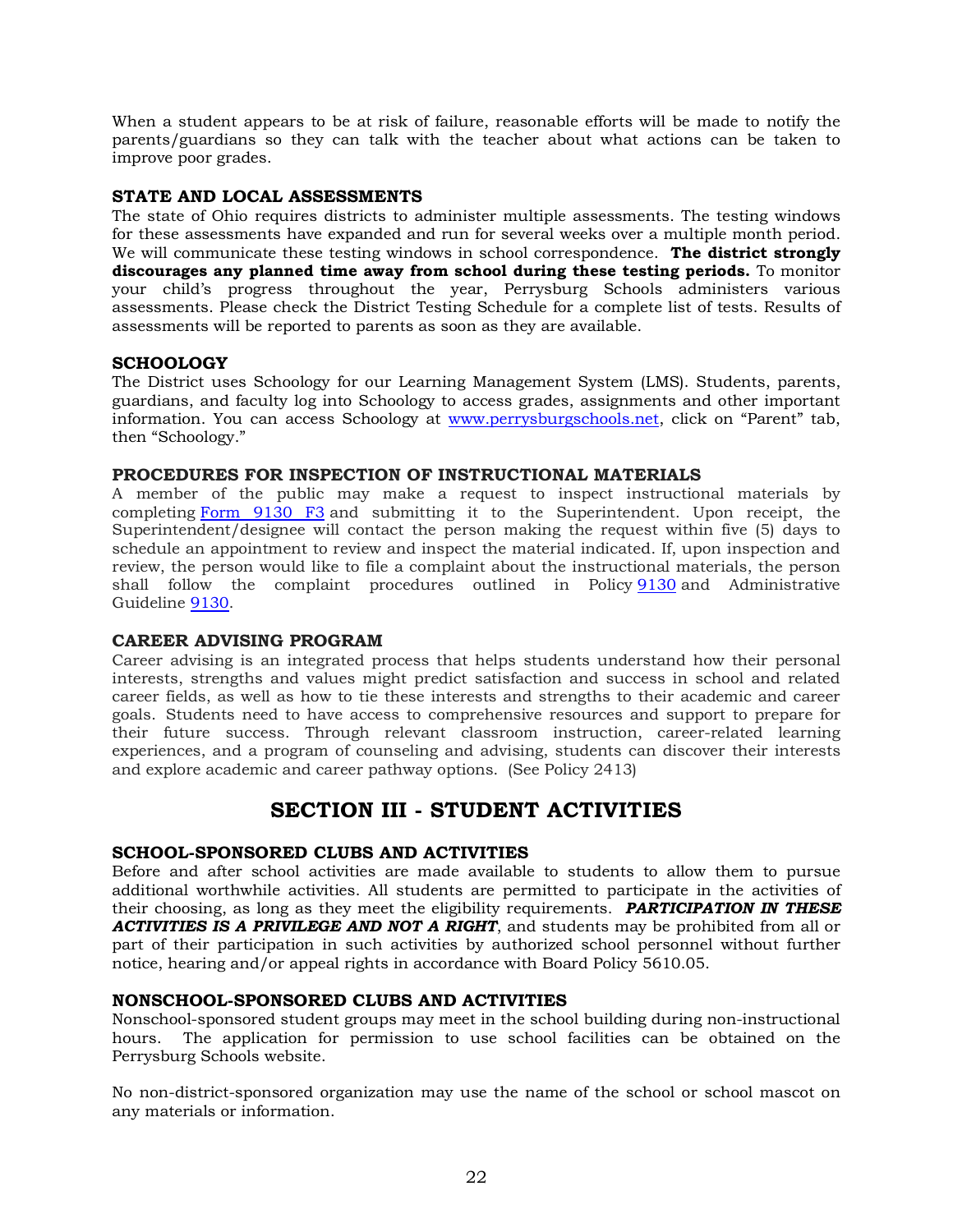When a student appears to be at risk of failure, reasonable efforts will be made to notify the parents/guardians so they can talk with the teacher about what actions can be taken to improve poor grades.

### **STATE AND LOCAL ASSESSMENTS**

The state of Ohio requires districts to administer multiple assessments. The testing windows for these assessments have expanded and run for several weeks over a multiple month period. We will communicate these testing windows in school correspondence. **The district strongly discourages any planned time away from school during these testing periods.** To monitor your child's progress throughout the year, Perrysburg Schools administers various assessments. Please check the District Testing Schedule for a complete list of tests. Results of assessments will be reported to parents as soon as they are available.

### **SCHOOLOGY**

The District uses Schoology for our Learning Management System (LMS). Students, parents, guardians, and faculty log into Schoology to access grades, assignments and other important information. You can access Schoology at www.perrysburgschools.net, click on "Parent" tab, then "Schoology."

### **PROCEDURES FOR INSPECTION OF INSTRUCTIONAL MATERIALS**

A member of the public may make a request to inspect instructional materials by completing Form 9130 F3 and submitting it to the Superintendent. Upon receipt, the Superintendent/designee will contact the person making the request within five (5) days to schedule an appointment to review and inspect the material indicated. If, upon inspection and review, the person would like to file a complaint about the instructional materials, the person shall follow the complaint procedures outlined in Policy 9130 and Administrative Guideline 9130.

### **CAREER ADVISING PROGRAM**

Career advising is an integrated process that helps students understand how their personal interests, strengths and values might predict satisfaction and success in school and related career fields, as well as how to tie these interests and strengths to their academic and career goals. Students need to have access to comprehensive resources and support to prepare for their future success. Through relevant classroom instruction, career-related learning experiences, and a program of counseling and advising, students can discover their interests and explore academic and career pathway options. (See Policy 2413)

### **SECTION III - STUDENT ACTIVITIES**

### **SCHOOL-SPONSORED CLUBS AND ACTIVITIES**

Before and after school activities are made available to students to allow them to pursue additional worthwhile activities. All students are permitted to participate in the activities of their choosing, as long as they meet the eligibility requirements. *PARTICIPATION IN THESE ACTIVITIES IS A PRIVILEGE AND NOT A RIGHT*, and students may be prohibited from all or part of their participation in such activities by authorized school personnel without further notice, hearing and/or appeal rights in accordance with Board Policy 5610.05.

### **NONSCHOOL-SPONSORED CLUBS AND ACTIVITIES**

Nonschool-sponsored student groups may meet in the school building during non-instructional hours. The application for permission to use school facilities can be obtained on the Perrysburg Schools website.

No non-district-sponsored organization may use the name of the school or school mascot on any materials or information.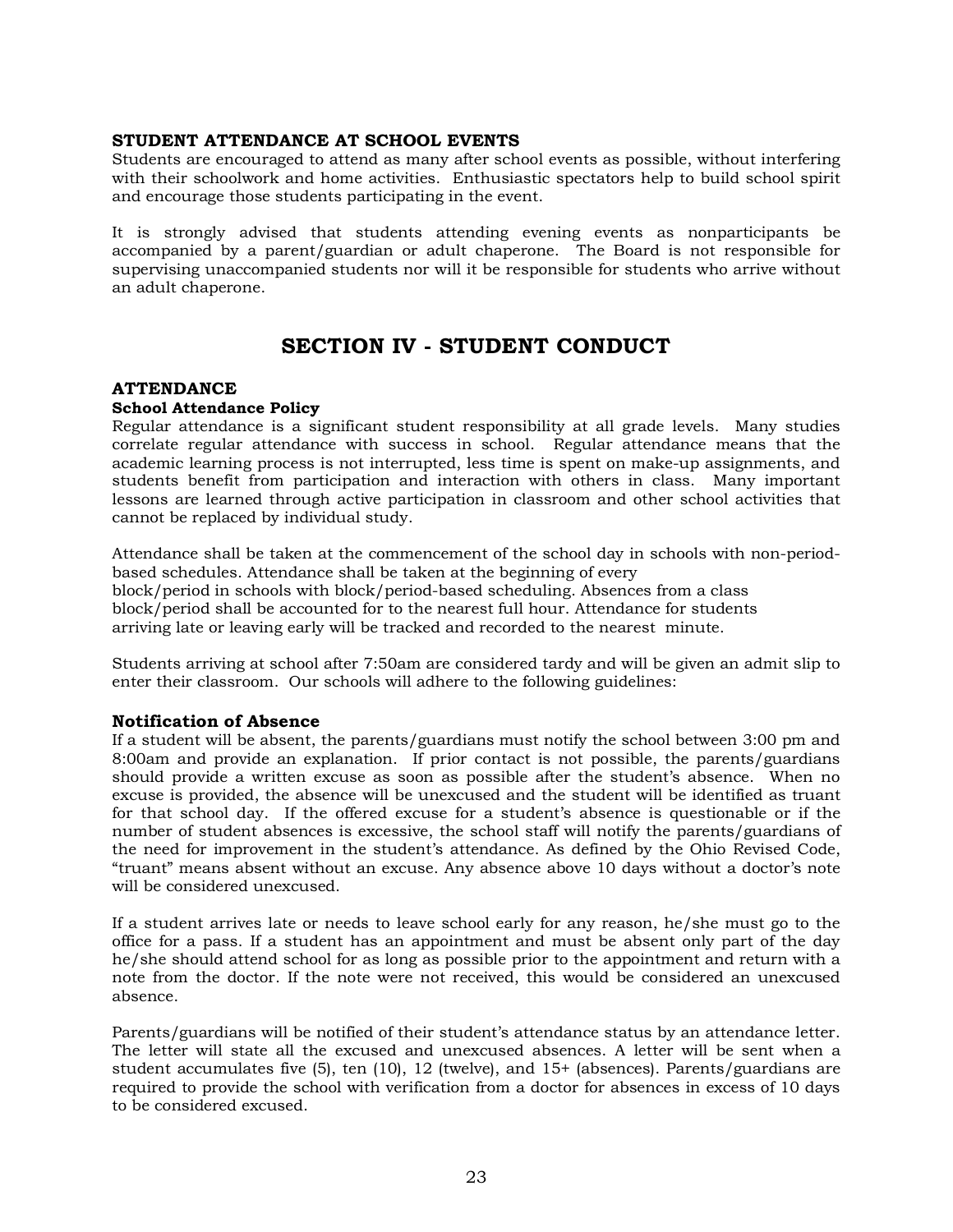### **STUDENT ATTENDANCE AT SCHOOL EVENTS**

Students are encouraged to attend as many after school events as possible, without interfering with their schoolwork and home activities. Enthusiastic spectators help to build school spirit and encourage those students participating in the event.

It is strongly advised that students attending evening events as nonparticipants be accompanied by a parent/guardian or adult chaperone. The Board is not responsible for supervising unaccompanied students nor will it be responsible for students who arrive without an adult chaperone.

### **SECTION IV - STUDENT CONDUCT**

### **ATTENDANCE**

### **School Attendance Policy**

Regular attendance is a significant student responsibility at all grade levels. Many studies correlate regular attendance with success in school. Regular attendance means that the academic learning process is not interrupted, less time is spent on make-up assignments, and students benefit from participation and interaction with others in class. Many important lessons are learned through active participation in classroom and other school activities that cannot be replaced by individual study.

Attendance shall be taken at the commencement of the school day in schools with non-periodbased schedules. Attendance shall be taken at the beginning of every block/period in schools with block/period-based scheduling. Absences from a class block/period shall be accounted for to the nearest full hour. Attendance for students arriving late or leaving early will be tracked and recorded to the nearest minute.

Students arriving at school after 7:50am are considered tardy and will be given an admit slip to enter their classroom. Our schools will adhere to the following guidelines:

### **Notification of Absence**

If a student will be absent, the parents/guardians must notify the school between 3:00 pm and 8:00am and provide an explanation. If prior contact is not possible, the parents/guardians should provide a written excuse as soon as possible after the student's absence. When no excuse is provided, the absence will be unexcused and the student will be identified as truant for that school day. If the offered excuse for a student's absence is questionable or if the number of student absences is excessive, the school staff will notify the parents/guardians of the need for improvement in the student's attendance. As defined by the Ohio Revised Code, "truant" means absent without an excuse. Any absence above 10 days without a doctor's note will be considered unexcused.

If a student arrives late or needs to leave school early for any reason, he/she must go to the office for a pass. If a student has an appointment and must be absent only part of the day he/she should attend school for as long as possible prior to the appointment and return with a note from the doctor. If the note were not received, this would be considered an unexcused absence.

Parents/guardians will be notified of their student's attendance status by an attendance letter. The letter will state all the excused and unexcused absences. A letter will be sent when a student accumulates five (5), ten (10), 12 (twelve), and 15+ (absences). Parents/guardians are required to provide the school with verification from a doctor for absences in excess of 10 days to be considered excused.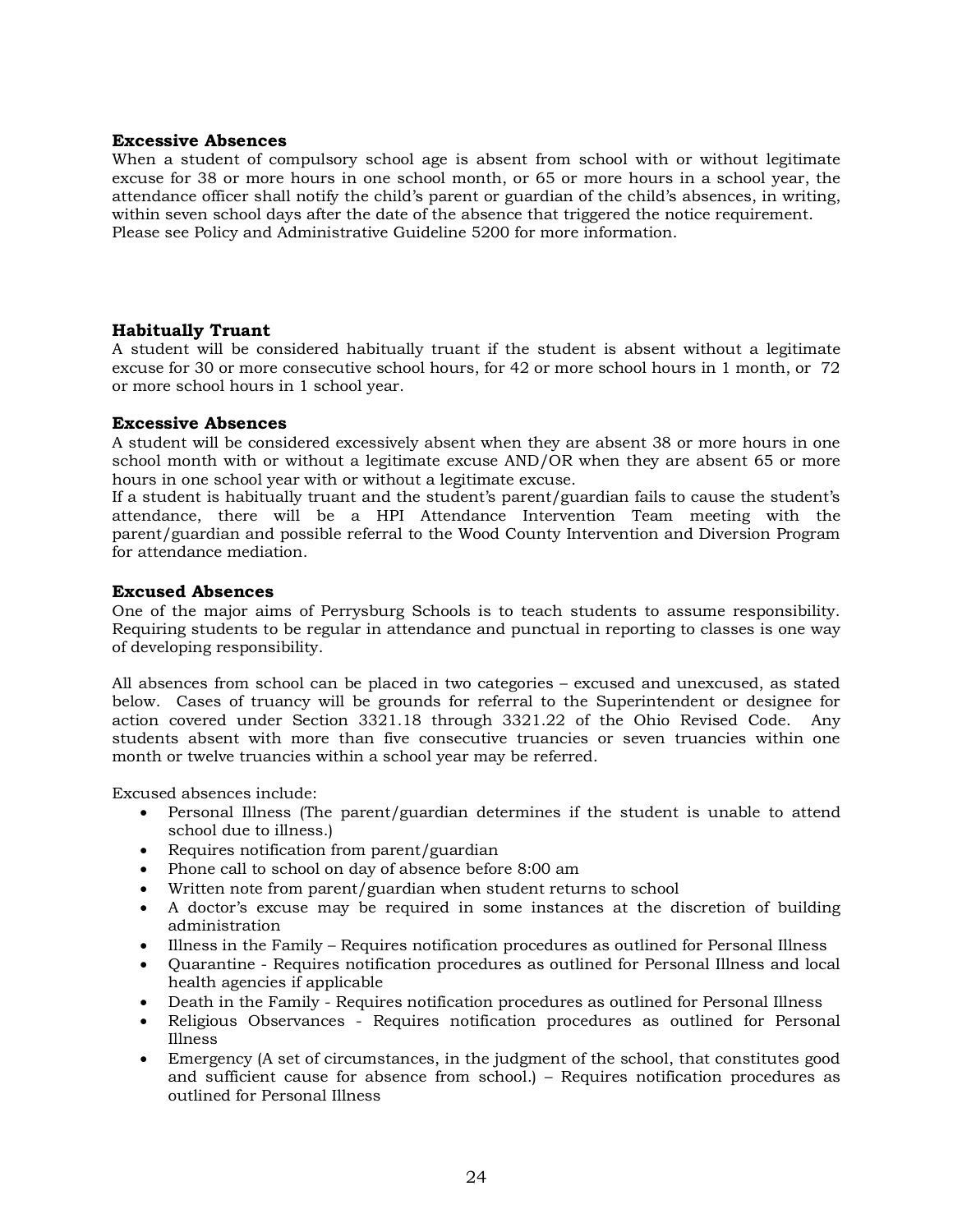### **Excessive Absences**

When a student of compulsory school age is absent from school with or without legitimate excuse for 38 or more hours in one school month, or 65 or more hours in a school year, the attendance officer shall notify the child's parent or guardian of the child's absences, in writing, within seven school days after the date of the absence that triggered the notice requirement. Please see Policy and Administrative Guideline 5200 for more information.

### **Habitually Truant**

A student will be considered habitually truant if the student is absent without a legitimate excuse for 30 or more consecutive school hours, for 42 or more school hours in 1 month, or 72 or more school hours in 1 school year.

### **Excessive Absences**

A student will be considered excessively absent when they are absent 38 or more hours in one school month with or without a legitimate excuse AND/OR when they are absent 65 or more hours in one school year with or without a legitimate excuse.

If a student is habitually truant and the student's parent/guardian fails to cause the student's attendance, there will be a HPI Attendance Intervention Team meeting with the parent/guardian and possible referral to the Wood County Intervention and Diversion Program for attendance mediation.

### **Excused Absences**

One of the major aims of Perrysburg Schools is to teach students to assume responsibility. Requiring students to be regular in attendance and punctual in reporting to classes is one way of developing responsibility.

All absences from school can be placed in two categories – excused and unexcused, as stated below. Cases of truancy will be grounds for referral to the Superintendent or designee for action covered under Section 3321.18 through 3321.22 of the Ohio Revised Code. Any students absent with more than five consecutive truancies or seven truancies within one month or twelve truancies within a school year may be referred.

Excused absences include:

- Personal Illness (The parent/guardian determines if the student is unable to attend school due to illness.)
- Requires notification from parent/guardian
- Phone call to school on day of absence before 8:00 am
- Written note from parent/guardian when student returns to school
- A doctor's excuse may be required in some instances at the discretion of building administration
- Illness in the Family Requires notification procedures as outlined for Personal Illness
- Quarantine Requires notification procedures as outlined for Personal Illness and local health agencies if applicable
- Death in the Family Requires notification procedures as outlined for Personal Illness
- Religious Observances Requires notification procedures as outlined for Personal Illness
- Emergency (A set of circumstances, in the judgment of the school, that constitutes good and sufficient cause for absence from school.) – Requires notification procedures as outlined for Personal Illness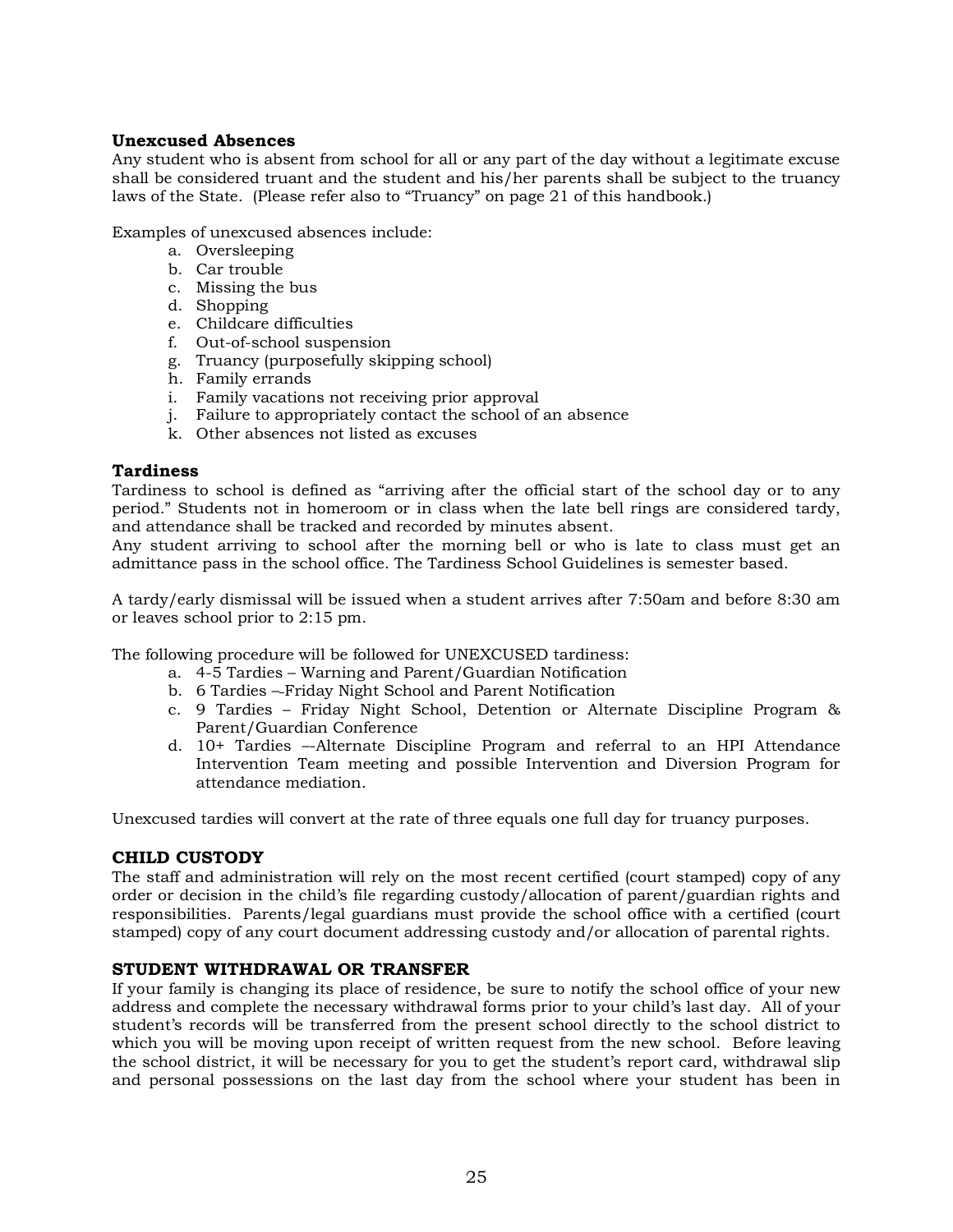### **Unexcused Absences**

Any student who is absent from school for all or any part of the day without a legitimate excuse shall be considered truant and the student and his/her parents shall be subject to the truancy laws of the State. (Please refer also to "Truancy" on page 21 of this handbook.)

Examples of unexcused absences include:

- a. Oversleeping
- b. Car trouble
- c. Missing the bus
- d. Shopping
- e. Childcare difficulties
- f. Out-of-school suspension
- g. Truancy (purposefully skipping school)
- h. Family errands
- i. Family vacations not receiving prior approval
- j. Failure to appropriately contact the school of an absence
- k. Other absences not listed as excuses

### **Tardiness**

Tardiness to school is defined as "arriving after the official start of the school day or to any period." Students not in homeroom or in class when the late bell rings are considered tardy, and attendance shall be tracked and recorded by minutes absent.

Any student arriving to school after the morning bell or who is late to class must get an admittance pass in the school office. The Tardiness School Guidelines is semester based.

A tardy/early dismissal will be issued when a student arrives after 7:50am and before 8:30 am or leaves school prior to 2:15 pm.

The following procedure will be followed for UNEXCUSED tardiness:

- a. 4-5 Tardies Warning and Parent/Guardian Notification
- b. 6 Tardies Friday Night School and Parent Notification
- c. 9 Tardies Friday Night School, Detention or Alternate Discipline Program & Parent/Guardian Conference
- d. 10+ Tardies –-Alternate Discipline Program and referral to an HPI Attendance Intervention Team meeting and possible Intervention and Diversion Program for attendance mediation.

Unexcused tardies will convert at the rate of three equals one full day for truancy purposes.

### **CHILD CUSTODY**

The staff and administration will rely on the most recent certified (court stamped) copy of any order or decision in the child's file regarding custody/allocation of parent/guardian rights and responsibilities. Parents/legal guardians must provide the school office with a certified (court stamped) copy of any court document addressing custody and/or allocation of parental rights.

### **STUDENT WITHDRAWAL OR TRANSFER**

If your family is changing its place of residence, be sure to notify the school office of your new address and complete the necessary withdrawal forms prior to your child's last day. All of your student's records will be transferred from the present school directly to the school district to which you will be moving upon receipt of written request from the new school. Before leaving the school district, it will be necessary for you to get the student's report card, withdrawal slip and personal possessions on the last day from the school where your student has been in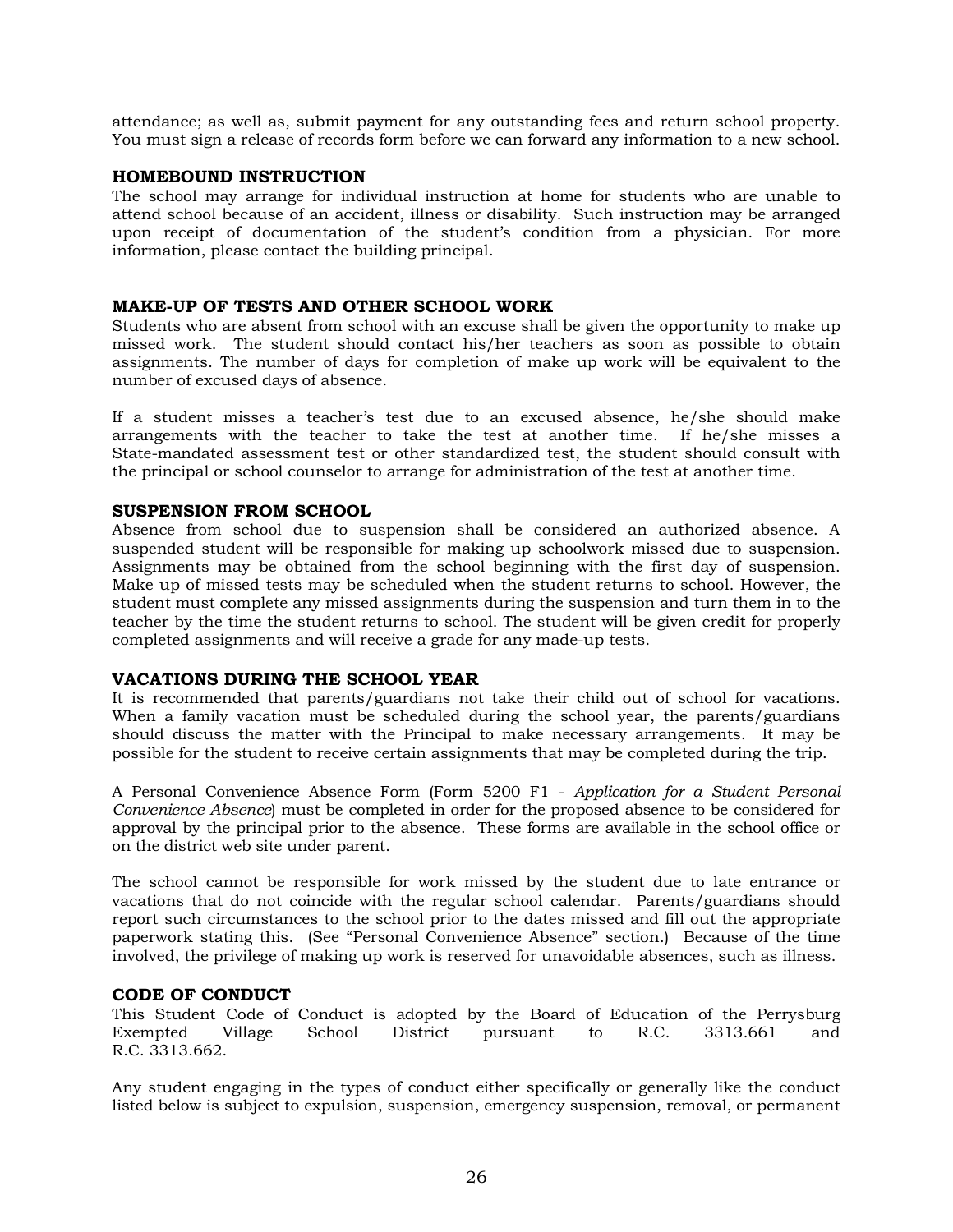attendance; as well as, submit payment for any outstanding fees and return school property. You must sign a release of records form before we can forward any information to a new school.

### **HOMEBOUND INSTRUCTION**

The school may arrange for individual instruction at home for students who are unable to attend school because of an accident, illness or disability. Such instruction may be arranged upon receipt of documentation of the student's condition from a physician. For more information, please contact the building principal.

### **MAKE-UP OF TESTS AND OTHER SCHOOL WORK**

Students who are absent from school with an excuse shall be given the opportunity to make up missed work. The student should contact his/her teachers as soon as possible to obtain assignments. The number of days for completion of make up work will be equivalent to the number of excused days of absence.

If a student misses a teacher's test due to an excused absence, he/she should make arrangements with the teacher to take the test at another time. If he/she misses a State-mandated assessment test or other standardized test, the student should consult with the principal or school counselor to arrange for administration of the test at another time.

### **SUSPENSION FROM SCHOOL**

Absence from school due to suspension shall be considered an authorized absence. A suspended student will be responsible for making up schoolwork missed due to suspension. Assignments may be obtained from the school beginning with the first day of suspension. Make up of missed tests may be scheduled when the student returns to school. However, the student must complete any missed assignments during the suspension and turn them in to the teacher by the time the student returns to school. The student will be given credit for properly completed assignments and will receive a grade for any made-up tests.

### **VACATIONS DURING THE SCHOOL YEAR**

It is recommended that parents/guardians not take their child out of school for vacations. When a family vacation must be scheduled during the school year, the parents/guardians should discuss the matter with the Principal to make necessary arrangements. It may be possible for the student to receive certain assignments that may be completed during the trip.

A Personal Convenience Absence Form (Form 5200 F1 - *Application for a Student Personal Convenience Absence*) must be completed in order for the proposed absence to be considered for approval by the principal prior to the absence. These forms are available in the school office or on the district web site under parent.

The school cannot be responsible for work missed by the student due to late entrance or vacations that do not coincide with the regular school calendar. Parents/guardians should report such circumstances to the school prior to the dates missed and fill out the appropriate paperwork stating this. (See "Personal Convenience Absence" section.) Because of the time involved, the privilege of making up work is reserved for unavoidable absences, such as illness.

### **CODE OF CONDUCT**

This Student Code of Conduct is adopted by the Board of Education of the Perrysburg Exempted Village School District pursuant to R.C. 3313.661 and R.C. 3313.662.

Any student engaging in the types of conduct either specifically or generally like the conduct listed below is subject to expulsion, suspension, emergency suspension, removal, or permanent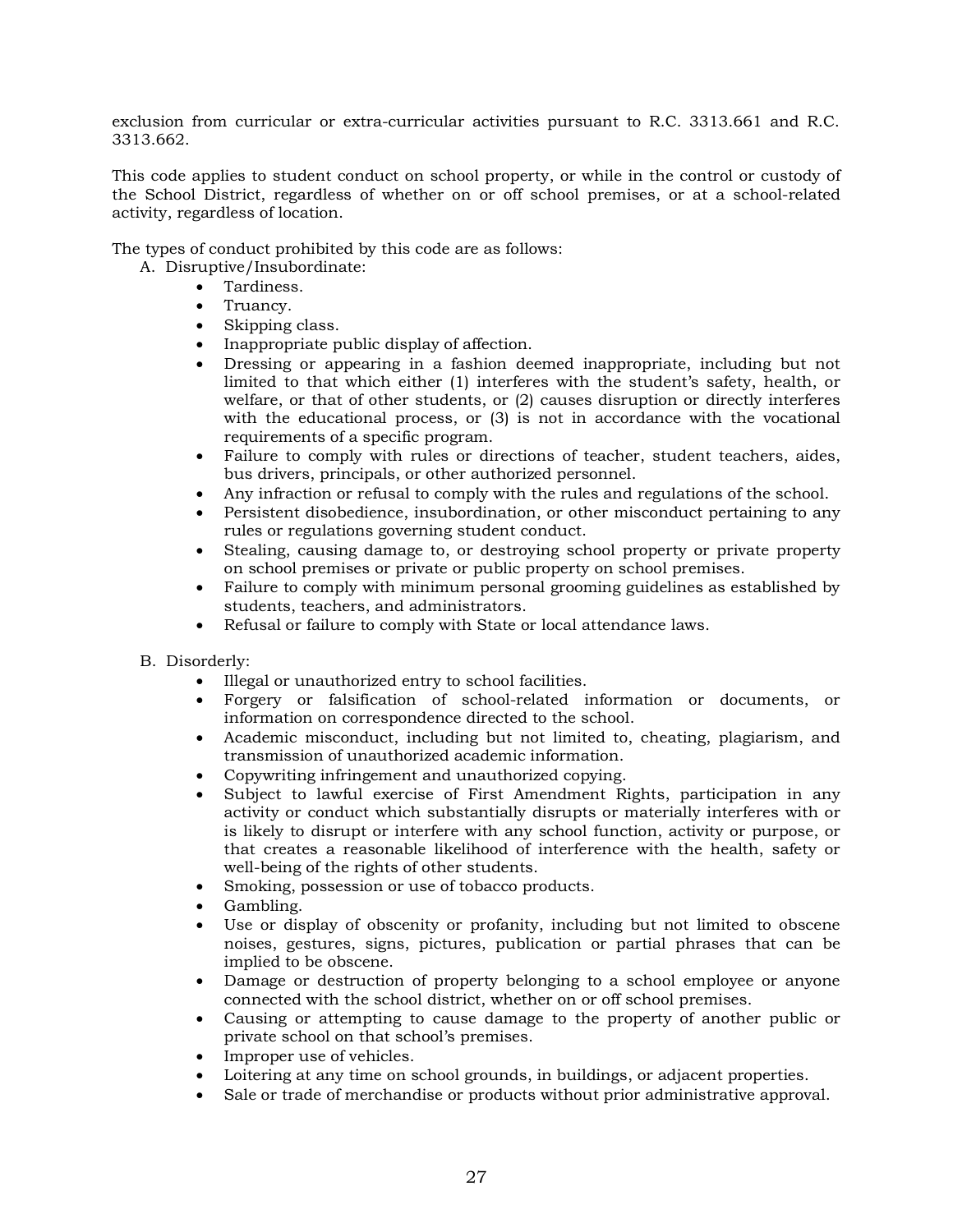exclusion from curricular or extra-curricular activities pursuant to R.C. 3313.661 and R.C. 3313.662.

This code applies to student conduct on school property, or while in the control or custody of the School District, regardless of whether on or off school premises, or at a school-related activity, regardless of location.

The types of conduct prohibited by this code are as follows:

- A. Disruptive/Insubordinate:
	- Tardiness.
	- Truancy.
	- Skipping class.
	- Inappropriate public display of affection.
	- Dressing or appearing in a fashion deemed inappropriate, including but not limited to that which either (1) interferes with the student's safety, health, or welfare, or that of other students, or (2) causes disruption or directly interferes with the educational process, or (3) is not in accordance with the vocational requirements of a specific program.
	- Failure to comply with rules or directions of teacher, student teachers, aides, bus drivers, principals, or other authorized personnel.
	- Any infraction or refusal to comply with the rules and regulations of the school.
	- Persistent disobedience, insubordination, or other misconduct pertaining to any rules or regulations governing student conduct.
	- Stealing, causing damage to, or destroying school property or private property on school premises or private or public property on school premises.
	- Failure to comply with minimum personal grooming guidelines as established by students, teachers, and administrators.
	- Refusal or failure to comply with State or local attendance laws.
- B. Disorderly:
	- Illegal or unauthorized entry to school facilities.
	- Forgery or falsification of school-related information or documents, or information on correspondence directed to the school.
	- Academic misconduct, including but not limited to, cheating, plagiarism, and transmission of unauthorized academic information.
	- Copywriting infringement and unauthorized copying.
	- Subject to lawful exercise of First Amendment Rights, participation in any activity or conduct which substantially disrupts or materially interferes with or is likely to disrupt or interfere with any school function, activity or purpose, or that creates a reasonable likelihood of interference with the health, safety or well-being of the rights of other students.
	- Smoking, possession or use of tobacco products.
	- Gambling.
	- Use or display of obscenity or profanity, including but not limited to obscene noises, gestures, signs, pictures, publication or partial phrases that can be implied to be obscene.
	- Damage or destruction of property belonging to a school employee or anyone connected with the school district, whether on or off school premises.
	- Causing or attempting to cause damage to the property of another public or private school on that school's premises.
	- Improper use of vehicles.
	- Loitering at any time on school grounds, in buildings, or adjacent properties.
	- Sale or trade of merchandise or products without prior administrative approval.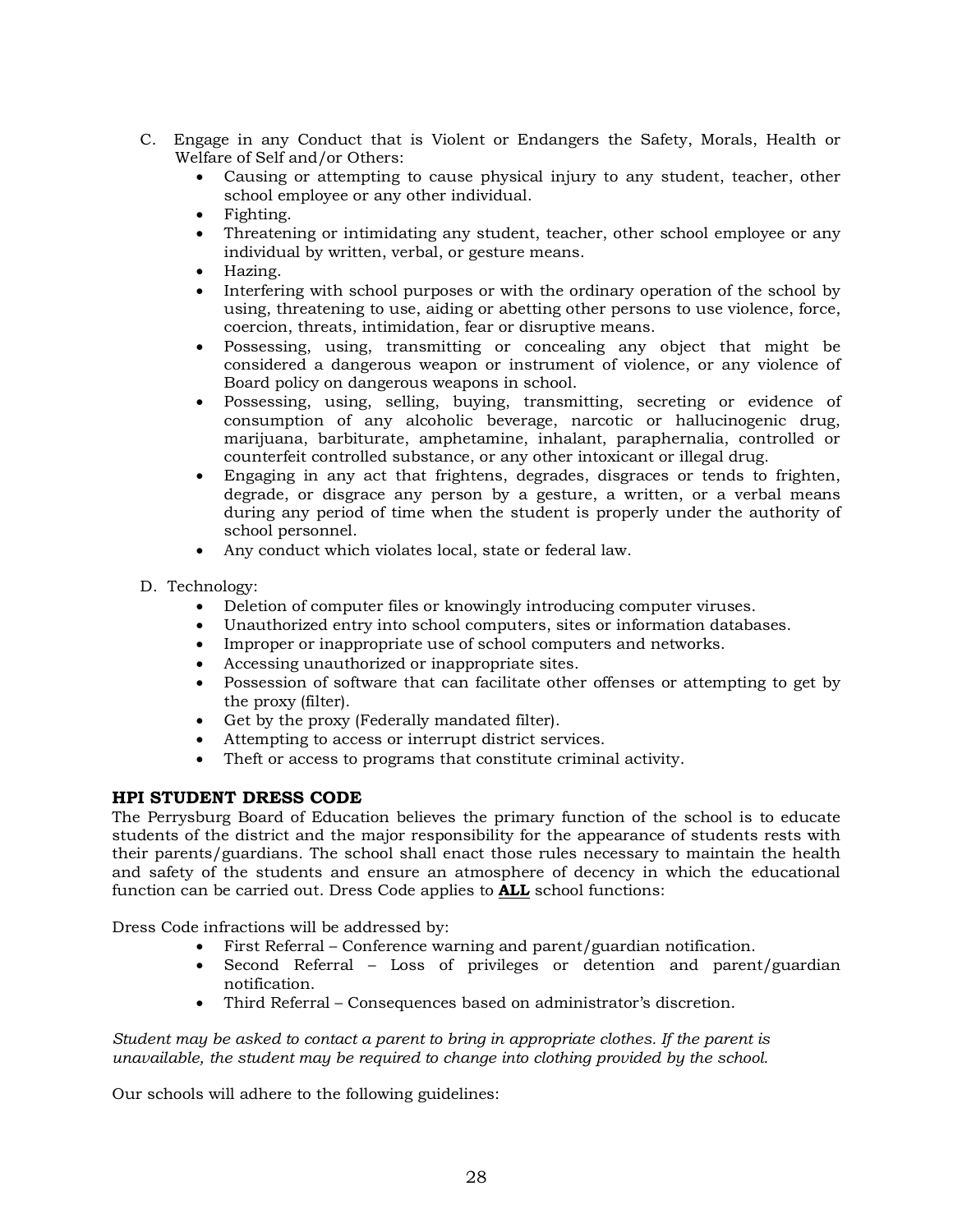- C. Engage in any Conduct that is Violent or Endangers the Safety, Morals, Health or Welfare of Self and/or Others:
	- Causing or attempting to cause physical injury to any student, teacher, other school employee or any other individual.
	- Fighting.
	- Threatening or intimidating any student, teacher, other school employee or any individual by written, verbal, or gesture means.
	- Hazing.
	- Interfering with school purposes or with the ordinary operation of the school by using, threatening to use, aiding or abetting other persons to use violence, force, coercion, threats, intimidation, fear or disruptive means.
	- Possessing, using, transmitting or concealing any object that might be considered a dangerous weapon or instrument of violence, or any violence of Board policy on dangerous weapons in school.
	- Possessing, using, selling, buying, transmitting, secreting or evidence of consumption of any alcoholic beverage, narcotic or hallucinogenic drug, marijuana, barbiturate, amphetamine, inhalant, paraphernalia, controlled or counterfeit controlled substance, or any other intoxicant or illegal drug.
	- Engaging in any act that frightens, degrades, disgraces or tends to frighten, degrade, or disgrace any person by a gesture, a written, or a verbal means during any period of time when the student is properly under the authority of school personnel.
	- Any conduct which violates local, state or federal law.
- D. Technology:
	- Deletion of computer files or knowingly introducing computer viruses.
	- Unauthorized entry into school computers, sites or information databases.
	- Improper or inappropriate use of school computers and networks.
	- Accessing unauthorized or inappropriate sites.
	- Possession of software that can facilitate other offenses or attempting to get by the proxy (filter).
	- Get by the proxy (Federally mandated filter).
	- Attempting to access or interrupt district services.
	- Theft or access to programs that constitute criminal activity.

### **HPI STUDENT DRESS CODE**

The Perrysburg Board of Education believes the primary function of the school is to educate students of the district and the major responsibility for the appearance of students rests with their parents/guardians. The school shall enact those rules necessary to maintain the health and safety of the students and ensure an atmosphere of decency in which the educational function can be carried out. Dress Code applies to **ALL** school functions:

Dress Code infractions will be addressed by:

- First Referral Conference warning and parent/guardian notification.
- Second Referral Loss of privileges or detention and parent/guardian notification.
- Third Referral Consequences based on administrator's discretion.

*Student may be asked to contact a parent to bring in appropriate clothes. If the parent is unavailable, the student may be required to change into clothing provided by the school.* 

Our schools will adhere to the following guidelines: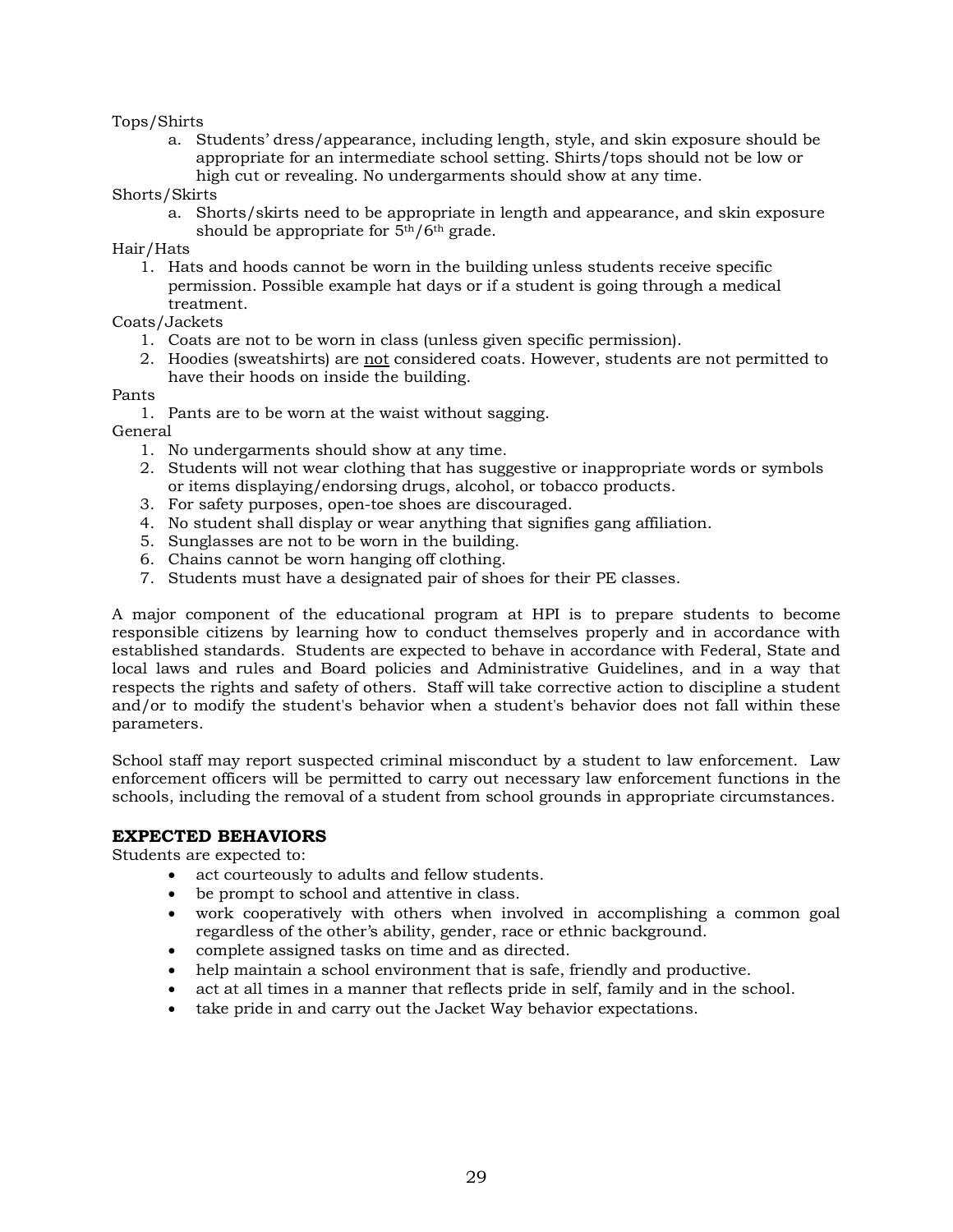### Tops/Shirts

a. Students' dress/appearance, including length, style, and skin exposure should be appropriate for an intermediate school setting. Shirts/tops should not be low or high cut or revealing. No undergarments should show at any time.

### Shorts/Skirts

a. Shorts/skirts need to be appropriate in length and appearance, and skin exposure should be appropriate for  $\frac{1}{2}$ <sup>th</sup>/6<sup>th</sup> grade.

Hair/Hats

1. Hats and hoods cannot be worn in the building unless students receive specific permission. Possible example hat days or if a student is going through a medical treatment.

### Coats/Jackets

- 1. Coats are not to be worn in class (unless given specific permission).
- 2. Hoodies (sweatshirts) are not considered coats. However, students are not permitted to have their hoods on inside the building.

### Pants

1. Pants are to be worn at the waist without sagging.

General

- 1. No undergarments should show at any time.
- 2. Students will not wear clothing that has suggestive or inappropriate words or symbols or items displaying/endorsing drugs, alcohol, or tobacco products.
- 3. For safety purposes, open-toe shoes are discouraged.
- 4. No student shall display or wear anything that signifies gang affiliation.
- 5. Sunglasses are not to be worn in the building.
- 6. Chains cannot be worn hanging off clothing.
- 7. Students must have a designated pair of shoes for their PE classes.

A major component of the educational program at HPI is to prepare students to become responsible citizens by learning how to conduct themselves properly and in accordance with established standards. Students are expected to behave in accordance with Federal, State and local laws and rules and Board policies and Administrative Guidelines, and in a way that respects the rights and safety of others. Staff will take corrective action to discipline a student and/or to modify the student's behavior when a student's behavior does not fall within these parameters.

School staff may report suspected criminal misconduct by a student to law enforcement. Law enforcement officers will be permitted to carry out necessary law enforcement functions in the schools, including the removal of a student from school grounds in appropriate circumstances.

### **EXPECTED BEHAVIORS**

Students are expected to:

- act courteously to adults and fellow students.
- be prompt to school and attentive in class.
- work cooperatively with others when involved in accomplishing a common goal regardless of the other's ability, gender, race or ethnic background.
- complete assigned tasks on time and as directed.
- help maintain a school environment that is safe, friendly and productive.
- act at all times in a manner that reflects pride in self, family and in the school.
- take pride in and carry out the Jacket Way behavior expectations.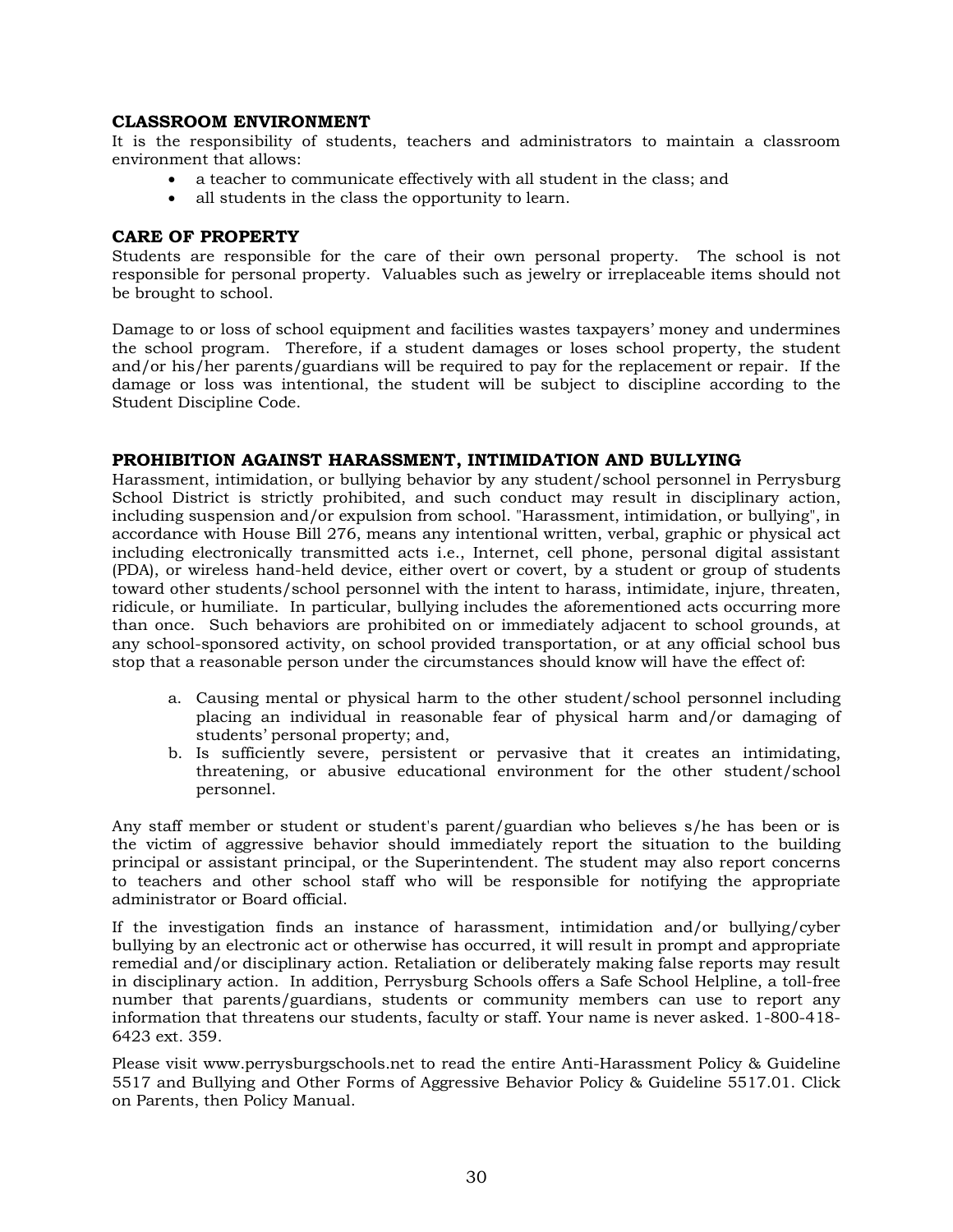### **CLASSROOM ENVIRONMENT**

It is the responsibility of students, teachers and administrators to maintain a classroom environment that allows:

- a teacher to communicate effectively with all student in the class; and
- all students in the class the opportunity to learn.

### **CARE OF PROPERTY**

Students are responsible for the care of their own personal property. The school is not responsible for personal property. Valuables such as jewelry or irreplaceable items should not be brought to school.

Damage to or loss of school equipment and facilities wastes taxpayers' money and undermines the school program. Therefore, if a student damages or loses school property, the student and/or his/her parents/guardians will be required to pay for the replacement or repair. If the damage or loss was intentional, the student will be subject to discipline according to the Student Discipline Code.

### **PROHIBITION AGAINST HARASSMENT, INTIMIDATION AND BULLYING**

Harassment, intimidation, or bullying behavior by any student/school personnel in Perrysburg School District is strictly prohibited, and such conduct may result in disciplinary action, including suspension and/or expulsion from school. "Harassment, intimidation, or bullying", in accordance with House Bill 276, means any intentional written, verbal, graphic or physical act including electronically transmitted acts i.e., Internet, cell phone, personal digital assistant (PDA), or wireless hand-held device, either overt or covert, by a student or group of students toward other students/school personnel with the intent to harass, intimidate, injure, threaten, ridicule, or humiliate. In particular, bullying includes the aforementioned acts occurring more than once. Such behaviors are prohibited on or immediately adjacent to school grounds, at any school-sponsored activity, on school provided transportation, or at any official school bus stop that a reasonable person under the circumstances should know will have the effect of:

- a. Causing mental or physical harm to the other student/school personnel including placing an individual in reasonable fear of physical harm and/or damaging of students' personal property; and,
- b. Is sufficiently severe, persistent or pervasive that it creates an intimidating, threatening, or abusive educational environment for the other student/school personnel.

Any staff member or student or student's parent/guardian who believes s/he has been or is the victim of aggressive behavior should immediately report the situation to the building principal or assistant principal, or the Superintendent. The student may also report concerns to teachers and other school staff who will be responsible for notifying the appropriate administrator or Board official.

If the investigation finds an instance of harassment, intimidation and/or bullying/cyber bullying by an electronic act or otherwise has occurred, it will result in prompt and appropriate remedial and/or disciplinary action. Retaliation or deliberately making false reports may result in disciplinary action. In addition, Perrysburg Schools offers a Safe School Helpline, a toll-free number that parents/guardians, students or community members can use to report any information that threatens our students, faculty or staff. Your name is never asked. 1-800-418- 6423 ext. 359.

Please visit www.perrysburgschools.net to read the entire Anti-Harassment Policy & Guideline 5517 and Bullying and Other Forms of Aggressive Behavior Policy & Guideline 5517.01. Click on Parents, then Policy Manual.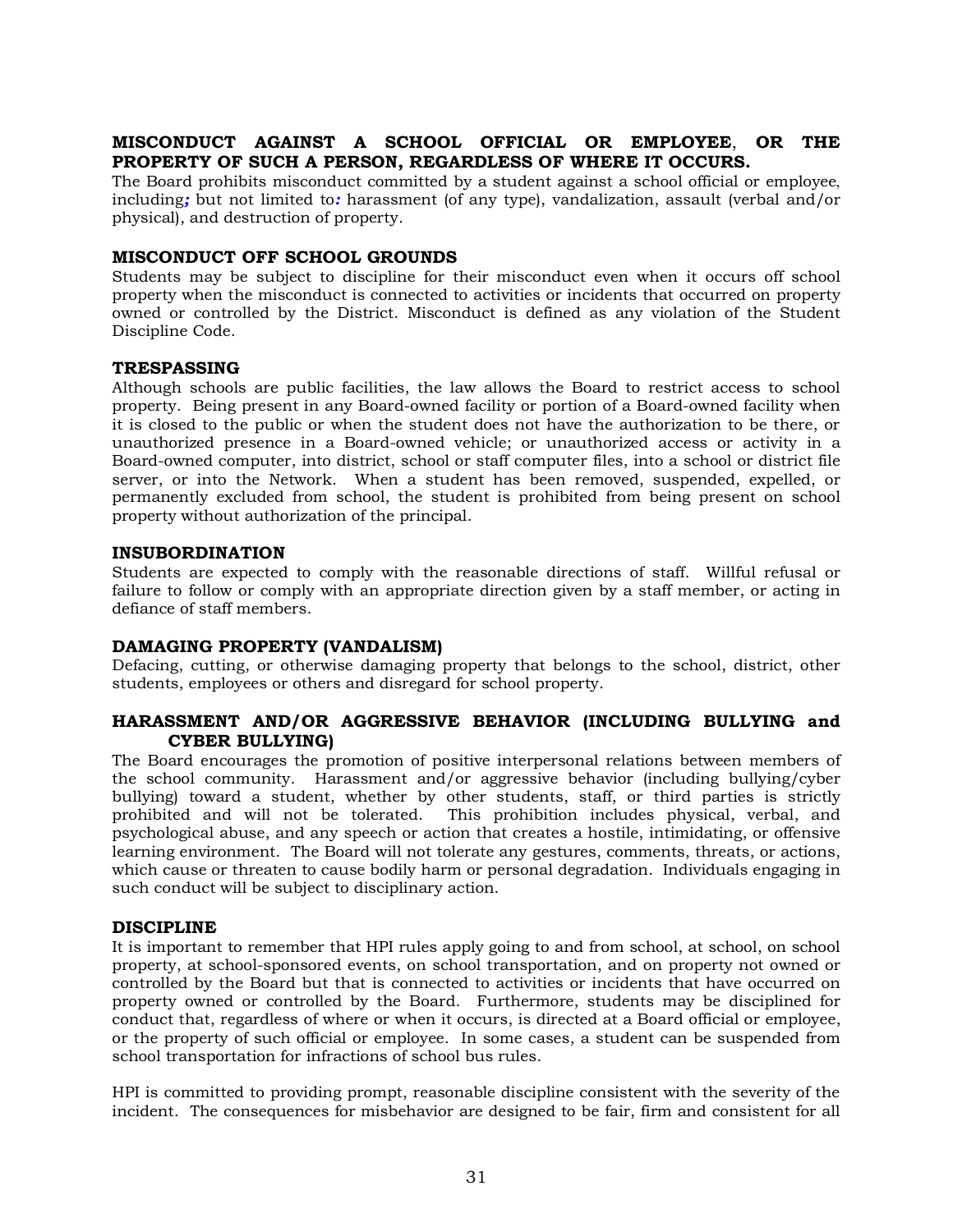### **MISCONDUCT AGAINST A SCHOOL OFFICIAL OR EMPLOYEE**, **OR THE PROPERTY OF SUCH A PERSON, REGARDLESS OF WHERE IT OCCURS.**

The Board prohibits misconduct committed by a student against a school official or employee, including*;* but not limited to*:* harassment (of any type), vandalization, assault (verbal and/or physical), and destruction of property.

### **MISCONDUCT OFF SCHOOL GROUNDS**

Students may be subject to discipline for their misconduct even when it occurs off school property when the misconduct is connected to activities or incidents that occurred on property owned or controlled by the District. Misconduct is defined as any violation of the Student Discipline Code.

### **TRESPASSING**

Although schools are public facilities, the law allows the Board to restrict access to school property. Being present in any Board-owned facility or portion of a Board-owned facility when it is closed to the public or when the student does not have the authorization to be there, or unauthorized presence in a Board-owned vehicle; or unauthorized access or activity in a Board-owned computer, into district, school or staff computer files, into a school or district file server, or into the Network. When a student has been removed, suspended, expelled, or permanently excluded from school, the student is prohibited from being present on school property without authorization of the principal.

### **INSUBORDINATION**

Students are expected to comply with the reasonable directions of staff. Willful refusal or failure to follow or comply with an appropriate direction given by a staff member, or acting in defiance of staff members.

### **DAMAGING PROPERTY (VANDALISM)**

Defacing, cutting, or otherwise damaging property that belongs to the school, district, other students, employees or others and disregard for school property.

### **HARASSMENT AND/OR AGGRESSIVE BEHAVIOR (INCLUDING BULLYING and CYBER BULLYING)**

The Board encourages the promotion of positive interpersonal relations between members of the school community. Harassment and/or aggressive behavior (including bullying/cyber bullying) toward a student, whether by other students, staff, or third parties is strictly prohibited and will not be tolerated. This prohibition includes physical, verbal, and psychological abuse, and any speech or action that creates a hostile, intimidating, or offensive learning environment. The Board will not tolerate any gestures, comments, threats, or actions, which cause or threaten to cause bodily harm or personal degradation. Individuals engaging in such conduct will be subject to disciplinary action.

### **DISCIPLINE**

It is important to remember that HPI rules apply going to and from school, at school, on school property, at school-sponsored events, on school transportation, and on property not owned or controlled by the Board but that is connected to activities or incidents that have occurred on property owned or controlled by the Board. Furthermore, students may be disciplined for conduct that, regardless of where or when it occurs, is directed at a Board official or employee, or the property of such official or employee. In some cases, a student can be suspended from school transportation for infractions of school bus rules.

HPI is committed to providing prompt, reasonable discipline consistent with the severity of the incident. The consequences for misbehavior are designed to be fair, firm and consistent for all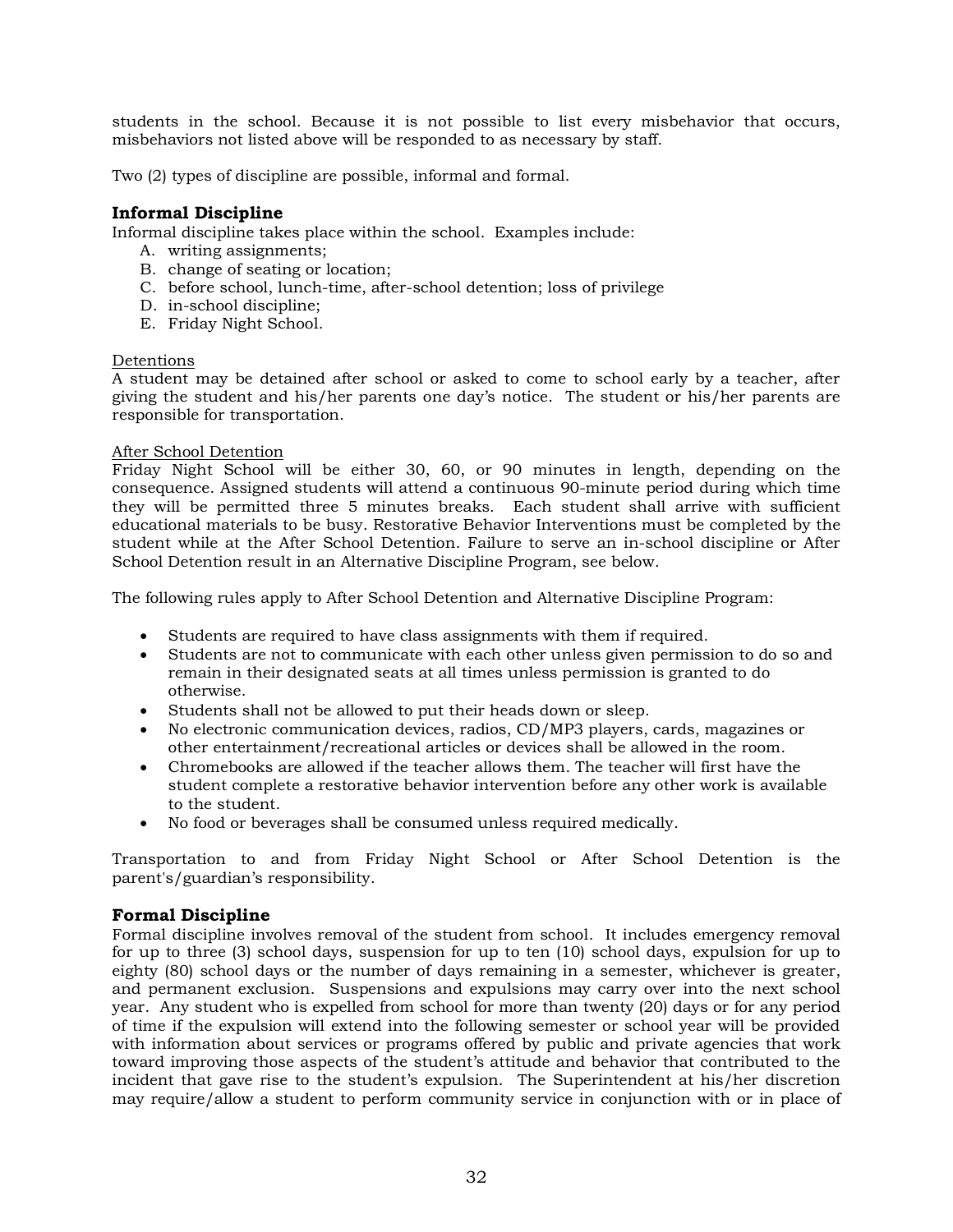students in the school. Because it is not possible to list every misbehavior that occurs, misbehaviors not listed above will be responded to as necessary by staff.

Two (2) types of discipline are possible, informal and formal.

### **Informal Discipline**

Informal discipline takes place within the school. Examples include:

- A. writing assignments;
- B. change of seating or location;
- C. before school, lunch-time, after-school detention; loss of privilege
- D. in-school discipline;
- E. Friday Night School.

### Detentions

A student may be detained after school or asked to come to school early by a teacher, after giving the student and his/her parents one day's notice. The student or his/her parents are responsible for transportation.

### After School Detention

Friday Night School will be either 30, 60, or 90 minutes in length, depending on the consequence. Assigned students will attend a continuous 90-minute period during which time they will be permitted three 5 minutes breaks. Each student shall arrive with sufficient educational materials to be busy. Restorative Behavior Interventions must be completed by the student while at the After School Detention. Failure to serve an in-school discipline or After School Detention result in an Alternative Discipline Program, see below.

The following rules apply to After School Detention and Alternative Discipline Program:

- Students are required to have class assignments with them if required.
- Students are not to communicate with each other unless given permission to do so and remain in their designated seats at all times unless permission is granted to do otherwise.
- Students shall not be allowed to put their heads down or sleep.
- No electronic communication devices, radios, CD/MP3 players, cards, magazines or other entertainment/recreational articles or devices shall be allowed in the room.
- Chromebooks are allowed if the teacher allows them. The teacher will first have the student complete a restorative behavior intervention before any other work is available to the student.
- No food or beverages shall be consumed unless required medically.

Transportation to and from Friday Night School or After School Detention is the parent's/guardian's responsibility.

### **Formal Discipline**

Formal discipline involves removal of the student from school. It includes emergency removal for up to three (3) school days, suspension for up to ten (10) school days, expulsion for up to eighty (80) school days or the number of days remaining in a semester, whichever is greater, and permanent exclusion. Suspensions and expulsions may carry over into the next school year. Any student who is expelled from school for more than twenty (20) days or for any period of time if the expulsion will extend into the following semester or school year will be provided with information about services or programs offered by public and private agencies that work toward improving those aspects of the student's attitude and behavior that contributed to the incident that gave rise to the student's expulsion. The Superintendent at his/her discretion may require/allow a student to perform community service in conjunction with or in place of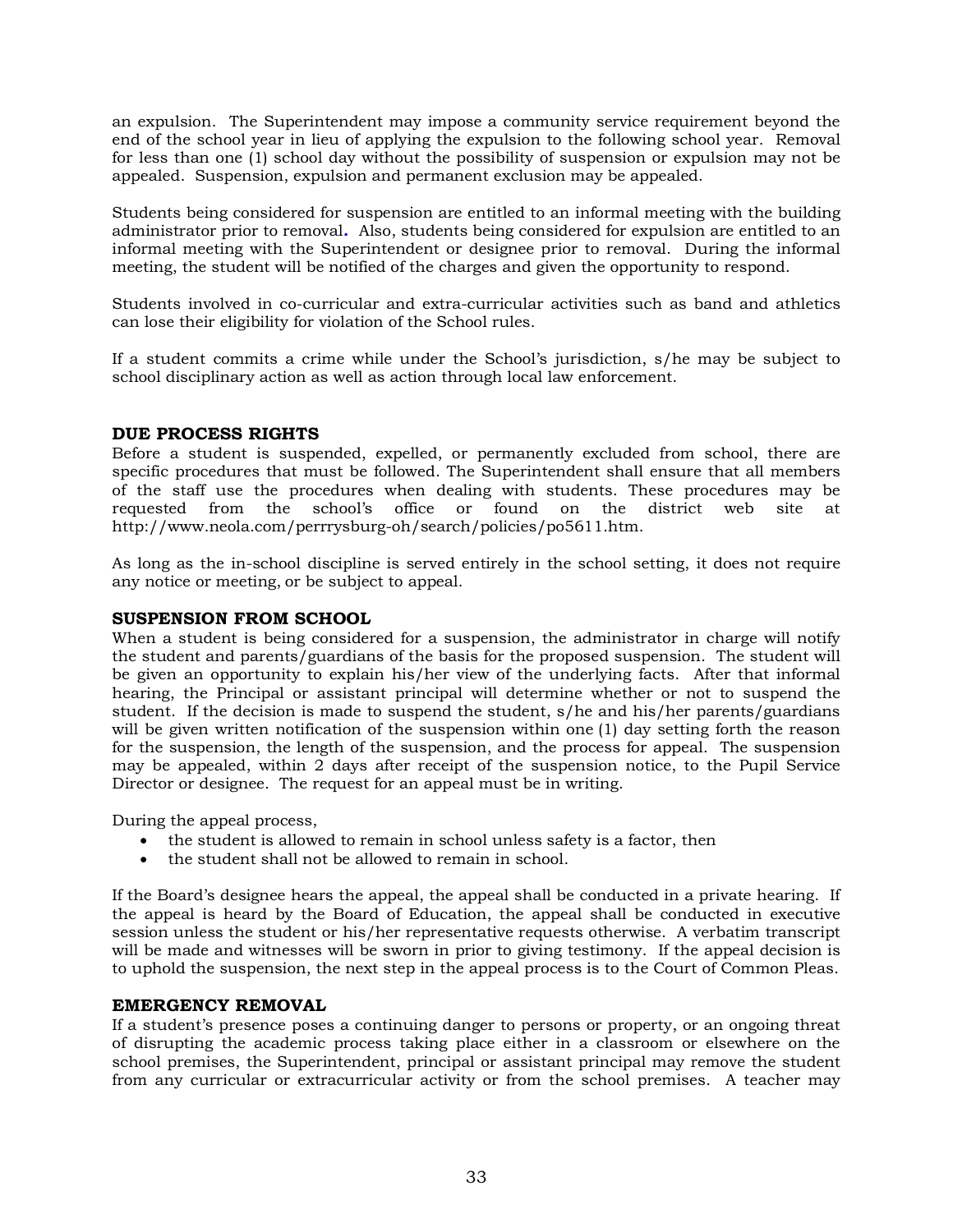an expulsion. The Superintendent may impose a community service requirement beyond the end of the school year in lieu of applying the expulsion to the following school year. Removal for less than one (1) school day without the possibility of suspension or expulsion may not be appealed. Suspension, expulsion and permanent exclusion may be appealed.

Students being considered for suspension are entitled to an informal meeting with the building administrator prior to removal*.* Also, students being considered for expulsion are entitled to an informal meeting with the Superintendent or designee prior to removal. During the informal meeting, the student will be notified of the charges and given the opportunity to respond.

Students involved in co-curricular and extra-curricular activities such as band and athletics can lose their eligibility for violation of the School rules.

If a student commits a crime while under the School's jurisdiction, s/he may be subject to school disciplinary action as well as action through local law enforcement.

### **DUE PROCESS RIGHTS**

Before a student is suspended, expelled, or permanently excluded from school, there are specific procedures that must be followed. The Superintendent shall ensure that all members of the staff use the procedures when dealing with students. These procedures may be requested from the school's office or found on the district web site at http://www.neola.com/perrrysburg-oh/search/policies/po5611.htm.

As long as the in-school discipline is served entirely in the school setting, it does not require any notice or meeting, or be subject to appeal.

### **SUSPENSION FROM SCHOOL**

When a student is being considered for a suspension, the administrator in charge will notify the student and parents/guardians of the basis for the proposed suspension. The student will be given an opportunity to explain his/her view of the underlying facts. After that informal hearing, the Principal or assistant principal will determine whether or not to suspend the student. If the decision is made to suspend the student, s/he and his/her parents/guardians will be given written notification of the suspension within one (1) day setting forth the reason for the suspension, the length of the suspension, and the process for appeal. The suspension may be appealed, within 2 days after receipt of the suspension notice, to the Pupil Service Director or designee. The request for an appeal must be in writing.

During the appeal process,

- the student is allowed to remain in school unless safety is a factor, then
- the student shall not be allowed to remain in school.

If the Board's designee hears the appeal, the appeal shall be conducted in a private hearing. If the appeal is heard by the Board of Education, the appeal shall be conducted in executive session unless the student or his/her representative requests otherwise. A verbatim transcript will be made and witnesses will be sworn in prior to giving testimony. If the appeal decision is to uphold the suspension, the next step in the appeal process is to the Court of Common Pleas.

### **EMERGENCY REMOVAL**

If a student's presence poses a continuing danger to persons or property, or an ongoing threat of disrupting the academic process taking place either in a classroom or elsewhere on the school premises, the Superintendent, principal or assistant principal may remove the student from any curricular or extracurricular activity or from the school premises. A teacher may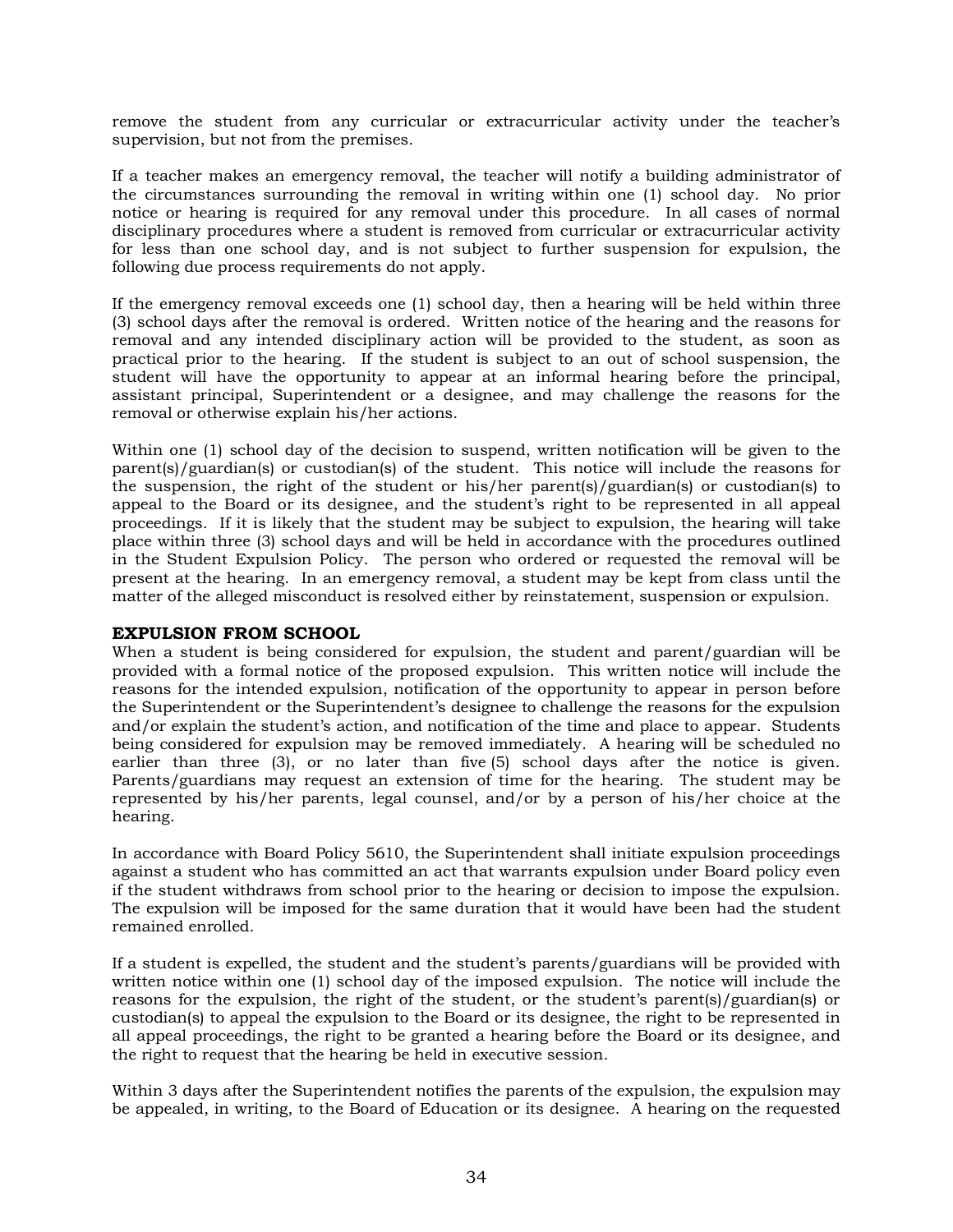remove the student from any curricular or extracurricular activity under the teacher's supervision, but not from the premises.

If a teacher makes an emergency removal, the teacher will notify a building administrator of the circumstances surrounding the removal in writing within one (1) school day. No prior notice or hearing is required for any removal under this procedure. In all cases of normal disciplinary procedures where a student is removed from curricular or extracurricular activity for less than one school day, and is not subject to further suspension for expulsion, the following due process requirements do not apply.

If the emergency removal exceeds one (1) school day, then a hearing will be held within three (3) school days after the removal is ordered. Written notice of the hearing and the reasons for removal and any intended disciplinary action will be provided to the student, as soon as practical prior to the hearing. If the student is subject to an out of school suspension, the student will have the opportunity to appear at an informal hearing before the principal, assistant principal, Superintendent or a designee, and may challenge the reasons for the removal or otherwise explain his/her actions.

Within one (1) school day of the decision to suspend, written notification will be given to the parent(s)/guardian(s) or custodian(s) of the student. This notice will include the reasons for the suspension, the right of the student or his/her parent(s)/guardian(s) or custodian(s) to appeal to the Board or its designee, and the student's right to be represented in all appeal proceedings. If it is likely that the student may be subject to expulsion, the hearing will take place within three (3) school days and will be held in accordance with the procedures outlined in the Student Expulsion Policy. The person who ordered or requested the removal will be present at the hearing. In an emergency removal, a student may be kept from class until the matter of the alleged misconduct is resolved either by reinstatement, suspension or expulsion.

### **EXPULSION FROM SCHOOL**

When a student is being considered for expulsion, the student and parent/guardian will be provided with a formal notice of the proposed expulsion. This written notice will include the reasons for the intended expulsion, notification of the opportunity to appear in person before the Superintendent or the Superintendent's designee to challenge the reasons for the expulsion and/or explain the student's action, and notification of the time and place to appear. Students being considered for expulsion may be removed immediately. A hearing will be scheduled no earlier than three (3), or no later than five (5) school days after the notice is given. Parents/guardians may request an extension of time for the hearing. The student may be represented by his/her parents, legal counsel, and/or by a person of his/her choice at the hearing.

In accordance with Board Policy 5610, the Superintendent shall initiate expulsion proceedings against a student who has committed an act that warrants expulsion under Board policy even if the student withdraws from school prior to the hearing or decision to impose the expulsion. The expulsion will be imposed for the same duration that it would have been had the student remained enrolled.

If a student is expelled, the student and the student's parents/guardians will be provided with written notice within one (1) school day of the imposed expulsion. The notice will include the reasons for the expulsion, the right of the student, or the student's parent(s)/guardian(s) or custodian(s) to appeal the expulsion to the Board or its designee, the right to be represented in all appeal proceedings, the right to be granted a hearing before the Board or its designee, and the right to request that the hearing be held in executive session.

Within 3 days after the Superintendent notifies the parents of the expulsion, the expulsion may be appealed, in writing, to the Board of Education or its designee. A hearing on the requested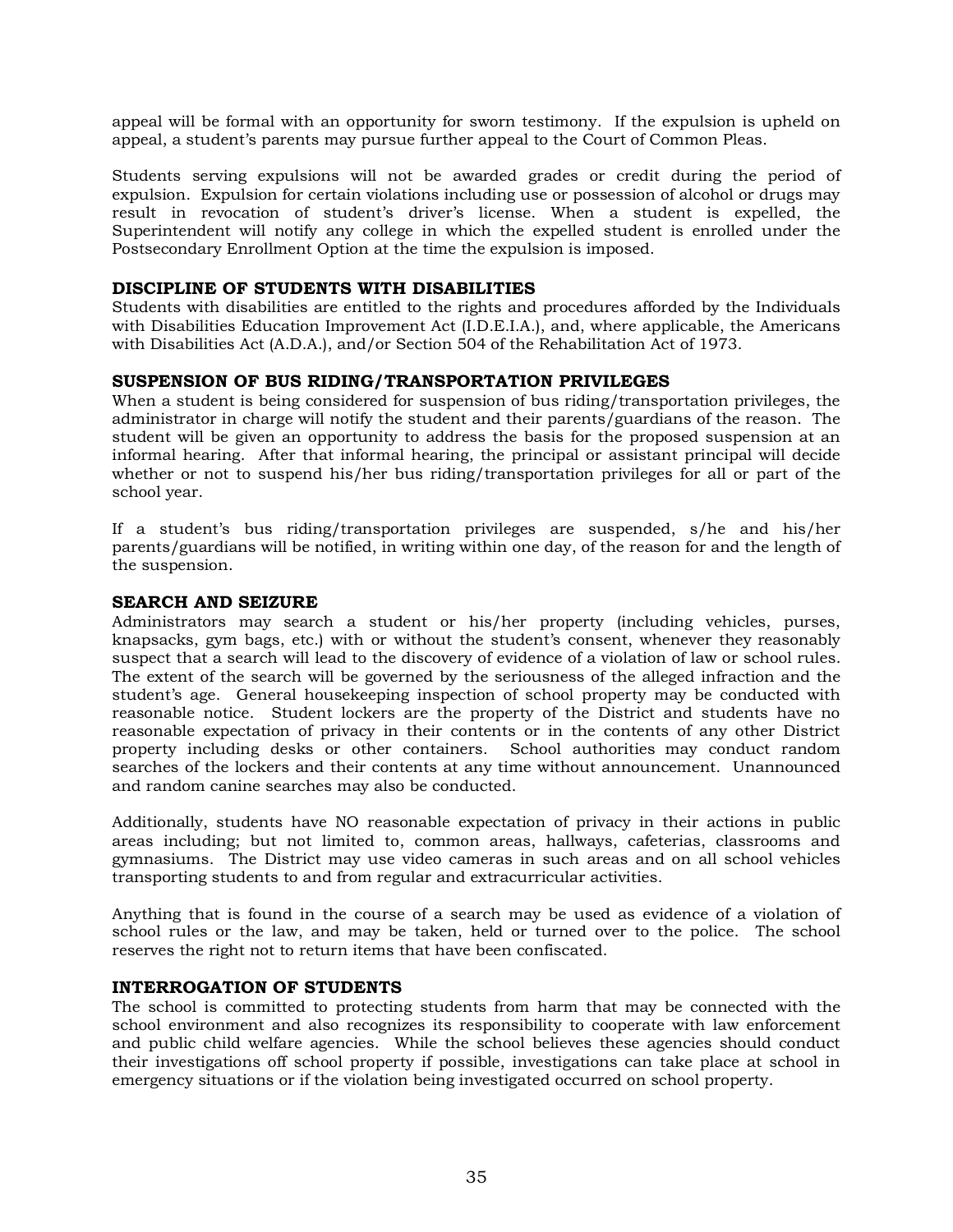appeal will be formal with an opportunity for sworn testimony. If the expulsion is upheld on appeal, a student's parents may pursue further appeal to the Court of Common Pleas.

Students serving expulsions will not be awarded grades or credit during the period of expulsion. Expulsion for certain violations including use or possession of alcohol or drugs may result in revocation of student's driver's license. When a student is expelled, the Superintendent will notify any college in which the expelled student is enrolled under the Postsecondary Enrollment Option at the time the expulsion is imposed.

### **DISCIPLINE OF STUDENTS WITH DISABILITIES**

Students with disabilities are entitled to the rights and procedures afforded by the Individuals with Disabilities Education Improvement Act (I.D.E.I.A.), and, where applicable, the Americans with Disabilities Act (A.D.A.), and/or Section 504 of the Rehabilitation Act of 1973.

### **SUSPENSION OF BUS RIDING/TRANSPORTATION PRIVILEGES**

When a student is being considered for suspension of bus riding/transportation privileges, the administrator in charge will notify the student and their parents/guardians of the reason. The student will be given an opportunity to address the basis for the proposed suspension at an informal hearing. After that informal hearing, the principal or assistant principal will decide whether or not to suspend his/her bus riding/transportation privileges for all or part of the school year.

If a student's bus riding/transportation privileges are suspended, s/he and his/her parents/guardians will be notified, in writing within one day, of the reason for and the length of the suspension.

### **SEARCH AND SEIZURE**

Administrators may search a student or his/her property (including vehicles, purses, knapsacks, gym bags, etc.) with or without the student's consent, whenever they reasonably suspect that a search will lead to the discovery of evidence of a violation of law or school rules. The extent of the search will be governed by the seriousness of the alleged infraction and the student's age. General housekeeping inspection of school property may be conducted with reasonable notice. Student lockers are the property of the District and students have no reasonable expectation of privacy in their contents or in the contents of any other District property including desks or other containers. School authorities may conduct random searches of the lockers and their contents at any time without announcement. Unannounced and random canine searches may also be conducted.

Additionally, students have NO reasonable expectation of privacy in their actions in public areas including; but not limited to, common areas, hallways, cafeterias, classrooms and gymnasiums. The District may use video cameras in such areas and on all school vehicles transporting students to and from regular and extracurricular activities.

Anything that is found in the course of a search may be used as evidence of a violation of school rules or the law, and may be taken, held or turned over to the police. The school reserves the right not to return items that have been confiscated.

### **INTERROGATION OF STUDENTS**

The school is committed to protecting students from harm that may be connected with the school environment and also recognizes its responsibility to cooperate with law enforcement and public child welfare agencies. While the school believes these agencies should conduct their investigations off school property if possible, investigations can take place at school in emergency situations or if the violation being investigated occurred on school property.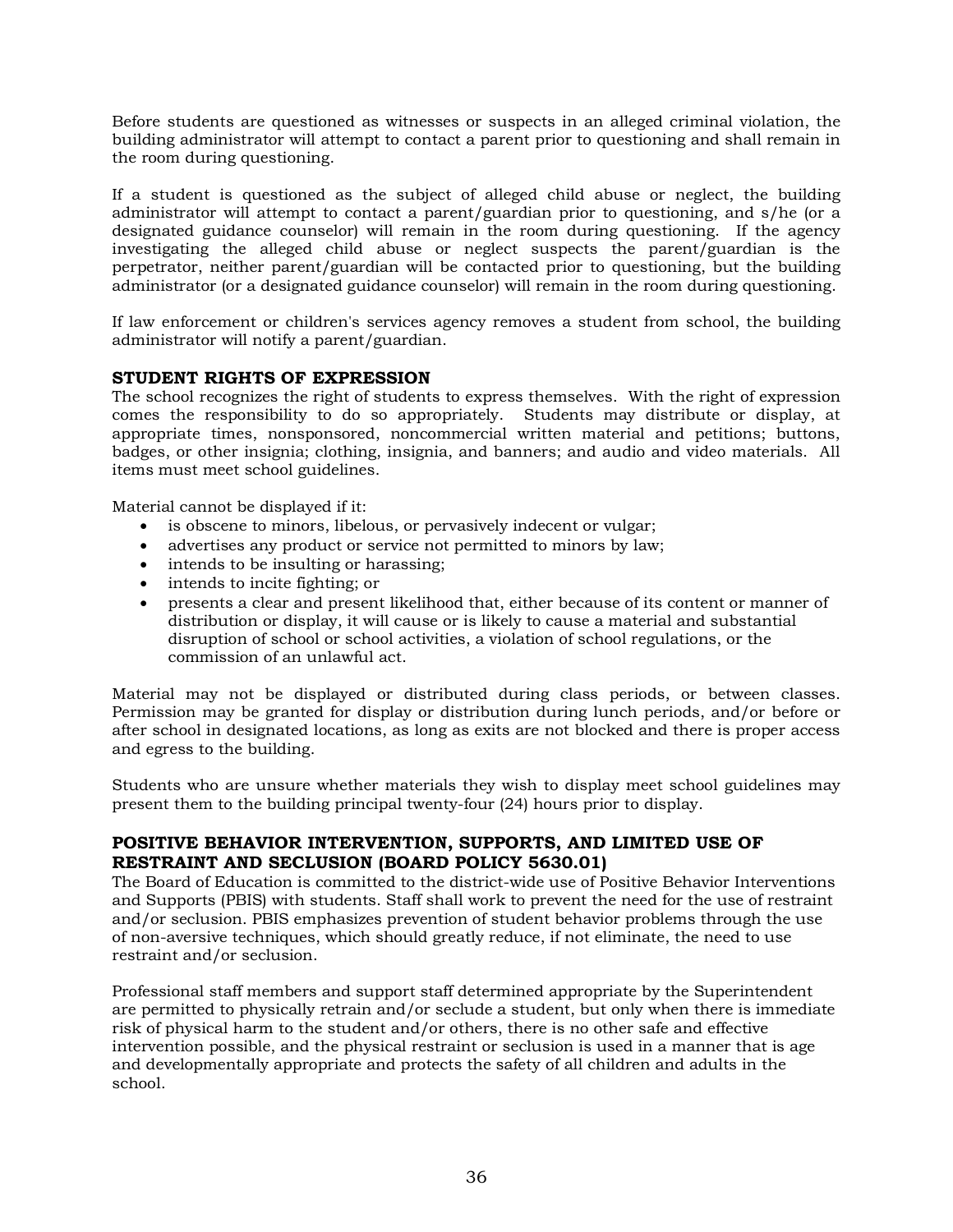Before students are questioned as witnesses or suspects in an alleged criminal violation, the building administrator will attempt to contact a parent prior to questioning and shall remain in the room during questioning.

If a student is questioned as the subject of alleged child abuse or neglect, the building administrator will attempt to contact a parent/guardian prior to questioning, and s/he (or a designated guidance counselor) will remain in the room during questioning. If the agency investigating the alleged child abuse or neglect suspects the parent/guardian is the perpetrator, neither parent/guardian will be contacted prior to questioning, but the building administrator (or a designated guidance counselor) will remain in the room during questioning.

If law enforcement or children's services agency removes a student from school, the building administrator will notify a parent/guardian.

### **STUDENT RIGHTS OF EXPRESSION**

The school recognizes the right of students to express themselves. With the right of expression comes the responsibility to do so appropriately. Students may distribute or display, at appropriate times, nonsponsored, noncommercial written material and petitions; buttons, badges, or other insignia; clothing, insignia, and banners; and audio and video materials. All items must meet school guidelines.

Material cannot be displayed if it:

- is obscene to minors, libelous, or pervasively indecent or vulgar;
- advertises any product or service not permitted to minors by law;
- intends to be insulting or harassing;
- intends to incite fighting; or
- presents a clear and present likelihood that, either because of its content or manner of distribution or display, it will cause or is likely to cause a material and substantial disruption of school or school activities, a violation of school regulations, or the commission of an unlawful act.

Material may not be displayed or distributed during class periods, or between classes. Permission may be granted for display or distribution during lunch periods, and/or before or after school in designated locations, as long as exits are not blocked and there is proper access and egress to the building.

Students who are unsure whether materials they wish to display meet school guidelines may present them to the building principal twenty-four (24) hours prior to display.

### **POSITIVE BEHAVIOR INTERVENTION, SUPPORTS, AND LIMITED USE OF RESTRAINT AND SECLUSION (BOARD POLICY 5630.01)**

The Board of Education is committed to the district-wide use of Positive Behavior Interventions and Supports (PBIS) with students. Staff shall work to prevent the need for the use of restraint and/or seclusion. PBIS emphasizes prevention of student behavior problems through the use of non-aversive techniques, which should greatly reduce, if not eliminate, the need to use restraint and/or seclusion.

Professional staff members and support staff determined appropriate by the Superintendent are permitted to physically retrain and/or seclude a student, but only when there is immediate risk of physical harm to the student and/or others, there is no other safe and effective intervention possible, and the physical restraint or seclusion is used in a manner that is age and developmentally appropriate and protects the safety of all children and adults in the school.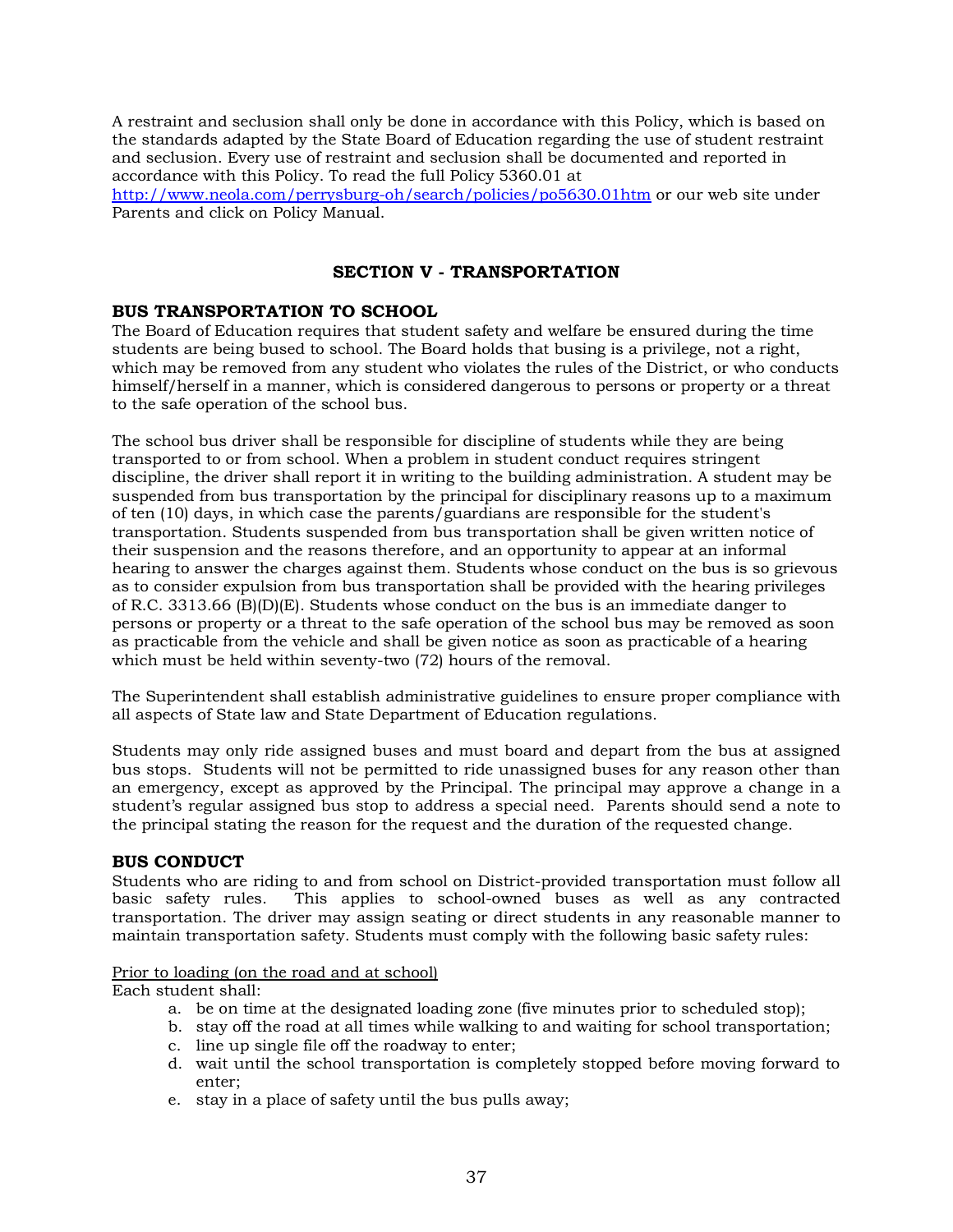A restraint and seclusion shall only be done in accordance with this Policy, which is based on the standards adapted by the State Board of Education regarding the use of student restraint and seclusion. Every use of restraint and seclusion shall be documented and reported in accordance with this Policy. To read the full Policy 5360.01 at

http://www.neola.com/perrysburg-oh/search/policies/po5630.01htm or our web site under Parents and click on Policy Manual.

### **SECTION V - TRANSPORTATION**

### **BUS TRANSPORTATION TO SCHOOL**

The Board of Education requires that student safety and welfare be ensured during the time students are being bused to school. The Board holds that busing is a privilege, not a right, which may be removed from any student who violates the rules of the District, or who conducts himself/herself in a manner, which is considered dangerous to persons or property or a threat to the safe operation of the school bus.

The school bus driver shall be responsible for discipline of students while they are being transported to or from school. When a problem in student conduct requires stringent discipline, the driver shall report it in writing to the building administration. A student may be suspended from bus transportation by the principal for disciplinary reasons up to a maximum of ten (10) days, in which case the parents/guardians are responsible for the student's transportation. Students suspended from bus transportation shall be given written notice of their suspension and the reasons therefore, and an opportunity to appear at an informal hearing to answer the charges against them. Students whose conduct on the bus is so grievous as to consider expulsion from bus transportation shall be provided with the hearing privileges of R.C. 3313.66 (B)(D)(E). Students whose conduct on the bus is an immediate danger to persons or property or a threat to the safe operation of the school bus may be removed as soon as practicable from the vehicle and shall be given notice as soon as practicable of a hearing which must be held within seventy-two (72) hours of the removal.

The Superintendent shall establish administrative guidelines to ensure proper compliance with all aspects of State law and State Department of Education regulations.

Students may only ride assigned buses and must board and depart from the bus at assigned bus stops. Students will not be permitted to ride unassigned buses for any reason other than an emergency, except as approved by the Principal. The principal may approve a change in a student's regular assigned bus stop to address a special need. Parents should send a note to the principal stating the reason for the request and the duration of the requested change.

### **BUS CONDUCT**

Students who are riding to and from school on District-provided transportation must follow all basic safety rules. This applies to school-owned buses as well as any contracted transportation. The driver may assign seating or direct students in any reasonable manner to maintain transportation safety. Students must comply with the following basic safety rules:

### Prior to loading (on the road and at school)

Each student shall:

- a. be on time at the designated loading zone (five minutes prior to scheduled stop);
- b. stay off the road at all times while walking to and waiting for school transportation;
- c. line up single file off the roadway to enter;
- d. wait until the school transportation is completely stopped before moving forward to enter;
- e. stay in a place of safety until the bus pulls away;